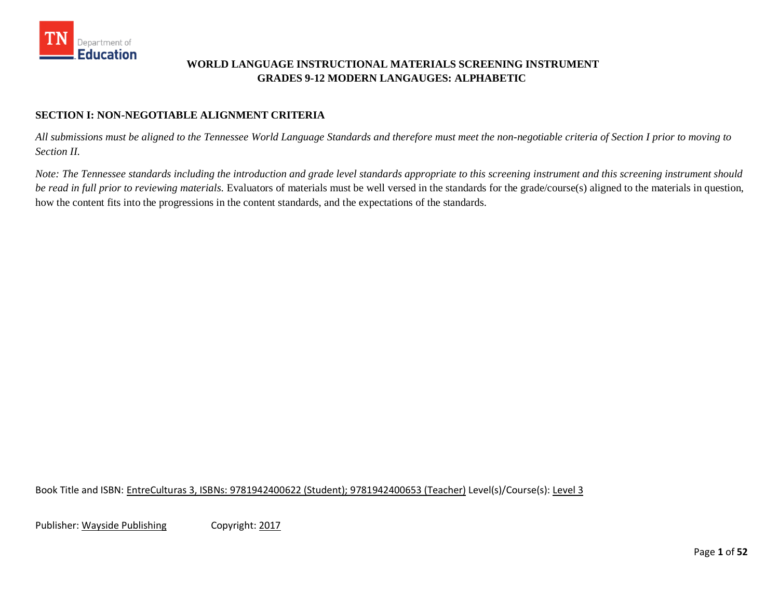

### **WORLD LANGUAGE INSTRUCTIONAL MATERIALS SCREENING INSTRUMENT GRADES 9-12 MODERN LANGAUGES: ALPHABETIC**

#### **SECTION I: NON-NEGOTIABLE ALIGNMENT CRITERIA**

*All submissions must be aligned to the Tennessee World Language Standards and therefore must meet the non-negotiable criteria of Section I prior to moving to Section II.* 

*Note: The Tennessee standards including the introduction and grade level standards appropriate to this screening instrument and this screening instrument should be read in full prior to reviewing materials.* Evaluators of materials must be well versed in the standards for the grade/course(s) aligned to the materials in question, how the content fits into the progressions in the content standards, and the expectations of the standards.

Book Title and ISBN: EntreCulturas 3, ISBNs: 9781942400622 (Student); 9781942400653 (Teacher) Level(s)/Course(s): Level 3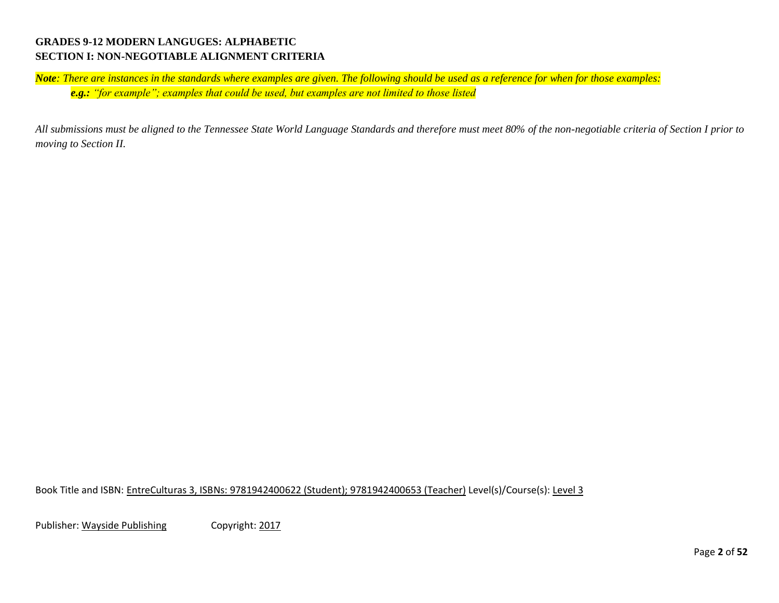#### **GRADES 9-12 MODERN LANGUGES: ALPHABETIC SECTION I: NON-NEGOTIABLE ALIGNMENT CRITERIA**

*Note: There are instances in the standards where examples are given. The following should be used as a reference for when for those examples: e.g.: "for example"; examples that could be used, but examples are not limited to those listed*

*All submissions must be aligned to the Tennessee State World Language Standards and therefore must meet 80% of the non-negotiable criteria of Section I prior to moving to Section II.* 

Book Title and ISBN: EntreCulturas 3, ISBNs: 9781942400622 (Student); 9781942400653 (Teacher) Level(s)/Course(s): Level 3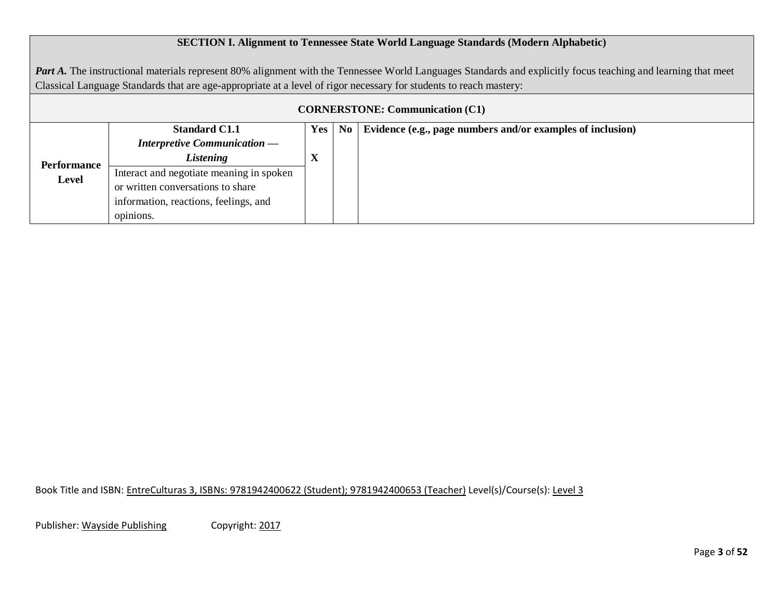### **SECTION I. Alignment to Tennessee State World Language Standards (Modern Alphabetic)**

Part A. The instructional materials represent 80% alignment with the Tennessee World Languages Standards and explicitly focus teaching and learning that meet Classical Language Standards that are age-appropriate at a level of rigor necessary for students to reach mastery:

| <b>CORNERSTONE: Communication (C1)</b> |                                          |     |                |                                                            |  |  |  |  |  |  |
|----------------------------------------|------------------------------------------|-----|----------------|------------------------------------------------------------|--|--|--|--|--|--|
|                                        | <b>Standard C1.1</b>                     | Yes | N <sub>0</sub> | Evidence (e.g., page numbers and/or examples of inclusion) |  |  |  |  |  |  |
| Performance<br>Level                   | <b>Interpretive Communication —</b>      |     |                |                                                            |  |  |  |  |  |  |
|                                        | Listening                                | A   |                |                                                            |  |  |  |  |  |  |
|                                        | Interact and negotiate meaning in spoken |     |                |                                                            |  |  |  |  |  |  |
|                                        | or written conversations to share        |     |                |                                                            |  |  |  |  |  |  |
|                                        | information, reactions, feelings, and    |     |                |                                                            |  |  |  |  |  |  |
|                                        | opimons.                                 |     |                |                                                            |  |  |  |  |  |  |

Book Title and ISBN: EntreCulturas 3, ISBNs: 9781942400622 (Student); 9781942400653 (Teacher) Level(s)/Course(s): Level 3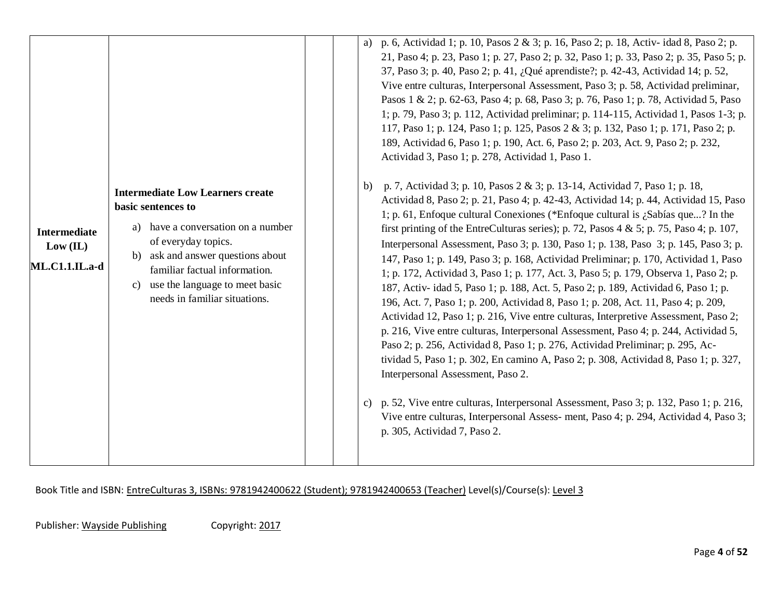|                                                   |                                                                                                                                                                                                                                                                              | p. 6, Actividad 1; p. 10, Pasos 2 & 3; p. 16, Paso 2; p. 18, Activ- idad 8, Paso 2; p.<br>a)<br>21, Paso 4; p. 23, Paso 1; p. 27, Paso 2; p. 32, Paso 1; p. 33, Paso 2; p. 35, Paso 5; p.<br>37, Paso 3; p. 40, Paso 2; p. 41, ¿Qué aprendiste?; p. 42-43, Actividad 14; p. 52,<br>Vive entre culturas, Interpersonal Assessment, Paso 3; p. 58, Actividad preliminar,<br>Pasos 1 & 2; p. 62-63, Paso 4; p. 68, Paso 3; p. 76, Paso 1; p. 78, Actividad 5, Paso<br>1; p. 79, Paso 3; p. 112, Actividad preliminar; p. 114-115, Actividad 1, Pasos 1-3; p.<br>117, Paso 1; p. 124, Paso 1; p. 125, Pasos 2 & 3; p. 132, Paso 1; p. 171, Paso 2; p.<br>189, Actividad 6, Paso 1; p. 190, Act. 6, Paso 2; p. 203, Act. 9, Paso 2; p. 232,<br>Actividad 3, Paso 1; p. 278, Actividad 1, Paso 1.                                                                                                                                                                                                                                                                                                                                                                                                                                                                                                                                                                                                                                          |
|---------------------------------------------------|------------------------------------------------------------------------------------------------------------------------------------------------------------------------------------------------------------------------------------------------------------------------------|--------------------------------------------------------------------------------------------------------------------------------------------------------------------------------------------------------------------------------------------------------------------------------------------------------------------------------------------------------------------------------------------------------------------------------------------------------------------------------------------------------------------------------------------------------------------------------------------------------------------------------------------------------------------------------------------------------------------------------------------------------------------------------------------------------------------------------------------------------------------------------------------------------------------------------------------------------------------------------------------------------------------------------------------------------------------------------------------------------------------------------------------------------------------------------------------------------------------------------------------------------------------------------------------------------------------------------------------------------------------------------------------------------------------------------------|
| <b>Intermediate</b><br>Low (IL)<br>ML.C1.1.IL.a-d | <b>Intermediate Low Learners create</b><br>basic sentences to<br>a) have a conversation on a number<br>of everyday topics.<br>ask and answer questions about<br>b)<br>familiar factual information.<br>use the language to meet basic<br>c)<br>needs in familiar situations. | p. 7, Actividad 3; p. 10, Pasos 2 & 3; p. 13-14, Actividad 7, Paso 1; p. 18,<br>b)<br>Actividad 8, Paso 2; p. 21, Paso 4; p. 42-43, Actividad 14; p. 44, Actividad 15, Paso<br>1; p. 61, Enfoque cultural Conexiones (*Enfoque cultural is ¿Sabías que? In the<br>first printing of the EntreCulturas series); p. 72, Pasos 4 & 5; p. 75, Paso 4; p. 107,<br>Interpersonal Assessment, Paso 3; p. 130, Paso 1; p. 138, Paso 3; p. 145, Paso 3; p.<br>147, Paso 1; p. 149, Paso 3; p. 168, Actividad Preliminar; p. 170, Actividad 1, Paso<br>1; p. 172, Actividad 3, Paso 1; p. 177, Act. 3, Paso 5; p. 179, Observa 1, Paso 2; p.<br>187, Activ- idad 5, Paso 1; p. 188, Act. 5, Paso 2; p. 189, Actividad 6, Paso 1; p.<br>196, Act. 7, Paso 1; p. 200, Actividad 8, Paso 1; p. 208, Act. 11, Paso 4; p. 209,<br>Actividad 12, Paso 1; p. 216, Vive entre culturas, Interpretive Assessment, Paso 2;<br>p. 216, Vive entre culturas, Interpersonal Assessment, Paso 4; p. 244, Actividad 5,<br>Paso 2; p. 256, Actividad 8, Paso 1; p. 276, Actividad Preliminar; p. 295, Ac-<br>tividad 5, Paso 1; p. 302, En camino A, Paso 2; p. 308, Actividad 8, Paso 1; p. 327,<br>Interpersonal Assessment, Paso 2.<br>p. 52, Vive entre culturas, Interpersonal Assessment, Paso 3; p. 132, Paso 1; p. 216,<br>c)<br>Vive entre culturas, Interpersonal Assess- ment, Paso 4; p. 294, Actividad 4, Paso 3;<br>p. 305, Actividad 7, Paso 2. |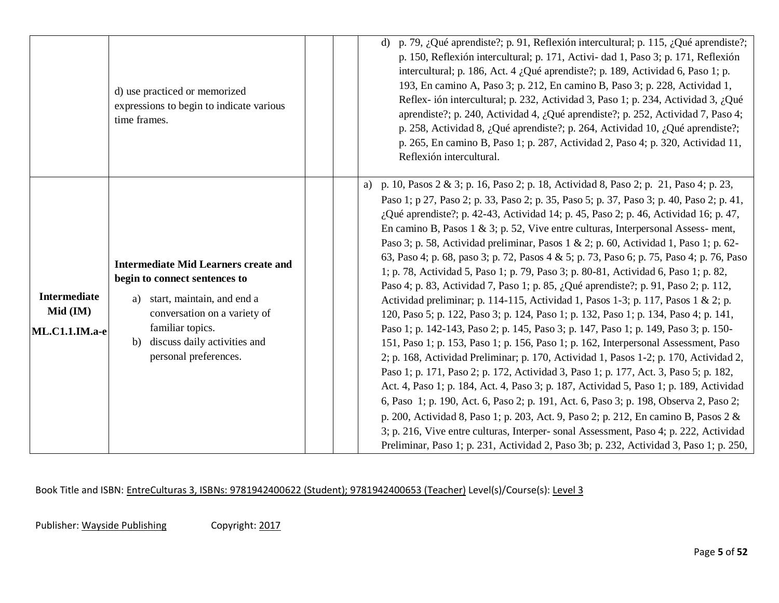|                                                   | d) use practiced or memorized<br>expressions to begin to indicate various<br>time frames.                                                                                                                                           | d) p. 79, ¿Qué aprendiste?; p. 91, Reflexión intercultural; p. 115, ¿Qué aprendiste?;<br>p. 150, Reflexión intercultural; p. 171, Activi- dad 1, Paso 3; p. 171, Reflexión<br>intercultural; p. 186, Act. 4 ¿Qué aprendiste?; p. 189, Actividad 6, Paso 1; p.<br>193, En camino A, Paso 3; p. 212, En camino B, Paso 3; p. 228, Actividad 1,<br>Reflex-ión intercultural; p. 232, Actividad 3, Paso 1; p. 234, Actividad 3, ¿Qué<br>aprendiste?; p. 240, Actividad 4, ¿Qué aprendiste?; p. 252, Actividad 7, Paso 4;<br>p. 258, Actividad 8, ¿Qué aprendiste?; p. 264, Actividad 10, ¿Qué aprendiste?;<br>p. 265, En camino B, Paso 1; p. 287, Actividad 2, Paso 4; p. 320, Actividad 11,<br>Reflexión intercultural.                                                                                                                                                                                                                                                                                                                                                                                                                                                                                                                                                                                                                                                                                                                                                                                                                                                                                                                                                                                                                          |
|---------------------------------------------------|-------------------------------------------------------------------------------------------------------------------------------------------------------------------------------------------------------------------------------------|------------------------------------------------------------------------------------------------------------------------------------------------------------------------------------------------------------------------------------------------------------------------------------------------------------------------------------------------------------------------------------------------------------------------------------------------------------------------------------------------------------------------------------------------------------------------------------------------------------------------------------------------------------------------------------------------------------------------------------------------------------------------------------------------------------------------------------------------------------------------------------------------------------------------------------------------------------------------------------------------------------------------------------------------------------------------------------------------------------------------------------------------------------------------------------------------------------------------------------------------------------------------------------------------------------------------------------------------------------------------------------------------------------------------------------------------------------------------------------------------------------------------------------------------------------------------------------------------------------------------------------------------------------------------------------------------------------------------------------------------|
| <b>Intermediate</b><br>Mid (IM)<br>ML.C1.1.IM.a-e | <b>Intermediate Mid Learners create and</b><br>begin to connect sentences to<br>start, maintain, and end a<br>a)<br>conversation on a variety of<br>familiar topics.<br>discuss daily activities and<br>b)<br>personal preferences. | a) p. 10, Pasos 2 & 3; p. 16, Paso 2; p. 18, Actividad 8, Paso 2; p. 21, Paso 4; p. 23,<br>Paso 1; p 27, Paso 2; p. 33, Paso 2; p. 35, Paso 5; p. 37, Paso 3; p. 40, Paso 2; p. 41,<br>¿Qué aprendiste?; p. 42-43, Actividad 14; p. 45, Paso 2; p. 46, Actividad 16; p. 47,<br>En camino B, Pasos $1 \& 3$ ; p. 52, Vive entre culturas, Interpersonal Assess- ment,<br>Paso 3; p. 58, Actividad preliminar, Pasos 1 & 2; p. 60, Actividad 1, Paso 1; p. 62-<br>63, Paso 4; p. 68, paso 3; p. 72, Pasos 4 & 5; p. 73, Paso 6; p. 75, Paso 4; p. 76, Paso<br>1; p. 78, Actividad 5, Paso 1; p. 79, Paso 3; p. 80-81, Actividad 6, Paso 1; p. 82,<br>Paso 4; p. 83, Actividad 7, Paso 1; p. 85, ¿Qué aprendiste?; p. 91, Paso 2; p. 112,<br>Actividad preliminar; p. 114-115, Actividad 1, Pasos 1-3; p. 117, Pasos 1 & 2; p.<br>120, Paso 5; p. 122, Paso 3; p. 124, Paso 1; p. 132, Paso 1; p. 134, Paso 4; p. 141,<br>Paso 1; p. 142-143, Paso 2; p. 145, Paso 3; p. 147, Paso 1; p. 149, Paso 3; p. 150-<br>151, Paso 1; p. 153, Paso 1; p. 156, Paso 1; p. 162, Interpersonal Assessment, Paso<br>2; p. 168, Actividad Preliminar; p. 170, Actividad 1, Pasos 1-2; p. 170, Actividad 2,<br>Paso 1; p. 171, Paso 2; p. 172, Actividad 3, Paso 1; p. 177, Act. 3, Paso 5; p. 182,<br>Act. 4, Paso 1; p. 184, Act. 4, Paso 3; p. 187, Actividad 5, Paso 1; p. 189, Actividad<br>6, Paso 1; p. 190, Act. 6, Paso 2; p. 191, Act. 6, Paso 3; p. 198, Observa 2, Paso 2;<br>p. 200, Actividad 8, Paso 1; p. 203, Act. 9, Paso 2; p. 212, En camino B, Pasos 2 &<br>3; p. 216, Vive entre culturas, Interper-sonal Assessment, Paso 4; p. 222, Actividad<br>Preliminar, Paso 1; p. 231, Actividad 2, Paso 3b; p. 232, Actividad 3, Paso 1; p. 250, |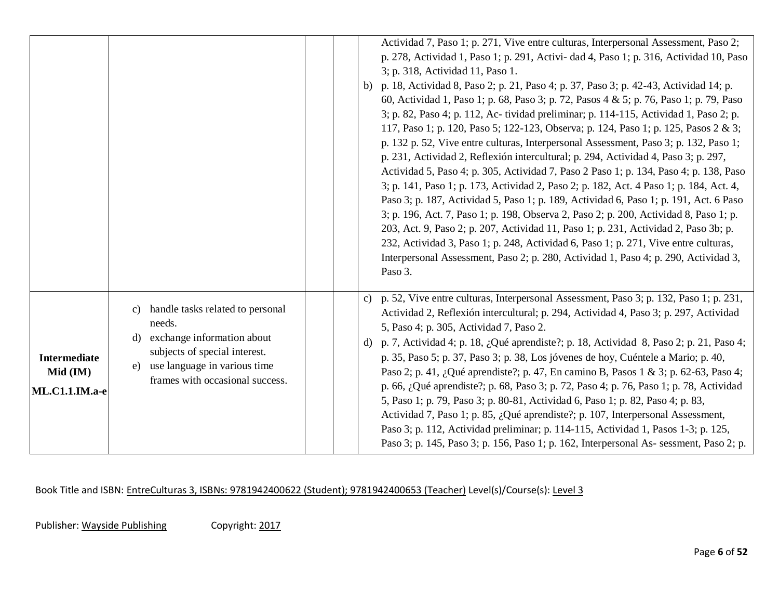|                                                   |                                                                                                                                                                                                | Actividad 7, Paso 1; p. 271, Vive entre culturas, Interpersonal Assessment, Paso 2;<br>p. 278, Actividad 1, Paso 1; p. 291, Activi- dad 4, Paso 1; p. 316, Actividad 10, Paso<br>3; p. 318, Actividad 11, Paso 1.<br>p. 18, Actividad 8, Paso 2; p. 21, Paso 4; p. 37, Paso 3; p. 42-43, Actividad 14; p.<br>b)<br>60, Actividad 1, Paso 1; p. 68, Paso 3; p. 72, Pasos 4 & 5; p. 76, Paso 1; p. 79, Paso<br>3; p. 82, Paso 4; p. 112, Ac-tividad preliminar; p. 114-115, Actividad 1, Paso 2; p.<br>117, Paso 1; p. 120, Paso 5; 122-123, Observa; p. 124, Paso 1; p. 125, Pasos 2 & 3;<br>p. 132 p. 52, Vive entre culturas, Interpersonal Assessment, Paso 3; p. 132, Paso 1;<br>p. 231, Actividad 2, Reflexión intercultural; p. 294, Actividad 4, Paso 3; p. 297,<br>Actividad 5, Paso 4; p. 305, Actividad 7, Paso 2 Paso 1; p. 134, Paso 4; p. 138, Paso<br>3; p. 141, Paso 1; p. 173, Actividad 2, Paso 2; p. 182, Act. 4 Paso 1; p. 184, Act. 4,<br>Paso 3; p. 187, Actividad 5, Paso 1; p. 189, Actividad 6, Paso 1; p. 191, Act. 6 Paso<br>3; p. 196, Act. 7, Paso 1; p. 198, Observa 2, Paso 2; p. 200, Actividad 8, Paso 1; p.<br>203, Act. 9, Paso 2; p. 207, Actividad 11, Paso 1; p. 231, Actividad 2, Paso 3b; p.<br>232, Actividad 3, Paso 1; p. 248, Actividad 6, Paso 1; p. 271, Vive entre culturas,<br>Interpersonal Assessment, Paso 2; p. 280, Actividad 1, Paso 4; p. 290, Actividad 3,<br>Paso 3. |
|---------------------------------------------------|------------------------------------------------------------------------------------------------------------------------------------------------------------------------------------------------|-----------------------------------------------------------------------------------------------------------------------------------------------------------------------------------------------------------------------------------------------------------------------------------------------------------------------------------------------------------------------------------------------------------------------------------------------------------------------------------------------------------------------------------------------------------------------------------------------------------------------------------------------------------------------------------------------------------------------------------------------------------------------------------------------------------------------------------------------------------------------------------------------------------------------------------------------------------------------------------------------------------------------------------------------------------------------------------------------------------------------------------------------------------------------------------------------------------------------------------------------------------------------------------------------------------------------------------------------------------------------------------------------------------------------------|
| <b>Intermediate</b><br>Mid (IM)<br>ML.C1.1.IM.a-e | handle tasks related to personal<br>C)<br>needs.<br>exchange information about<br>d)<br>subjects of special interest.<br>use language in various time<br>e)<br>frames with occasional success. | c) p. 52, Vive entre culturas, Interpersonal Assessment, Paso 3; p. 132, Paso 1; p. 231,<br>Actividad 2, Reflexión intercultural; p. 294, Actividad 4, Paso 3; p. 297, Actividad<br>5, Paso 4; p. 305, Actividad 7, Paso 2.<br>p. 7, Actividad 4; p. 18, ¿Qué aprendiste?; p. 18, Actividad 8, Paso 2; p. 21, Paso 4;<br>d)<br>p. 35, Paso 5; p. 37, Paso 3; p. 38, Los jóvenes de hoy, Cuéntele a Mario; p. 40,<br>Paso 2; p. 41, ¿Qué aprendiste?; p. 47, En camino B, Pasos 1 & 3; p. 62-63, Paso 4;<br>p. 66, ¿Qué aprendiste?; p. 68, Paso 3; p. 72, Paso 4; p. 76, Paso 1; p. 78, Actividad<br>5, Paso 1; p. 79, Paso 3; p. 80-81, Actividad 6, Paso 1; p. 82, Paso 4; p. 83,<br>Actividad 7, Paso 1; p. 85, ¿Qué aprendiste?; p. 107, Interpersonal Assessment,<br>Paso 3; p. 112, Actividad preliminar; p. 114-115, Actividad 1, Pasos 1-3; p. 125,<br>Paso 3; p. 145, Paso 3; p. 156, Paso 1; p. 162, Interpersonal As- sessment, Paso 2; p.                                                                                                                                                                                                                                                                                                                                                                                                                                                                       |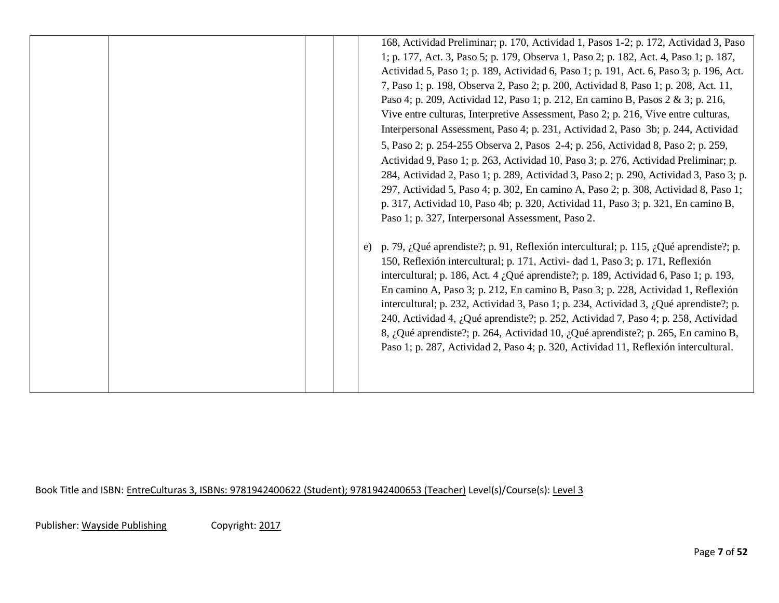|  | 168, Actividad Preliminar; p. 170, Actividad 1, Pasos 1-2; p. 172, Actividad 3, Paso<br>1; p. 177, Act. 3, Paso 5; p. 179, Observa 1, Paso 2; p. 182, Act. 4, Paso 1; p. 187,<br>Actividad 5, Paso 1; p. 189, Actividad 6, Paso 1; p. 191, Act. 6, Paso 3; p. 196, Act.<br>7, Paso 1; p. 198, Observa 2, Paso 2; p. 200, Actividad 8, Paso 1; p. 208, Act. 11,<br>Paso 4; p. 209, Actividad 12, Paso 1; p. 212, En camino B, Pasos 2 & 3; p. 216,<br>Vive entre culturas, Interpretive Assessment, Paso 2; p. 216, Vive entre culturas,<br>Interpersonal Assessment, Paso 4; p. 231, Actividad 2, Paso 3b; p. 244, Actividad                                                                                         |
|--|----------------------------------------------------------------------------------------------------------------------------------------------------------------------------------------------------------------------------------------------------------------------------------------------------------------------------------------------------------------------------------------------------------------------------------------------------------------------------------------------------------------------------------------------------------------------------------------------------------------------------------------------------------------------------------------------------------------------|
|  | 5, Paso 2; p. 254-255 Observa 2, Pasos 2-4; p. 256, Actividad 8, Paso 2; p. 259,<br>Actividad 9, Paso 1; p. 263, Actividad 10, Paso 3; p. 276, Actividad Preliminar; p.<br>284, Actividad 2, Paso 1; p. 289, Actividad 3, Paso 2; p. 290, Actividad 3, Paso 3; p.<br>297, Actividad 5, Paso 4; p. 302, En camino A, Paso 2; p. 308, Actividad 8, Paso 1;<br>p. 317, Actividad 10, Paso 4b; p. 320, Actividad 11, Paso 3; p. 321, En camino B,<br>Paso 1; p. 327, Interpersonal Assessment, Paso 2.                                                                                                                                                                                                                   |
|  | p. 79, ¿Qué aprendiste?; p. 91, Reflexión intercultural; p. 115, ¿Qué aprendiste?; p.<br>e)<br>150, Reflexión intercultural; p. 171, Activi- dad 1, Paso 3; p. 171, Reflexión<br>intercultural; p. 186, Act. 4 ¿Qué aprendiste?; p. 189, Actividad 6, Paso 1; p. 193,<br>En camino A, Paso 3; p. 212, En camino B, Paso 3; p. 228, Actividad 1, Reflexión<br>intercultural; p. 232, Actividad 3, Paso 1; p. 234, Actividad 3, ¿Qué aprendiste?; p.<br>240, Actividad 4, ¿Qué aprendiste?; p. 252, Actividad 7, Paso 4; p. 258, Actividad<br>8, ¿Qué aprendiste?; p. 264, Actividad 10, ¿Qué aprendiste?; p. 265, En camino B,<br>Paso 1; p. 287, Actividad 2, Paso 4; p. 320, Actividad 11, Reflexión intercultural. |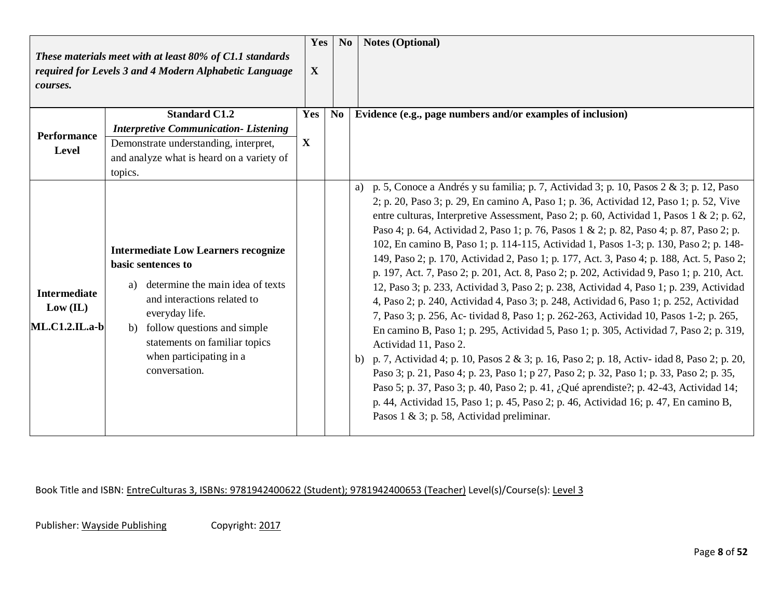| courses.                                                 | These materials meet with at least 80% of C1.1 standards<br>required for Levels 3 and 4 Modern Alphabetic Language                                                                                                                                                            | Yes<br>X            | No       | <b>Notes (Optional)</b>                                                                                                                                                                                                                                                                                                                                                                                                                                                                                                                                                                                                                                                                                                                                                                                                                                                                                                                                                                                                                                                                                                                                                                                                                                                                                                                                                                                                                                                                             |
|----------------------------------------------------------|-------------------------------------------------------------------------------------------------------------------------------------------------------------------------------------------------------------------------------------------------------------------------------|---------------------|----------|-----------------------------------------------------------------------------------------------------------------------------------------------------------------------------------------------------------------------------------------------------------------------------------------------------------------------------------------------------------------------------------------------------------------------------------------------------------------------------------------------------------------------------------------------------------------------------------------------------------------------------------------------------------------------------------------------------------------------------------------------------------------------------------------------------------------------------------------------------------------------------------------------------------------------------------------------------------------------------------------------------------------------------------------------------------------------------------------------------------------------------------------------------------------------------------------------------------------------------------------------------------------------------------------------------------------------------------------------------------------------------------------------------------------------------------------------------------------------------------------------------|
| <b>Performance</b><br>Level                              | <b>Standard C1.2</b><br><b>Interpretive Communication-Listening</b><br>Demonstrate understanding, interpret,<br>and analyze what is heard on a variety of<br>topics.                                                                                                          | Yes<br>$\mathbf{X}$ | $\bf No$ | Evidence (e.g., page numbers and/or examples of inclusion)                                                                                                                                                                                                                                                                                                                                                                                                                                                                                                                                                                                                                                                                                                                                                                                                                                                                                                                                                                                                                                                                                                                                                                                                                                                                                                                                                                                                                                          |
| <b>Intermediate</b><br>Low (IL)<br><b>ML.C1.2.IL.a-b</b> | <b>Intermediate Low Learners recognize</b><br>basic sentences to<br>determine the main idea of texts<br>a)<br>and interactions related to<br>everyday life.<br>follow questions and simple<br>b)<br>statements on familiar topics<br>when participating in a<br>conversation. |                     |          | a) p. 5, Conoce a Andrés y su familia; p. 7, Actividad 3; p. 10, Pasos $2 \& 3$ ; p. 12, Paso<br>2; p. 20, Paso 3; p. 29, En camino A, Paso 1; p. 36, Actividad 12, Paso 1; p. 52, Vive<br>entre culturas, Interpretive Assessment, Paso 2; p. 60, Actividad 1, Pasos 1 & 2; p. 62,<br>Paso 4; p. 64, Actividad 2, Paso 1; p. 76, Pasos 1 & 2; p. 82, Paso 4; p. 87, Paso 2; p.<br>102, En camino B, Paso 1; p. 114-115, Actividad 1, Pasos 1-3; p. 130, Paso 2; p. 148-<br>149, Paso 2; p. 170, Actividad 2, Paso 1; p. 177, Act. 3, Paso 4; p. 188, Act. 5, Paso 2;<br>p. 197, Act. 7, Paso 2; p. 201, Act. 8, Paso 2; p. 202, Actividad 9, Paso 1; p. 210, Act.<br>12, Paso 3; p. 233, Actividad 3, Paso 2; p. 238, Actividad 4, Paso 1; p. 239, Actividad<br>4, Paso 2; p. 240, Actividad 4, Paso 3; p. 248, Actividad 6, Paso 1; p. 252, Actividad<br>7, Paso 3; p. 256, Ac-tividad 8, Paso 1; p. 262-263, Actividad 10, Pasos 1-2; p. 265,<br>En camino B, Paso 1; p. 295, Actividad 5, Paso 1; p. 305, Actividad 7, Paso 2; p. 319,<br>Actividad 11, Paso 2.<br>b) p. 7, Actividad 4; p. 10, Pasos $2 \& 3$ ; p. 16, Paso 2; p. 18, Activ- idad 8, Paso 2; p. 20,<br>Paso 3; p. 21, Paso 4; p. 23, Paso 1; p 27, Paso 2; p. 32, Paso 1; p. 33, Paso 2; p. 35,<br>Paso 5; p. 37, Paso 3; p. 40, Paso 2; p. 41, ¿Qué aprendiste?; p. 42-43, Actividad 14;<br>p. 44, Actividad 15, Paso 1; p. 45, Paso 2; p. 46, Actividad 16; p. 47, En camino B,<br>Pasos 1 & 3; p. 58, Actividad preliminar. |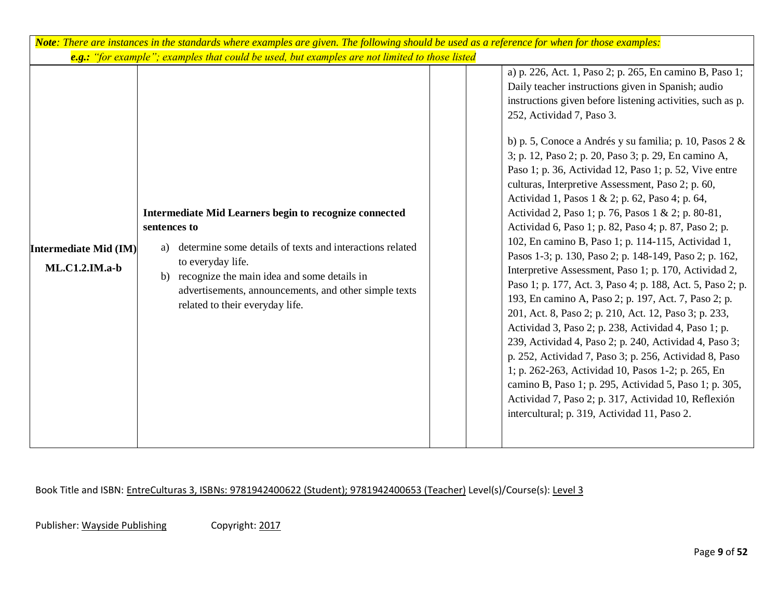|                                           | Note: There are instances in the standards where examples are given. The following should be used as a reference for when for those examples:                                                                                                                                                                                                                                                                    |  |                                                                                                                                                                                                                                                                                                                                                                                                                                                                                                                                                                                                                                                                                                                                                                                                                                                                                                                                                                                                                                                                                                                                                                                                                                                                                                                                                                            |  |  |  |  |  |  |  |
|-------------------------------------------|------------------------------------------------------------------------------------------------------------------------------------------------------------------------------------------------------------------------------------------------------------------------------------------------------------------------------------------------------------------------------------------------------------------|--|----------------------------------------------------------------------------------------------------------------------------------------------------------------------------------------------------------------------------------------------------------------------------------------------------------------------------------------------------------------------------------------------------------------------------------------------------------------------------------------------------------------------------------------------------------------------------------------------------------------------------------------------------------------------------------------------------------------------------------------------------------------------------------------------------------------------------------------------------------------------------------------------------------------------------------------------------------------------------------------------------------------------------------------------------------------------------------------------------------------------------------------------------------------------------------------------------------------------------------------------------------------------------------------------------------------------------------------------------------------------------|--|--|--|--|--|--|--|
| Intermediate Mid (IM)<br>$ML.C1.2.IM.a-b$ | e.g.: "for example"; examples that could be used, but examples are not limited to those listed<br>Intermediate Mid Learners begin to recognize connected<br>sentences to<br>determine some details of texts and interactions related<br>a)<br>to everyday life.<br>recognize the main idea and some details in<br>b)<br>advertisements, announcements, and other simple texts<br>related to their everyday life. |  | a) p. 226, Act. 1, Paso 2; p. 265, En camino B, Paso 1;<br>Daily teacher instructions given in Spanish; audio<br>instructions given before listening activities, such as p.<br>252, Actividad 7, Paso 3.<br>b) p. 5, Conoce a Andrés y su familia; p. 10, Pasos $2 &$<br>3; p. 12, Paso 2; p. 20, Paso 3; p. 29, En camino A,<br>Paso 1; p. 36, Actividad 12, Paso 1; p. 52, Vive entre<br>culturas, Interpretive Assessment, Paso 2; p. 60,<br>Actividad 1, Pasos 1 & 2; p. 62, Paso 4; p. 64,<br>Actividad 2, Paso 1; p. 76, Pasos 1 & 2; p. 80-81,<br>Actividad 6, Paso 1; p. 82, Paso 4; p. 87, Paso 2; p.<br>102, En camino B, Paso 1; p. 114-115, Actividad 1,<br>Pasos 1-3; p. 130, Paso 2; p. 148-149, Paso 2; p. 162,<br>Interpretive Assessment, Paso 1; p. 170, Actividad 2,<br>Paso 1; p. 177, Act. 3, Paso 4; p. 188, Act. 5, Paso 2; p.<br>193, En camino A, Paso 2; p. 197, Act. 7, Paso 2; p.<br>201, Act. 8, Paso 2; p. 210, Act. 12, Paso 3; p. 233,<br>Actividad 3, Paso 2; p. 238, Actividad 4, Paso 1; p.<br>239, Actividad 4, Paso 2; p. 240, Actividad 4, Paso 3;<br>p. 252, Actividad 7, Paso 3; p. 256, Actividad 8, Paso<br>1; p. 262-263, Actividad 10, Pasos 1-2; p. 265, En<br>camino B, Paso 1; p. 295, Actividad 5, Paso 1; p. 305,<br>Actividad 7, Paso 2; p. 317, Actividad 10, Reflexión<br>intercultural; p. 319, Actividad 11, Paso 2. |  |  |  |  |  |  |  |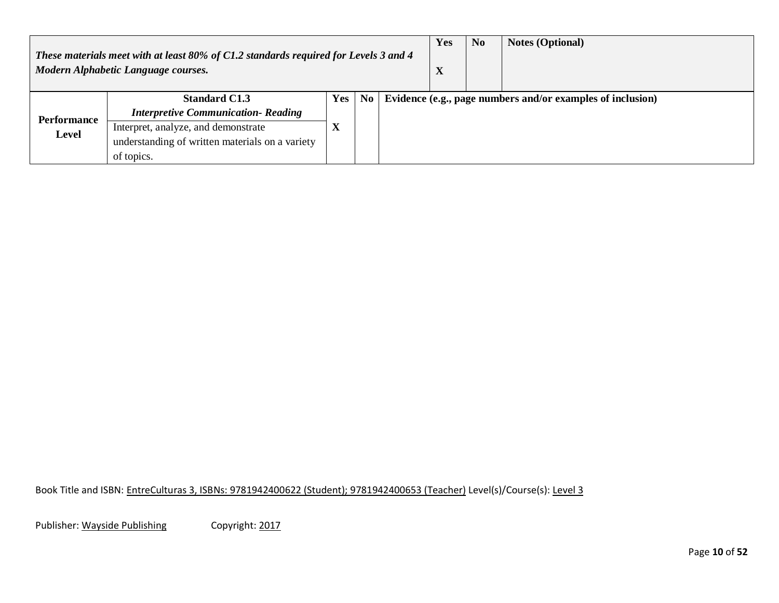| These materials meet with at least 80% of C1.2 standards required for Levels 3 and 4<br>Modern Alphabetic Language courses. |                                                 |                        |  |  | Yes<br>$\mathbf{v}$<br>$\boldsymbol{\Lambda}$ | N <sub>0</sub> | <b>Notes (Optional)</b>                                    |
|-----------------------------------------------------------------------------------------------------------------------------|-------------------------------------------------|------------------------|--|--|-----------------------------------------------|----------------|------------------------------------------------------------|
| <b>Standard C1.3</b><br>Yes<br>No                                                                                           |                                                 |                        |  |  |                                               |                | Evidence (e.g., page numbers and/or examples of inclusion) |
| Performance                                                                                                                 | <b>Interpretive Communication- Reading</b>      |                        |  |  |                                               |                |                                                            |
| <b>Level</b>                                                                                                                | Interpret, analyze, and demonstrate             | $\boldsymbol{\Lambda}$ |  |  |                                               |                |                                                            |
|                                                                                                                             | understanding of written materials on a variety |                        |  |  |                                               |                |                                                            |
|                                                                                                                             | of topics.                                      |                        |  |  |                                               |                |                                                            |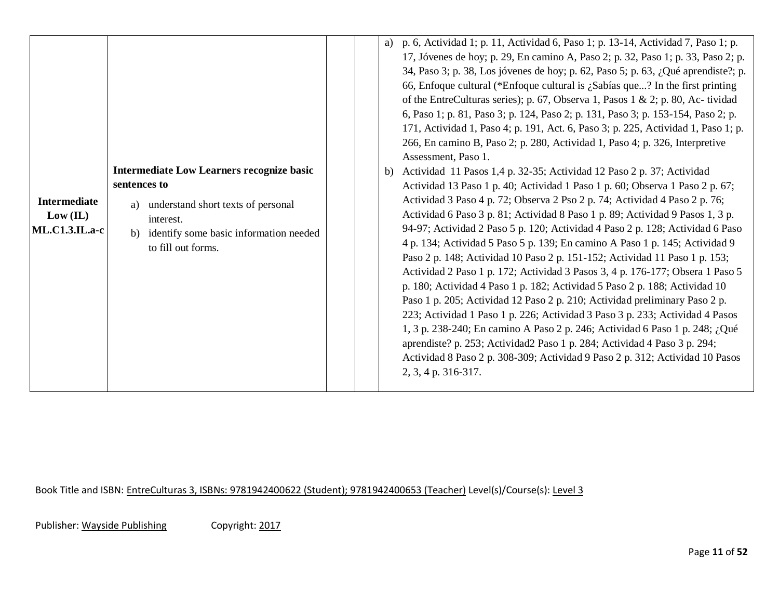| <b>Intermediate</b><br>Low (IL)<br>$ML.C1.3.IL.a-c$ | <b>Intermediate Low Learners recognize basic</b><br>sentences to<br>understand short texts of personal<br>a)<br>interest.<br>identify some basic information needed<br>$\mathbf{b}$<br>to fill out forms. | a)<br>b) | p. 6, Actividad 1; p. 11, Actividad 6, Paso 1; p. 13-14, Actividad 7, Paso 1; p.<br>17, Jóvenes de hoy; p. 29, En camino A, Paso 2; p. 32, Paso 1; p. 33, Paso 2; p.<br>34, Paso 3; p. 38, Los jóvenes de hoy; p. 62, Paso 5; p. 63, ¿Qué aprendiste?; p.<br>66, Enfoque cultural (*Enfoque cultural is $\zeta$ Sabías que? In the first printing<br>of the EntreCulturas series); p. 67, Observa 1, Pasos 1 & 2; p. 80, Ac-tividad<br>6, Paso 1; p. 81, Paso 3; p. 124, Paso 2; p. 131, Paso 3; p. 153-154, Paso 2; p.<br>171, Actividad 1, Paso 4; p. 191, Act. 6, Paso 3; p. 225, Actividad 1, Paso 1; p.<br>266, En camino B, Paso 2; p. 280, Actividad 1, Paso 4; p. 326, Interpretive<br>Assessment, Paso 1.<br>Actividad 11 Pasos 1,4 p. 32-35; Actividad 12 Paso 2 p. 37; Actividad<br>Actividad 13 Paso 1 p. 40; Actividad 1 Paso 1 p. 60; Observa 1 Paso 2 p. 67;<br>Actividad 3 Paso 4 p. 72; Observa 2 Pso 2 p. 74; Actividad 4 Paso 2 p. 76;<br>Actividad 6 Paso 3 p. 81; Actividad 8 Paso 1 p. 89; Actividad 9 Pasos 1, 3 p.<br>94-97; Actividad 2 Paso 5 p. 120; Actividad 4 Paso 2 p. 128; Actividad 6 Paso<br>4 p. 134; Actividad 5 Paso 5 p. 139; En camino A Paso 1 p. 145; Actividad 9<br>Paso 2 p. 148; Actividad 10 Paso 2 p. 151-152; Actividad 11 Paso 1 p. 153;<br>Actividad 2 Paso 1 p. 172; Actividad 3 Pasos 3, 4 p. 176-177; Obsera 1 Paso 5<br>p. 180; Actividad 4 Paso 1 p. 182; Actividad 5 Paso 2 p. 188; Actividad 10<br>Paso 1 p. 205; Actividad 12 Paso 2 p. 210; Actividad preliminary Paso 2 p.<br>223; Actividad 1 Paso 1 p. 226; Actividad 3 Paso 3 p. 233; Actividad 4 Pasos<br>1, 3 p. 238-240; En camino A Paso 2 p. 246; Actividad 6 Paso 1 p. 248; ¿Qué |
|-----------------------------------------------------|-----------------------------------------------------------------------------------------------------------------------------------------------------------------------------------------------------------|----------|------------------------------------------------------------------------------------------------------------------------------------------------------------------------------------------------------------------------------------------------------------------------------------------------------------------------------------------------------------------------------------------------------------------------------------------------------------------------------------------------------------------------------------------------------------------------------------------------------------------------------------------------------------------------------------------------------------------------------------------------------------------------------------------------------------------------------------------------------------------------------------------------------------------------------------------------------------------------------------------------------------------------------------------------------------------------------------------------------------------------------------------------------------------------------------------------------------------------------------------------------------------------------------------------------------------------------------------------------------------------------------------------------------------------------------------------------------------------------------------------------------------------------------------------------------------------------------------------------------------------------------------------------------------------------------------------------|
|                                                     |                                                                                                                                                                                                           |          | aprendiste? p. 253; Actividad2 Paso 1 p. 284; Actividad 4 Paso 3 p. 294;<br>Actividad 8 Paso 2 p. 308-309; Actividad 9 Paso 2 p. 312; Actividad 10 Pasos<br>2, 3, 4 p. 316-317.                                                                                                                                                                                                                                                                                                                                                                                                                                                                                                                                                                                                                                                                                                                                                                                                                                                                                                                                                                                                                                                                                                                                                                                                                                                                                                                                                                                                                                                                                                                      |

Publisher: Wayside Publishing Copyright: 2017

Page **11** of **52**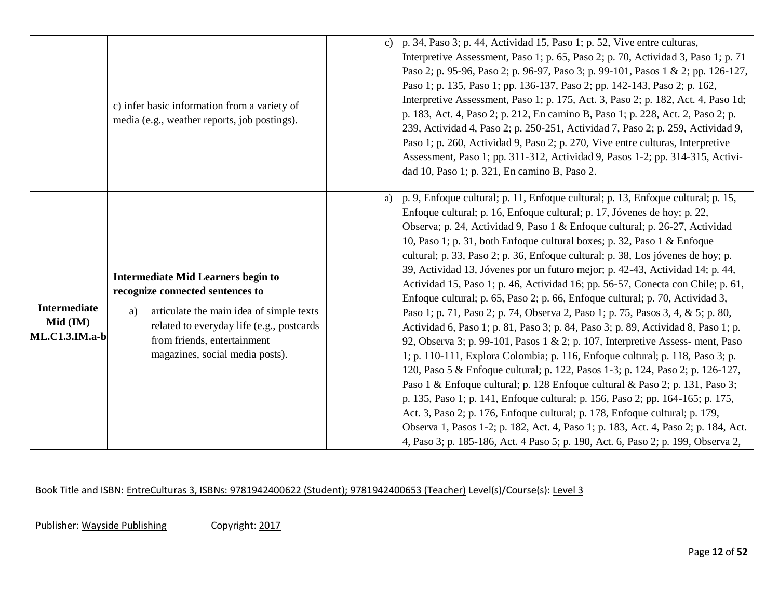|                                                          | c) infer basic information from a variety of<br>media (e.g., weather reports, job postings).                                                                                                                                                   | p. 34, Paso 3; p. 44, Actividad 15, Paso 1; p. 52, Vive entre culturas,<br>$\mathbf{c})$<br>Interpretive Assessment, Paso 1; p. 65, Paso 2; p. 70, Actividad 3, Paso 1; p. 71<br>Paso 2; p. 95-96, Paso 2; p. 96-97, Paso 3; p. 99-101, Pasos 1 & 2; pp. 126-127,<br>Paso 1; p. 135, Paso 1; pp. 136-137, Paso 2; pp. 142-143, Paso 2; p. 162,<br>Interpretive Assessment, Paso 1; p. 175, Act. 3, Paso 2; p. 182, Act. 4, Paso 1d;<br>p. 183, Act. 4, Paso 2; p. 212, En camino B, Paso 1; p. 228, Act. 2, Paso 2; p.<br>239, Actividad 4, Paso 2; p. 250-251, Actividad 7, Paso 2; p. 259, Actividad 9,<br>Paso 1; p. 260, Actividad 9, Paso 2; p. 270, Vive entre culturas, Interpretive<br>Assessment, Paso 1; pp. 311-312, Actividad 9, Pasos 1-2; pp. 314-315, Activi-<br>dad 10, Paso 1; p. 321, En camino B, Paso 2.                                                                                                                                                                                                                                                                                                                                                                                                                                                                                                                                                                                                                                                                                                 |
|----------------------------------------------------------|------------------------------------------------------------------------------------------------------------------------------------------------------------------------------------------------------------------------------------------------|------------------------------------------------------------------------------------------------------------------------------------------------------------------------------------------------------------------------------------------------------------------------------------------------------------------------------------------------------------------------------------------------------------------------------------------------------------------------------------------------------------------------------------------------------------------------------------------------------------------------------------------------------------------------------------------------------------------------------------------------------------------------------------------------------------------------------------------------------------------------------------------------------------------------------------------------------------------------------------------------------------------------------------------------------------------------------------------------------------------------------------------------------------------------------------------------------------------------------------------------------------------------------------------------------------------------------------------------------------------------------------------------------------------------------------------------------------------------------------------------------------------------------|
| <b>Intermediate</b><br>Mid (IM)<br><b>ML.C1.3.IM.a-b</b> | <b>Intermediate Mid Learners begin to</b><br>recognize connected sentences to<br>articulate the main idea of simple texts<br>a)<br>related to everyday life (e.g., postcards<br>from friends, entertainment<br>magazines, social media posts). | p. 9, Enfoque cultural; p. 11, Enfoque cultural; p. 13, Enfoque cultural; p. 15,<br>a)<br>Enfoque cultural; p. 16, Enfoque cultural; p. 17, Jóvenes de hoy; p. 22,<br>Observa; p. 24, Actividad 9, Paso 1 & Enfoque cultural; p. 26-27, Actividad<br>10, Paso 1; p. 31, both Enfoque cultural boxes; p. 32, Paso 1 & Enfoque<br>cultural; p. 33, Paso 2; p. 36, Enfoque cultural; p. 38, Los jóvenes de hoy; p.<br>39, Actividad 13, Jóvenes por un futuro mejor; p. 42-43, Actividad 14; p. 44,<br>Actividad 15, Paso 1; p. 46, Actividad 16; pp. 56-57, Conecta con Chile; p. 61,<br>Enfoque cultural; p. 65, Paso 2; p. 66, Enfoque cultural; p. 70, Actividad 3,<br>Paso 1; p. 71, Paso 2; p. 74, Observa 2, Paso 1; p. 75, Pasos 3, 4, & 5; p. 80,<br>Actividad 6, Paso 1; p. 81, Paso 3; p. 84, Paso 3; p. 89, Actividad 8, Paso 1; p.<br>92, Observa 3; p. 99-101, Pasos 1 & 2; p. 107, Interpretive Assess- ment, Paso<br>1; p. 110-111, Explora Colombia; p. 116, Enfoque cultural; p. 118, Paso 3; p.<br>120, Paso 5 & Enfoque cultural; p. 122, Pasos 1-3; p. 124, Paso 2; p. 126-127,<br>Paso 1 & Enfoque cultural; p. 128 Enfoque cultural & Paso 2; p. 131, Paso 3;<br>p. 135, Paso 1; p. 141, Enfoque cultural; p. 156, Paso 2; pp. 164-165; p. 175,<br>Act. 3, Paso 2; p. 176, Enfoque cultural; p. 178, Enfoque cultural; p. 179,<br>Observa 1, Pasos 1-2; p. 182, Act. 4, Paso 1; p. 183, Act. 4, Paso 2; p. 184, Act.<br>4, Paso 3; p. 185-186, Act. 4 Paso 5; p. 190, Act. 6, Paso 2; p. 199, Observa 2, |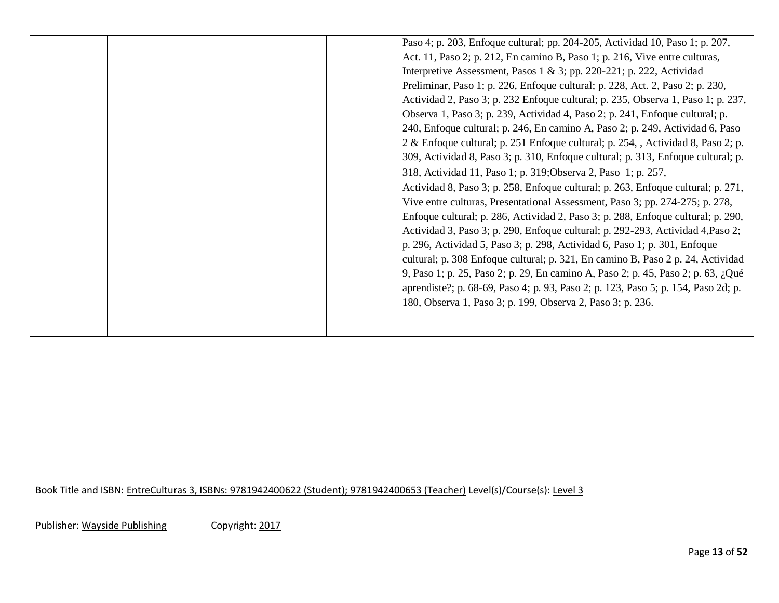| Paso 4; p. 203, Enfoque cultural; pp. 204-205, Actividad 10, Paso 1; p. 207,<br>Act. 11, Paso 2; p. 212, En camino B, Paso 1; p. 216, Vive entre culturas,<br>Interpretive Assessment, Pasos $1 \& 3$ ; pp. 220-221; p. 222, Actividad<br>Preliminar, Paso 1; p. 226, Enfoque cultural; p. 228, Act. 2, Paso 2; p. 230,<br>Actividad 2, Paso 3; p. 232 Enfoque cultural; p. 235, Observa 1, Paso 1; p. 237,<br>Observa 1, Paso 3; p. 239, Actividad 4, Paso 2; p. 241, Enfoque cultural; p.<br>240, Enfoque cultural; p. 246, En camino A, Paso 2; p. 249, Actividad 6, Paso<br>2 & Enfoque cultural; p. 251 Enfoque cultural; p. 254, , Actividad 8, Paso 2; p.<br>309, Actividad 8, Paso 3; p. 310, Enfoque cultural; p. 313, Enfoque cultural; p.<br>318, Actividad 11, Paso 1; p. 319; Observa 2, Paso 1; p. 257,<br>Actividad 8, Paso 3; p. 258, Enfoque cultural; p. 263, Enfoque cultural; p. 271,<br>Vive entre culturas, Presentational Assessment, Paso 3; pp. 274-275; p. 278,<br>Enfoque cultural; p. 286, Actividad 2, Paso 3; p. 288, Enfoque cultural; p. 290,<br>Actividad 3, Paso 3; p. 290, Enfoque cultural; p. 292-293, Actividad 4, Paso 2;<br>p. 296, Actividad 5, Paso 3; p. 298, Actividad 6, Paso 1; p. 301, Enfoque<br>cultural; p. 308 Enfoque cultural; p. 321, En camino B, Paso 2 p. 24, Actividad<br>9, Paso 1; p. 25, Paso 2; p. 29, En camino A, Paso 2; p. 45, Paso 2; p. 63, ¿Qué<br>aprendiste?; p. 68-69, Paso 4; p. 93, Paso 2; p. 123, Paso 5; p. 154, Paso 2d; p. |
|-----------------------------------------------------------------------------------------------------------------------------------------------------------------------------------------------------------------------------------------------------------------------------------------------------------------------------------------------------------------------------------------------------------------------------------------------------------------------------------------------------------------------------------------------------------------------------------------------------------------------------------------------------------------------------------------------------------------------------------------------------------------------------------------------------------------------------------------------------------------------------------------------------------------------------------------------------------------------------------------------------------------------------------------------------------------------------------------------------------------------------------------------------------------------------------------------------------------------------------------------------------------------------------------------------------------------------------------------------------------------------------------------------------------------------------------------------------------------------------------------------------|
|-----------------------------------------------------------------------------------------------------------------------------------------------------------------------------------------------------------------------------------------------------------------------------------------------------------------------------------------------------------------------------------------------------------------------------------------------------------------------------------------------------------------------------------------------------------------------------------------------------------------------------------------------------------------------------------------------------------------------------------------------------------------------------------------------------------------------------------------------------------------------------------------------------------------------------------------------------------------------------------------------------------------------------------------------------------------------------------------------------------------------------------------------------------------------------------------------------------------------------------------------------------------------------------------------------------------------------------------------------------------------------------------------------------------------------------------------------------------------------------------------------------|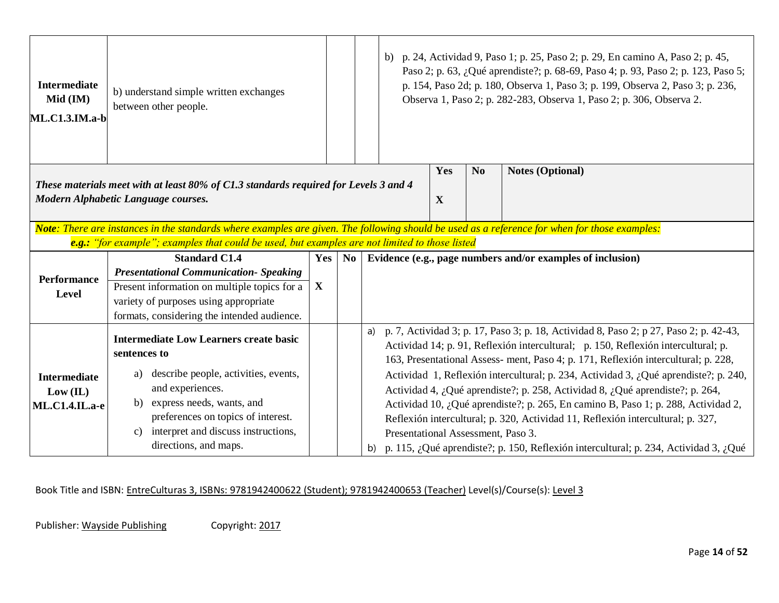| <b>Intermediate</b><br>Mid (IM)<br>ML.C1.3.IM.a-b | b) understand simple written exchanges<br>between other people.                                                                               |             |                             |  |                                                                                                                                                                            |             |                | b) p. 24, Actividad 9, Paso 1; p. 25, Paso 2; p. 29, En camino A, Paso 2; p. 45,<br>Paso 2; p. 63, ¿Qué aprendiste?; p. 68-69, Paso 4; p. 93, Paso 2; p. 123, Paso 5;<br>p. 154, Paso 2d; p. 180, Observa 1, Paso 3; p. 199, Observa 2, Paso 3; p. 236,<br>Observa 1, Paso 2; p. 282-283, Observa 1, Paso 2; p. 306, Observa 2. |  |
|---------------------------------------------------|-----------------------------------------------------------------------------------------------------------------------------------------------|-------------|-----------------------------|--|----------------------------------------------------------------------------------------------------------------------------------------------------------------------------|-------------|----------------|---------------------------------------------------------------------------------------------------------------------------------------------------------------------------------------------------------------------------------------------------------------------------------------------------------------------------------|--|
|                                                   |                                                                                                                                               |             |                             |  |                                                                                                                                                                            | Yes         | N <sub>o</sub> | <b>Notes (Optional)</b>                                                                                                                                                                                                                                                                                                         |  |
|                                                   | These materials meet with at least 80% of C1.3 standards required for Levels 3 and 4<br>Modern Alphabetic Language courses.                   |             |                             |  |                                                                                                                                                                            | $\mathbf X$ |                |                                                                                                                                                                                                                                                                                                                                 |  |
|                                                   | Note: There are instances in the standards where examples are given. The following should be used as a reference for when for those examples: |             |                             |  |                                                                                                                                                                            |             |                |                                                                                                                                                                                                                                                                                                                                 |  |
|                                                   | e.g.: "for example"; examples that could be used, but examples are not limited to those listed                                                |             |                             |  |                                                                                                                                                                            |             |                |                                                                                                                                                                                                                                                                                                                                 |  |
|                                                   | <b>Standard C1.4</b>                                                                                                                          | Yes         | $\overline{\phantom{a}}$ No |  |                                                                                                                                                                            |             |                | Evidence (e.g., page numbers and/or examples of inclusion)                                                                                                                                                                                                                                                                      |  |
| <b>Performance</b>                                | <b>Presentational Communication- Speaking</b>                                                                                                 |             |                             |  |                                                                                                                                                                            |             |                |                                                                                                                                                                                                                                                                                                                                 |  |
| Level                                             | Present information on multiple topics for a                                                                                                  | $\mathbf X$ |                             |  |                                                                                                                                                                            |             |                |                                                                                                                                                                                                                                                                                                                                 |  |
|                                                   | variety of purposes using appropriate                                                                                                         |             |                             |  |                                                                                                                                                                            |             |                |                                                                                                                                                                                                                                                                                                                                 |  |
|                                                   | formats, considering the intended audience.                                                                                                   |             |                             |  |                                                                                                                                                                            |             |                |                                                                                                                                                                                                                                                                                                                                 |  |
|                                                   | <b>Intermediate Low Learners create basic</b>                                                                                                 |             |                             |  |                                                                                                                                                                            |             |                | a) p. 7, Actividad 3; p. 17, Paso 3; p. 18, Actividad 8, Paso 2; p 27, Paso 2; p. 42-43,                                                                                                                                                                                                                                        |  |
|                                                   | sentences to                                                                                                                                  |             |                             |  |                                                                                                                                                                            |             |                | Actividad 14; p. 91, Reflexión intercultural; p. 150, Reflexión intercultural; p.                                                                                                                                                                                                                                               |  |
|                                                   |                                                                                                                                               |             |                             |  | 163, Presentational Assess- ment, Paso 4; p. 171, Reflexión intercultural; p. 228,<br>Actividad 1, Reflexión intercultural; p. 234, Actividad 3, ¿Qué aprendiste?; p. 240, |             |                |                                                                                                                                                                                                                                                                                                                                 |  |
| <b>Intermediate</b>                               | describe people, activities, events,<br>a)                                                                                                    |             |                             |  |                                                                                                                                                                            |             |                |                                                                                                                                                                                                                                                                                                                                 |  |
| Low (IL)                                          | and experiences.                                                                                                                              |             |                             |  |                                                                                                                                                                            |             |                | Actividad 4, ¿Qué aprendiste?; p. 258, Actividad 8, ¿Qué aprendiste?; p. 264,                                                                                                                                                                                                                                                   |  |
| <b>ML.C1.4.IL.a-e</b>                             | express needs, wants, and<br>b)                                                                                                               |             |                             |  |                                                                                                                                                                            |             |                | Actividad 10, ¿Qué aprendiste?; p. 265, En camino B, Paso 1; p. 288, Actividad 2,                                                                                                                                                                                                                                               |  |
|                                                   | preferences on topics of interest.                                                                                                            |             |                             |  |                                                                                                                                                                            |             |                | Reflexión intercultural; p. 320, Actividad 11, Reflexión intercultural; p. 327,                                                                                                                                                                                                                                                 |  |
|                                                   | interpret and discuss instructions,<br>c)                                                                                                     |             |                             |  | Presentational Assessment, Paso 3.                                                                                                                                         |             |                |                                                                                                                                                                                                                                                                                                                                 |  |
|                                                   | directions, and maps.                                                                                                                         |             |                             |  |                                                                                                                                                                            |             |                | b) p. 115, ¿Qué aprendiste?; p. 150, Reflexión intercultural; p. 234, Actividad 3, ¿Qué                                                                                                                                                                                                                                         |  |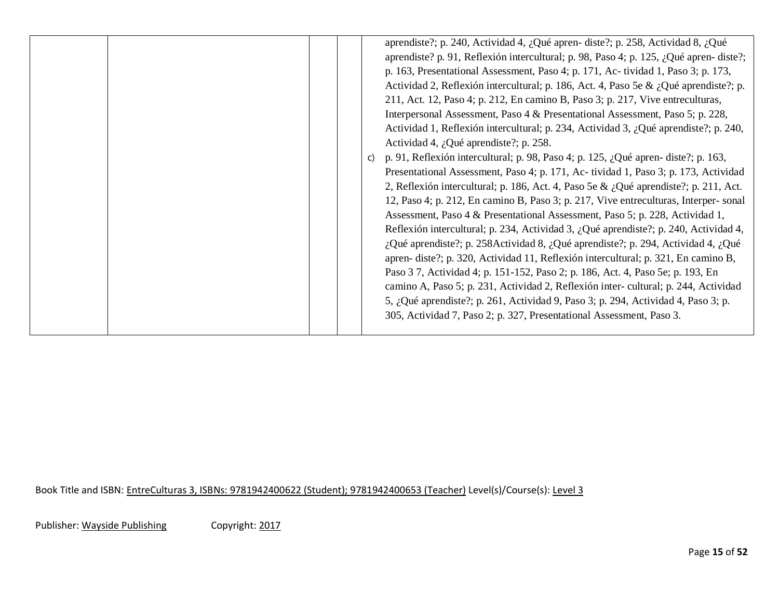| $\mathsf{C}$ | aprendiste?; p. 240, Actividad 4, ¿Qué apren- diste?; p. 258, Actividad 8, ¿Qué<br>aprendiste? p. 91, Reflexión intercultural; p. 98, Paso 4; p. 125, ¿Qué apren-diste?;<br>p. 163, Presentational Assessment, Paso 4; p. 171, Ac-tividad 1, Paso 3; p. 173,<br>Actividad 2, Reflexión intercultural; p. 186, Act. 4, Paso 5e & ¿Qué aprendiste?; p.<br>211, Act. 12, Paso 4; p. 212, En camino B, Paso 3; p. 217, Vive entreculturas,<br>Interpersonal Assessment, Paso 4 & Presentational Assessment, Paso 5; p. 228,<br>Actividad 1, Reflexión intercultural; p. 234, Actividad 3, ¿Qué aprendiste?; p. 240,<br>Actividad 4, ¿Qué aprendiste?; p. 258.<br>p. 91, Reflexión intercultural; p. 98, Paso 4; p. 125, ¿Qué apren- diste?; p. 163,<br>Presentational Assessment, Paso 4; p. 171, Ac-tividad 1, Paso 3; p. 173, Actividad<br>2, Reflexión intercultural; p. 186, Act. 4, Paso 5e & ¿Qué aprendiste?; p. 211, Act.<br>12, Paso 4; p. 212, En camino B, Paso 3; p. 217, Vive entreculturas, Interper-sonal<br>Assessment, Paso 4 & Presentational Assessment, Paso 5; p. 228, Actividad 1,<br>Reflexión intercultural; p. 234, Actividad 3, ¿Qué aprendiste?; p. 240, Actividad 4,<br>¿Qué aprendiste?; p. 258Actividad 8, ¿Qué aprendiste?; p. 294, Actividad 4, ¿Qué<br>apren- diste?; p. 320, Actividad 11, Reflexión intercultural; p. 321, En camino B,<br>Paso 3 7, Actividad 4; p. 151-152, Paso 2; p. 186, Act. 4, Paso 5e; p. 193, En<br>camino A, Paso 5; p. 231, Actividad 2, Reflexión inter- cultural; p. 244, Actividad<br>5, ¿Qué aprendiste?; p. 261, Actividad 9, Paso 3; p. 294, Actividad 4, Paso 3; p.<br>305, Actividad 7, Paso 2; p. 327, Presentational Assessment, Paso 3. |
|--------------|--------------------------------------------------------------------------------------------------------------------------------------------------------------------------------------------------------------------------------------------------------------------------------------------------------------------------------------------------------------------------------------------------------------------------------------------------------------------------------------------------------------------------------------------------------------------------------------------------------------------------------------------------------------------------------------------------------------------------------------------------------------------------------------------------------------------------------------------------------------------------------------------------------------------------------------------------------------------------------------------------------------------------------------------------------------------------------------------------------------------------------------------------------------------------------------------------------------------------------------------------------------------------------------------------------------------------------------------------------------------------------------------------------------------------------------------------------------------------------------------------------------------------------------------------------------------------------------------------------------------------------------------------------------------------------------------------------------|
|--------------|--------------------------------------------------------------------------------------------------------------------------------------------------------------------------------------------------------------------------------------------------------------------------------------------------------------------------------------------------------------------------------------------------------------------------------------------------------------------------------------------------------------------------------------------------------------------------------------------------------------------------------------------------------------------------------------------------------------------------------------------------------------------------------------------------------------------------------------------------------------------------------------------------------------------------------------------------------------------------------------------------------------------------------------------------------------------------------------------------------------------------------------------------------------------------------------------------------------------------------------------------------------------------------------------------------------------------------------------------------------------------------------------------------------------------------------------------------------------------------------------------------------------------------------------------------------------------------------------------------------------------------------------------------------------------------------------------------------|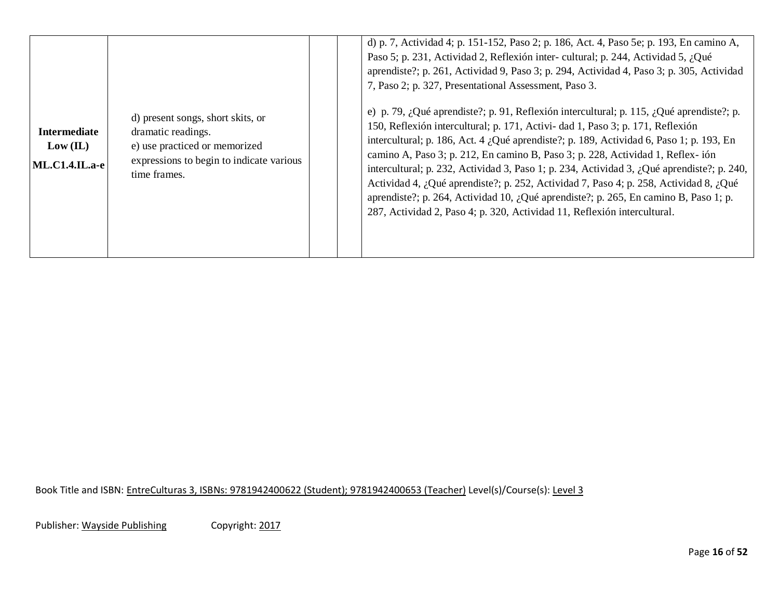|                                                          |                                                                                                                                                      | d) p. 7, Actividad 4; p. 151-152, Paso 2; p. 186, Act. 4, Paso 5e; p. 193, En camino A,<br>Paso 5; p. 231, Actividad 2, Reflexión inter-cultural; p. 244, Actividad 5, ¿Qué<br>aprendiste?; p. 261, Actividad 9, Paso 3; p. 294, Actividad 4, Paso 3; p. 305, Actividad<br>7, Paso 2; p. 327, Presentational Assessment, Paso 3.                                                                                                                                                                                                                                                                                                                                                                                   |
|----------------------------------------------------------|------------------------------------------------------------------------------------------------------------------------------------------------------|--------------------------------------------------------------------------------------------------------------------------------------------------------------------------------------------------------------------------------------------------------------------------------------------------------------------------------------------------------------------------------------------------------------------------------------------------------------------------------------------------------------------------------------------------------------------------------------------------------------------------------------------------------------------------------------------------------------------|
| <b>Intermediate</b><br>Low (IL)<br><b>ML.C1.4.IL.a-e</b> | d) present songs, short skits, or<br>dramatic readings.<br>e) use practiced or memorized<br>expressions to begin to indicate various<br>time frames. | e) p. 79, ¿Qué aprendiste?; p. 91, Reflexión intercultural; p. 115, ¿Qué aprendiste?; p.<br>150, Reflexión intercultural; p. 171, Activi- dad 1, Paso 3; p. 171, Reflexión<br>intercultural; p. 186, Act. 4 ¿Qué aprendiste?; p. 189, Actividad 6, Paso 1; p. 193, En<br>camino A, Paso 3; p. 212, En camino B, Paso 3; p. 228, Actividad 1, Reflex-ión<br>intercultural; p. 232, Actividad 3, Paso 1; p. 234, Actividad 3, ¿Qué aprendiste?; p. 240,<br>Actividad 4, ¿Qué aprendiste?; p. 252, Actividad 7, Paso 4; p. 258, Actividad 8, ¿Qué<br>aprendiste?; p. 264, Actividad 10, ¿Qué aprendiste?; p. 265, En camino B, Paso 1; p.<br>287, Actividad 2, Paso 4; p. 320, Actividad 11, Reflexión intercultural. |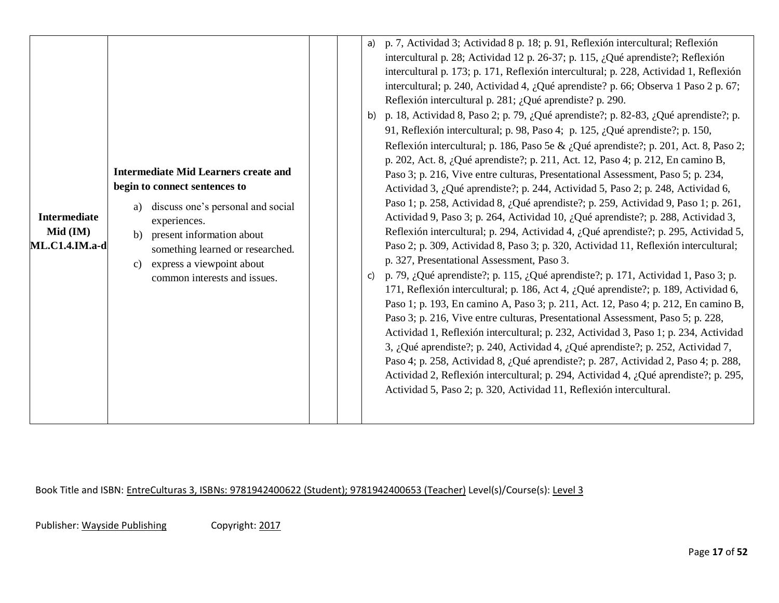| <b>Intermediate</b><br>Mid (IM)<br>ML.C1.4.IM.a-d | <b>Intermediate Mid Learners create and</b><br>begin to connect sentences to<br>discuss one's personal and social<br>a)<br>experiences.<br>present information about<br>b)<br>something learned or researched.<br>express a viewpoint about<br>$\mathbf{c}$<br>common interests and issues. | a) p. 7, Actividad 3; Actividad 8 p. 18; p. 91, Reflexión intercultural; Reflexión<br>intercultural p. 28; Actividad 12 p. 26-37; p. 115, ¿Qué aprendiste?; Reflexión<br>intercultural p. 173; p. 171, Reflexión intercultural; p. 228, Actividad 1, Reflexión<br>intercultural; p. 240, Actividad 4, ¿Qué aprendiste? p. 66; Observa 1 Paso 2 p. 67;<br>Reflexión intercultural p. 281; ¿Qué aprendiste? p. 290.<br>b) p. 18, Actividad 8, Paso 2; p. 79, ¿Qué aprendiste?; p. 82-83, ¿Qué aprendiste?; p.<br>91, Reflexión intercultural; p. 98, Paso 4; p. 125, ¿Qué aprendiste?; p. 150,<br>Reflexión intercultural; p. 186, Paso 5e & ¿Qué aprendiste?; p. 201, Act. 8, Paso 2;<br>p. 202, Act. 8, ¿Qué aprendiste?; p. 211, Act. 12, Paso 4; p. 212, En camino B,<br>Paso 3; p. 216, Vive entre culturas, Presentational Assessment, Paso 5; p. 234,<br>Actividad 3, ¿Qué aprendiste?; p. 244, Actividad 5, Paso 2; p. 248, Actividad 6,<br>Paso 1; p. 258, Actividad 8, ¿Qué aprendiste?; p. 259, Actividad 9, Paso 1; p. 261,<br>Actividad 9, Paso 3; p. 264, Actividad 10, ¿Qué aprendiste?; p. 288, Actividad 3,<br>Reflexión intercultural; p. 294, Actividad 4, ¿Qué aprendiste?; p. 295, Actividad 5,<br>Paso 2; p. 309, Actividad 8, Paso 3; p. 320, Actividad 11, Reflexión intercultural;<br>p. 327, Presentational Assessment, Paso 3.<br>p. 79, ¿Qué aprendiste?; p. 115, ¿Qué aprendiste?; p. 171, Actividad 1, Paso 3; p.<br>C)<br>171, Reflexión intercultural; p. 186, Act 4, ¿Qué aprendiste?; p. 189, Actividad 6,<br>Paso 1; p. 193, En camino A, Paso 3; p. 211, Act. 12, Paso 4; p. 212, En camino B,<br>Paso 3; p. 216, Vive entre culturas, Presentational Assessment, Paso 5; p. 228,<br>Actividad 1, Reflexión intercultural; p. 232, Actividad 3, Paso 1; p. 234, Actividad<br>3, ¿Qué aprendiste?; p. 240, Actividad 4, ¿Qué aprendiste?; p. 252, Actividad 7,<br>Paso 4; p. 258, Actividad 8, ¿Qué aprendiste?; p. 287, Actividad 2, Paso 4; p. 288,<br>Actividad 2, Reflexión intercultural; p. 294, Actividad 4, ¿Qué aprendiste?; p. 295,<br>Actividad 5, Paso 2; p. 320, Actividad 11, Reflexión intercultural. |  |
|---------------------------------------------------|---------------------------------------------------------------------------------------------------------------------------------------------------------------------------------------------------------------------------------------------------------------------------------------------|-------------------------------------------------------------------------------------------------------------------------------------------------------------------------------------------------------------------------------------------------------------------------------------------------------------------------------------------------------------------------------------------------------------------------------------------------------------------------------------------------------------------------------------------------------------------------------------------------------------------------------------------------------------------------------------------------------------------------------------------------------------------------------------------------------------------------------------------------------------------------------------------------------------------------------------------------------------------------------------------------------------------------------------------------------------------------------------------------------------------------------------------------------------------------------------------------------------------------------------------------------------------------------------------------------------------------------------------------------------------------------------------------------------------------------------------------------------------------------------------------------------------------------------------------------------------------------------------------------------------------------------------------------------------------------------------------------------------------------------------------------------------------------------------------------------------------------------------------------------------------------------------------------------------------------------------------------------------------------------------------------------------------------------------------------------------------------------------------------------------------------------------------------|--|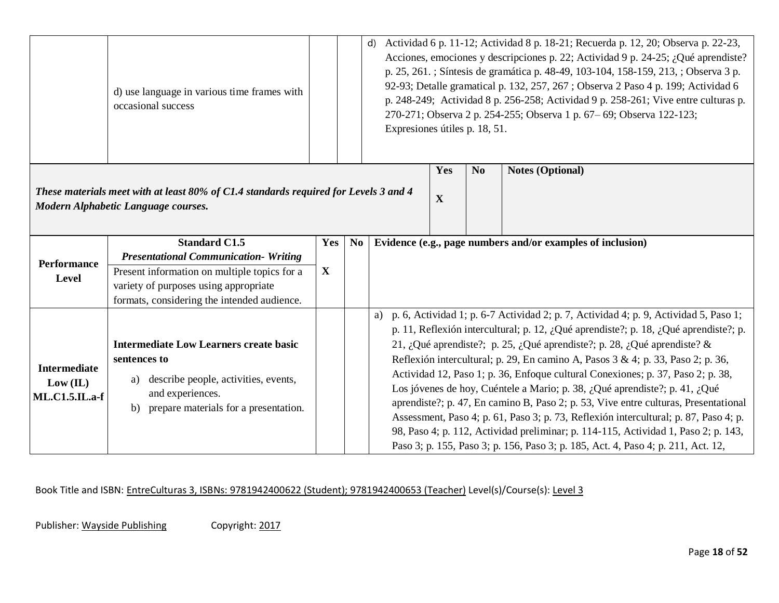|                                                                                                                             | d) use language in various time frames with<br>occasional success |             |                    | d)<br>Expresiones útiles p. 18, 51.                                              |                         |  | Actividad 6 p. 11-12; Actividad 8 p. 18-21; Recuerda p. 12, 20; Observa p. 22-23,<br>Acciones, emociones y descripciones p. 22; Actividad 9 p. 24-25; ¿Qué aprendiste?<br>p. 25, 261. ; Síntesis de gramática p. 48-49, 103-104, 158-159, 213, ; Observa 3 p.<br>92-93; Detalle gramatical p. 132, 257, 267; Observa 2 Paso 4 p. 199; Actividad 6<br>p. 248-249; Actividad 8 p. 256-258; Actividad 9 p. 258-261; Vive entre culturas p.<br>270-271; Observa 2 p. 254-255; Observa 1 p. 67-69; Observa 122-123; |  |
|-----------------------------------------------------------------------------------------------------------------------------|-------------------------------------------------------------------|-------------|--------------------|----------------------------------------------------------------------------------|-------------------------|--|----------------------------------------------------------------------------------------------------------------------------------------------------------------------------------------------------------------------------------------------------------------------------------------------------------------------------------------------------------------------------------------------------------------------------------------------------------------------------------------------------------------|--|
| These materials meet with at least 80% of C1.4 standards required for Levels 3 and 4<br>Modern Alphabetic Language courses. |                                                                   |             | Yes<br>$\mathbf X$ | N <sub>o</sub>                                                                   | <b>Notes (Optional)</b> |  |                                                                                                                                                                                                                                                                                                                                                                                                                                                                                                                |  |
|                                                                                                                             |                                                                   |             |                    |                                                                                  |                         |  |                                                                                                                                                                                                                                                                                                                                                                                                                                                                                                                |  |
|                                                                                                                             | <b>Standard C1.5</b>                                              | Yes         | N <sub>0</sub>     |                                                                                  |                         |  | Evidence (e.g., page numbers and/or examples of inclusion)                                                                                                                                                                                                                                                                                                                                                                                                                                                     |  |
| <b>Performance</b>                                                                                                          | <b>Presentational Communication- Writing</b>                      |             |                    |                                                                                  |                         |  |                                                                                                                                                                                                                                                                                                                                                                                                                                                                                                                |  |
| Level                                                                                                                       | Present information on multiple topics for a                      | $\mathbf X$ |                    |                                                                                  |                         |  |                                                                                                                                                                                                                                                                                                                                                                                                                                                                                                                |  |
|                                                                                                                             | variety of purposes using appropriate                             |             |                    |                                                                                  |                         |  |                                                                                                                                                                                                                                                                                                                                                                                                                                                                                                                |  |
|                                                                                                                             | formats, considering the intended audience.                       |             |                    |                                                                                  |                         |  |                                                                                                                                                                                                                                                                                                                                                                                                                                                                                                                |  |
|                                                                                                                             |                                                                   |             |                    |                                                                                  |                         |  | a) p. 6, Actividad 1; p. 6-7 Actividad 2; p. 7, Actividad 4; p. 9, Actividad 5, Paso 1;                                                                                                                                                                                                                                                                                                                                                                                                                        |  |
|                                                                                                                             |                                                                   |             |                    |                                                                                  |                         |  | p. 11, Reflexión intercultural; p. 12, ¿Qué aprendiste?; p. 18, ¿Qué aprendiste?; p.                                                                                                                                                                                                                                                                                                                                                                                                                           |  |
|                                                                                                                             | <b>Intermediate Low Learners create basic</b>                     |             |                    |                                                                                  |                         |  | 21, ¿Qué aprendiste?; p. 25, ¿Qué aprendiste?; p. 28, ¿Qué aprendiste? &                                                                                                                                                                                                                                                                                                                                                                                                                                       |  |
| <b>Intermediate</b>                                                                                                         | sentences to                                                      |             |                    |                                                                                  |                         |  | Reflexión intercultural; p. 29, En camino A, Pasos 3 & 4; p. 33, Paso 2; p. 36,                                                                                                                                                                                                                                                                                                                                                                                                                                |  |
| Low (IL)                                                                                                                    | a) describe people, activities, events,                           |             |                    |                                                                                  |                         |  | Actividad 12, Paso 1; p. 36, Enfoque cultural Conexiones; p. 37, Paso 2; p. 38,<br>Los jóvenes de hoy, Cuéntele a Mario; p. 38, ¿Qué aprendiste?; p. 41, ¿Qué                                                                                                                                                                                                                                                                                                                                                  |  |
| <b>ML.C1.5.IL.a-f</b>                                                                                                       | and experiences.                                                  |             |                    |                                                                                  |                         |  | aprendiste?; p. 47, En camino B, Paso 2; p. 53, Vive entre culturas, Presentational                                                                                                                                                                                                                                                                                                                                                                                                                            |  |
|                                                                                                                             | prepare materials for a presentation.<br>b)                       |             |                    |                                                                                  |                         |  | Assessment, Paso 4; p. 61, Paso 3; p. 73, Reflexión intercultural; p. 87, Paso 4; p.                                                                                                                                                                                                                                                                                                                                                                                                                           |  |
|                                                                                                                             |                                                                   |             |                    |                                                                                  |                         |  | 98, Paso 4; p. 112, Actividad preliminar; p. 114-115, Actividad 1, Paso 2; p. 143,                                                                                                                                                                                                                                                                                                                                                                                                                             |  |
|                                                                                                                             |                                                                   |             |                    | Paso 3; p. 155, Paso 3; p. 156, Paso 3; p. 185, Act. 4, Paso 4; p. 211, Act. 12, |                         |  |                                                                                                                                                                                                                                                                                                                                                                                                                                                                                                                |  |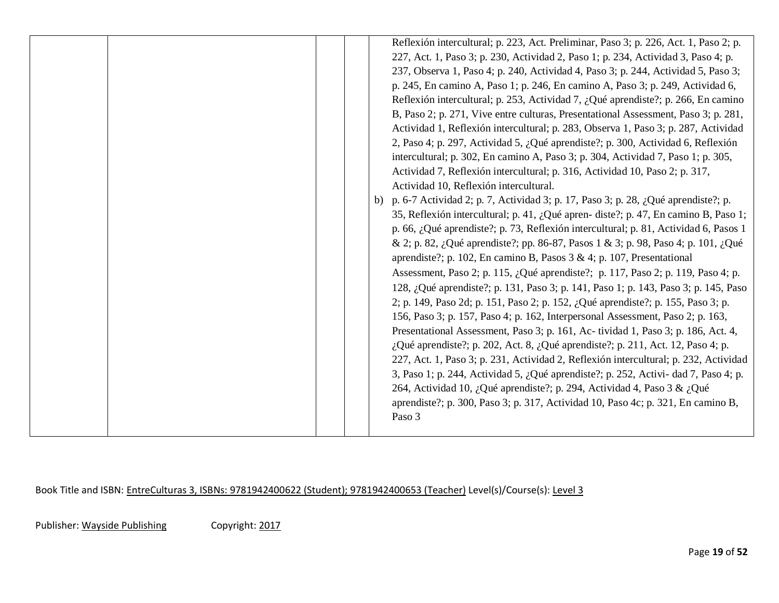|  | Reflexión intercultural; p. 223, Act. Preliminar, Paso 3; p. 226, Act. 1, Paso 2; p.<br>227, Act. 1, Paso 3; p. 230, Actividad 2, Paso 1; p. 234, Actividad 3, Paso 4; p.<br>237, Observa 1, Paso 4; p. 240, Actividad 4, Paso 3; p. 244, Actividad 5, Paso 3;<br>p. 245, En camino A, Paso 1; p. 246, En camino A, Paso 3; p. 249, Actividad 6,<br>Reflexión intercultural; p. 253, Actividad 7, ¿Qué aprendiste?; p. 266, En camino<br>B, Paso 2; p. 271, Vive entre culturas, Presentational Assessment, Paso 3; p. 281,<br>Actividad 1, Reflexión intercultural; p. 283, Observa 1, Paso 3; p. 287, Actividad<br>2, Paso 4; p. 297, Actividad 5, ¿Qué aprendiste?; p. 300, Actividad 6, Reflexión<br>intercultural; p. 302, En camino A, Paso 3; p. 304, Actividad 7, Paso 1; p. 305,<br>Actividad 7, Reflexión intercultural; p. 316, Actividad 10, Paso 2; p. 317,<br>Actividad 10, Reflexión intercultural.<br>b) p. 6-7 Actividad 2; p. 7, Actividad 3; p. 17, Paso 3; p. 28, ¿Qué aprendiste?; p.<br>35, Reflexión intercultural; p. 41, ¿Qué apren- diste?; p. 47, En camino B, Paso 1;<br>p. 66, ¿Qué aprendiste?; p. 73, Reflexión intercultural; p. 81, Actividad 6, Pasos 1<br>& 2; p. 82, ¿Qué aprendiste?; pp. 86-87, Pasos 1 & 3; p. 98, Paso 4; p. 101, ¿Qué<br>aprendiste?; p. 102, En camino B, Pasos 3 & 4; p. 107, Presentational<br>Assessment, Paso 2; p. 115, ¿Qué aprendiste?; p. 117, Paso 2; p. 119, Paso 4; p.<br>128, ¿Qué aprendiste?; p. 131, Paso 3; p. 141, Paso 1; p. 143, Paso 3; p. 145, Paso<br>2; p. 149, Paso 2d; p. 151, Paso 2; p. 152, ¿Qué aprendiste?; p. 155, Paso 3; p.<br>156, Paso 3; p. 157, Paso 4; p. 162, Interpersonal Assessment, Paso 2; p. 163,<br>Presentational Assessment, Paso 3; p. 161, Ac-tividad 1, Paso 3; p. 186, Act. 4,<br>¿Qué aprendiste?; p. 202, Act. 8, ¿Qué aprendiste?; p. 211, Act. 12, Paso 4; p.<br>227, Act. 1, Paso 3; p. 231, Actividad 2, Reflexión intercultural; p. 232, Actividad<br>3, Paso 1; p. 244, Actividad 5, ¿Qué aprendiste?; p. 252, Activi- dad 7, Paso 4; p.<br>264, Actividad 10, ¿Qué aprendiste?; p. 294, Actividad 4, Paso 3 & ¿Qué<br>aprendiste?; p. 300, Paso 3; p. 317, Actividad 10, Paso 4c; p. 321, En camino B,<br>Paso 3 |
|--|-----------------------------------------------------------------------------------------------------------------------------------------------------------------------------------------------------------------------------------------------------------------------------------------------------------------------------------------------------------------------------------------------------------------------------------------------------------------------------------------------------------------------------------------------------------------------------------------------------------------------------------------------------------------------------------------------------------------------------------------------------------------------------------------------------------------------------------------------------------------------------------------------------------------------------------------------------------------------------------------------------------------------------------------------------------------------------------------------------------------------------------------------------------------------------------------------------------------------------------------------------------------------------------------------------------------------------------------------------------------------------------------------------------------------------------------------------------------------------------------------------------------------------------------------------------------------------------------------------------------------------------------------------------------------------------------------------------------------------------------------------------------------------------------------------------------------------------------------------------------------------------------------------------------------------------------------------------------------------------------------------------------------------------------------------------------------------------------------------------------------------------------------------------------------------------------------------------------------------------------|
|--|-----------------------------------------------------------------------------------------------------------------------------------------------------------------------------------------------------------------------------------------------------------------------------------------------------------------------------------------------------------------------------------------------------------------------------------------------------------------------------------------------------------------------------------------------------------------------------------------------------------------------------------------------------------------------------------------------------------------------------------------------------------------------------------------------------------------------------------------------------------------------------------------------------------------------------------------------------------------------------------------------------------------------------------------------------------------------------------------------------------------------------------------------------------------------------------------------------------------------------------------------------------------------------------------------------------------------------------------------------------------------------------------------------------------------------------------------------------------------------------------------------------------------------------------------------------------------------------------------------------------------------------------------------------------------------------------------------------------------------------------------------------------------------------------------------------------------------------------------------------------------------------------------------------------------------------------------------------------------------------------------------------------------------------------------------------------------------------------------------------------------------------------------------------------------------------------------------------------------------------------|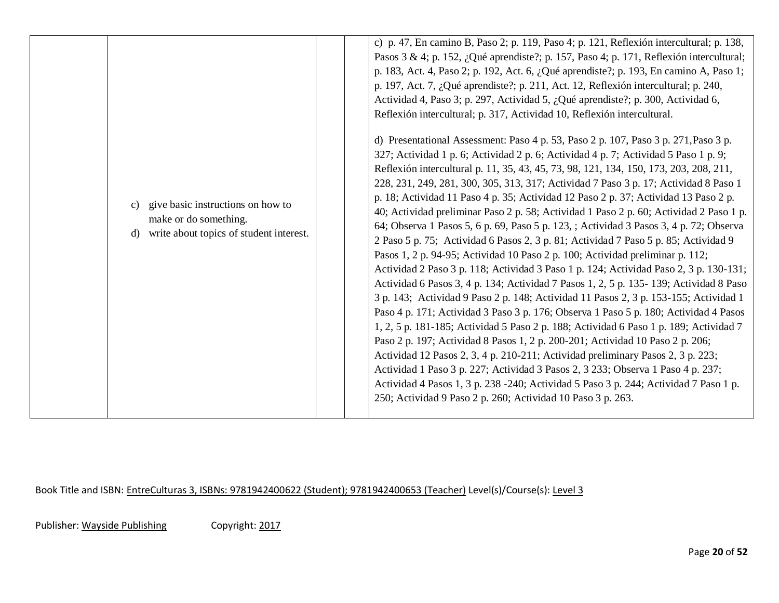|                                                                                                                   | c) p. 47, En camino B, Paso 2; p. 119, Paso 4; p. 121, Reflexión intercultural; p. 138,<br>Pasos 3 & 4; p. 152, ¿Qué aprendiste?; p. 157, Paso 4; p. 171, Reflexión intercultural;<br>p. 183, Act. 4, Paso 2; p. 192, Act. 6, ¿Qué aprendiste?; p. 193, En camino A, Paso 1;                                                                                                                                                                                                                                                                                                                                                                                                                                                                                                                                                                                                                                                                                                                                                                                                                                                                                                                                                                                                                                                                                                                                                                                                                                                                                                                                                                                                                                                                                                                                                                           |
|-------------------------------------------------------------------------------------------------------------------|--------------------------------------------------------------------------------------------------------------------------------------------------------------------------------------------------------------------------------------------------------------------------------------------------------------------------------------------------------------------------------------------------------------------------------------------------------------------------------------------------------------------------------------------------------------------------------------------------------------------------------------------------------------------------------------------------------------------------------------------------------------------------------------------------------------------------------------------------------------------------------------------------------------------------------------------------------------------------------------------------------------------------------------------------------------------------------------------------------------------------------------------------------------------------------------------------------------------------------------------------------------------------------------------------------------------------------------------------------------------------------------------------------------------------------------------------------------------------------------------------------------------------------------------------------------------------------------------------------------------------------------------------------------------------------------------------------------------------------------------------------------------------------------------------------------------------------------------------------|
| give basic instructions on how to<br>c)<br>make or do something.<br>write about topics of student interest.<br>d) | Actividad 4, Paso 3; p. 297, Actividad 5, ¿Qué aprendiste?; p. 300, Actividad 6,<br>Reflexión intercultural; p. 317, Actividad 10, Reflexión intercultural.<br>d) Presentational Assessment: Paso 4 p. 53, Paso 2 p. 107, Paso 3 p. 271, Paso 3 p.<br>327; Actividad 1 p. 6; Actividad 2 p. 6; Actividad 4 p. 7; Actividad 5 Paso 1 p. 9;<br>Reflexión intercultural p. 11, 35, 43, 45, 73, 98, 121, 134, 150, 173, 203, 208, 211,<br>228, 231, 249, 281, 300, 305, 313, 317; Actividad 7 Paso 3 p. 17; Actividad 8 Paso 1<br>p. 18; Actividad 11 Paso 4 p. 35; Actividad 12 Paso 2 p. 37; Actividad 13 Paso 2 p.<br>40; Actividad preliminar Paso 2 p. 58; Actividad 1 Paso 2 p. 60; Actividad 2 Paso 1 p.<br>64; Observa 1 Pasos 5, 6 p. 69, Paso 5 p. 123, ; Actividad 3 Pasos 3, 4 p. 72; Observa<br>2 Paso 5 p. 75; Actividad 6 Pasos 2, 3 p. 81; Actividad 7 Paso 5 p. 85; Actividad 9<br>Pasos 1, 2 p. 94-95; Actividad 10 Paso 2 p. 100; Actividad preliminar p. 112;<br>Actividad 2 Paso 3 p. 118; Actividad 3 Paso 1 p. 124; Actividad Paso 2, 3 p. 130-131;<br>Actividad 6 Pasos 3, 4 p. 134; Actividad 7 Pasos 1, 2, 5 p. 135-139; Actividad 8 Paso<br>3 p. 143; Actividad 9 Paso 2 p. 148; Actividad 11 Pasos 2, 3 p. 153-155; Actividad 1<br>Paso 4 p. 171; Actividad 3 Paso 3 p. 176; Observa 1 Paso 5 p. 180; Actividad 4 Pasos<br>1, 2, 5 p. 181-185; Actividad 5 Paso 2 p. 188; Actividad 6 Paso 1 p. 189; Actividad 7<br>Paso 2 p. 197; Actividad 8 Pasos 1, 2 p. 200-201; Actividad 10 Paso 2 p. 206;<br>Actividad 12 Pasos 2, 3, 4 p. 210-211; Actividad preliminary Pasos 2, 3 p. 223;<br>Actividad 1 Paso 3 p. 227; Actividad 3 Pasos 2, 3 233; Observa 1 Paso 4 p. 237;<br>Actividad 4 Pasos 1, 3 p. 238 -240; Actividad 5 Paso 3 p. 244; Actividad 7 Paso 1 p.<br>250; Actividad 9 Paso 2 p. 260; Actividad 10 Paso 3 p. 263. |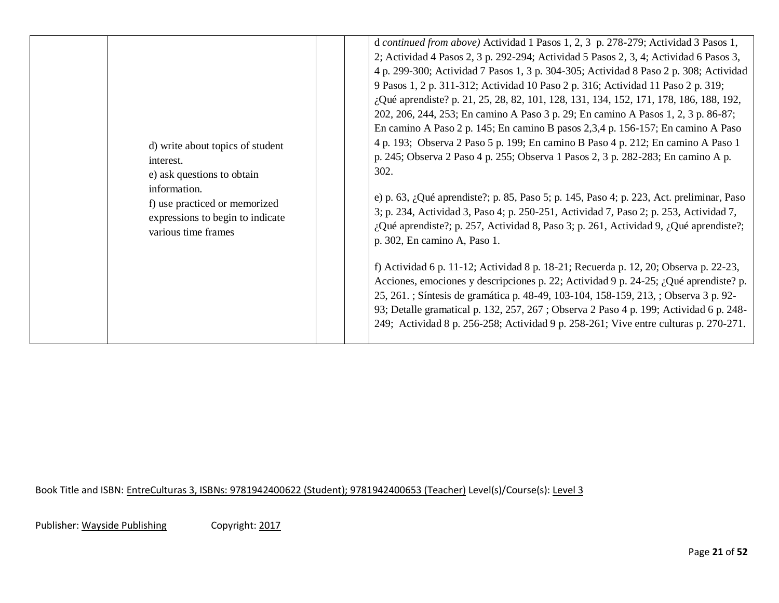|                                                                                                                                                                                         | d continued from above) Actividad 1 Pasos 1, 2, 3 p. 278-279; Actividad 3 Pasos 1,<br>2; Actividad 4 Pasos 2, 3 p. 292-294; Actividad 5 Pasos 2, 3, 4; Actividad 6 Pasos 3,<br>4 p. 299-300; Actividad 7 Pasos 1, 3 p. 304-305; Actividad 8 Paso 2 p. 308; Actividad<br>9 Pasos 1, 2 p. 311-312; Actividad 10 Paso 2 p. 316; Actividad 11 Paso 2 p. 319;<br>¿Qué aprendiste? p. 21, 25, 28, 82, 101, 128, 131, 134, 152, 171, 178, 186, 188, 192,<br>202, 206, 244, 253; En camino A Paso 3 p. 29; En camino A Pasos 1, 2, 3 p. 86-87;<br>En camino A Paso 2 p. 145; En camino B pasos 2,3,4 p. 156-157; En camino A Paso                                                                                                                                                                                                                                                                                                                           |
|-----------------------------------------------------------------------------------------------------------------------------------------------------------------------------------------|-----------------------------------------------------------------------------------------------------------------------------------------------------------------------------------------------------------------------------------------------------------------------------------------------------------------------------------------------------------------------------------------------------------------------------------------------------------------------------------------------------------------------------------------------------------------------------------------------------------------------------------------------------------------------------------------------------------------------------------------------------------------------------------------------------------------------------------------------------------------------------------------------------------------------------------------------------|
| d) write about topics of student<br>interest.<br>e) ask questions to obtain<br>information.<br>f) use practiced or memorized<br>expressions to begin to indicate<br>various time frames | 4 p. 193; Observa 2 Paso 5 p. 199; En camino B Paso 4 p. 212; En camino A Paso 1<br>p. 245; Observa 2 Paso 4 p. 255; Observa 1 Pasos 2, 3 p. 282-283; En camino A p.<br>302.<br>e) p. 63, ¿Qué aprendiste?; p. 85, Paso 5; p. 145, Paso 4; p. 223, Act. preliminar, Paso<br>3; p. 234, Actividad 3, Paso 4; p. 250-251, Actividad 7, Paso 2; p. 253, Actividad 7,<br>¿Qué aprendiste?; p. 257, Actividad 8, Paso 3; p. 261, Actividad 9, ¿Qué aprendiste?;<br>p. 302, En camino A, Paso 1.<br>f) Actividad 6 p. 11-12; Actividad 8 p. 18-21; Recuerda p. 12, 20; Observa p. 22-23,<br>Acciones, emociones y descripciones p. 22; Actividad 9 p. 24-25; ¿Qué aprendiste? p.<br>25, 261. ; Síntesis de gramática p. 48-49, 103-104, 158-159, 213, ; Observa 3 p. 92-<br>93; Detalle gramatical p. 132, 257, 267; Observa 2 Paso 4 p. 199; Actividad 6 p. 248-<br>249; Actividad 8 p. 256-258; Actividad 9 p. 258-261; Vive entre culturas p. 270-271. |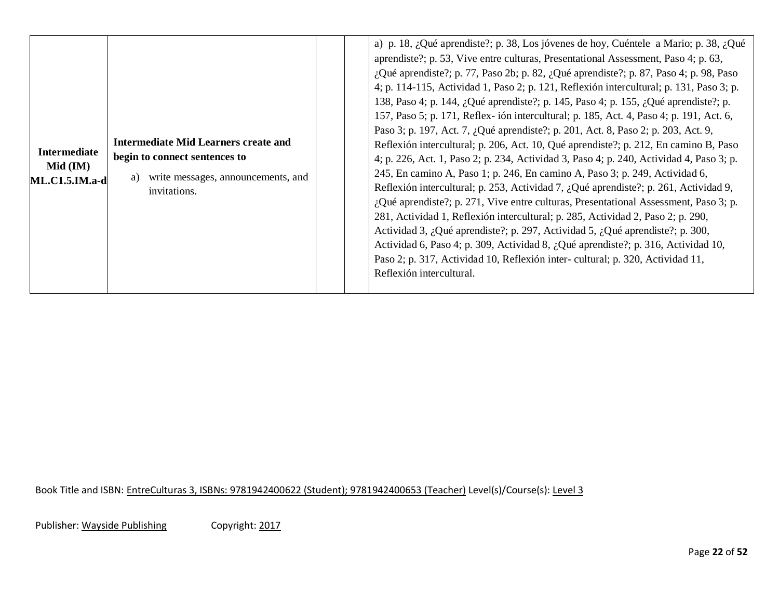| <b>Intermediate</b><br>$Mid$ (IM)<br>$ML.C1.5.IM.a-d$ | Intermediate Mid Learners create and<br>begin to connect sentences to<br>write messages, announcements, and<br>a)<br>invitations. |  | a) p. 18, ¿Qué aprendiste?; p. 38, Los jóvenes de hoy, Cuéntele a Mario; p. 38, ¿Qué<br>aprendiste?; p. 53, Vive entre culturas, Presentational Assessment, Paso 4; p. 63,<br>¿Qué aprendiste?; p. 77, Paso 2b; p. 82, ¿Qué aprendiste?; p. 87, Paso 4; p. 98, Paso<br>4; p. 114-115, Actividad 1, Paso 2; p. 121, Reflexión intercultural; p. 131, Paso 3; p.<br>138, Paso 4; p. 144, ¿Qué aprendiste?; p. 145, Paso 4; p. 155, ¿Qué aprendiste?; p.<br>157, Paso 5; p. 171, Reflex-ión intercultural; p. 185, Act. 4, Paso 4; p. 191, Act. 6,<br>Paso 3; p. 197, Act. 7, ¿Qué aprendiste?; p. 201, Act. 8, Paso 2; p. 203, Act. 9,<br>Reflexión intercultural; p. 206, Act. 10, Qué aprendiste?; p. 212, En camino B, Paso<br>4; p. 226, Act. 1, Paso 2; p. 234, Actividad 3, Paso 4; p. 240, Actividad 4, Paso 3; p.<br>245, En camino A, Paso 1; p. 246, En camino A, Paso 3; p. 249, Actividad 6,<br>Reflexión intercultural; p. 253, Actividad 7, ¿Qué aprendiste?; p. 261, Actividad 9,<br>$i$ , Qué aprendiste?; p. 271, Vive entre culturas, Presentational Assessment, Paso 3; p.<br>281, Actividad 1, Reflexión intercultural; p. 285, Actividad 2, Paso 2; p. 290,<br>Actividad 3, ¿Qué aprendiste?; p. 297, Actividad 5, ¿Qué aprendiste?; p. 300,<br>Actividad 6, Paso 4; p. 309, Actividad 8, ¿Qué aprendiste?; p. 316, Actividad 10,<br>Paso 2; p. 317, Actividad 10, Reflexión inter-cultural; p. 320, Actividad 11,<br>Reflexión intercultural. |
|-------------------------------------------------------|-----------------------------------------------------------------------------------------------------------------------------------|--|-------------------------------------------------------------------------------------------------------------------------------------------------------------------------------------------------------------------------------------------------------------------------------------------------------------------------------------------------------------------------------------------------------------------------------------------------------------------------------------------------------------------------------------------------------------------------------------------------------------------------------------------------------------------------------------------------------------------------------------------------------------------------------------------------------------------------------------------------------------------------------------------------------------------------------------------------------------------------------------------------------------------------------------------------------------------------------------------------------------------------------------------------------------------------------------------------------------------------------------------------------------------------------------------------------------------------------------------------------------------------------------------------------------------------------------------------------------------|
|-------------------------------------------------------|-----------------------------------------------------------------------------------------------------------------------------------|--|-------------------------------------------------------------------------------------------------------------------------------------------------------------------------------------------------------------------------------------------------------------------------------------------------------------------------------------------------------------------------------------------------------------------------------------------------------------------------------------------------------------------------------------------------------------------------------------------------------------------------------------------------------------------------------------------------------------------------------------------------------------------------------------------------------------------------------------------------------------------------------------------------------------------------------------------------------------------------------------------------------------------------------------------------------------------------------------------------------------------------------------------------------------------------------------------------------------------------------------------------------------------------------------------------------------------------------------------------------------------------------------------------------------------------------------------------------------------|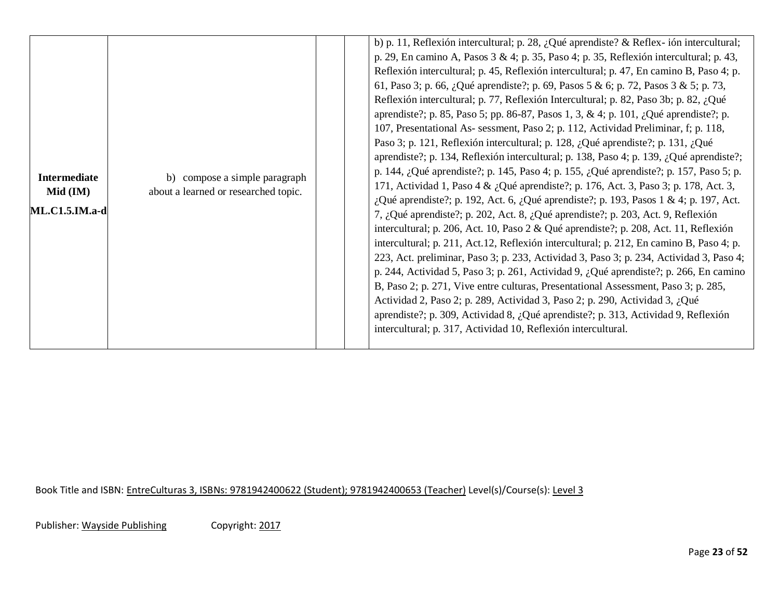| <b>Intermediate</b><br>$Mid$ (IM)<br>$ML.C1.5.IM.a-d$ | b) compose a simple paragraph<br>about a learned or researched topic. |  | b) p. 11, Reflexión intercultural; p. 28, ¿Qué aprendiste? & Reflex-ión intercultural;<br>p. 29, En camino A, Pasos 3 & 4; p. 35, Paso 4; p. 35, Reflexión intercultural; p. 43,<br>Reflexión intercultural; p. 45, Reflexión intercultural; p. 47, En camino B, Paso 4; p.<br>61, Paso 3; p. 66, ¿Qué aprendiste?; p. 69, Pasos 5 & 6; p. 72, Pasos 3 & 5; p. 73,<br>Reflexión intercultural; p. 77, Reflexión Intercultural; p. 82, Paso 3b; p. 82, ¿Qué<br>aprendiste?; p. 85, Paso 5; pp. 86-87, Pasos 1, 3, & 4; p. 101, ¿Qué aprendiste?; p.<br>107, Presentational As- sessment, Paso 2; p. 112, Actividad Preliminar, f; p. 118,<br>Paso 3; p. 121, Reflexión intercultural; p. 128, ¿Qué aprendiste?; p. 131, ¿Qué<br>aprendiste?; p. 134, Reflexión intercultural; p. 138, Paso 4; p. 139, ¿Qué aprendiste?;<br>p. 144, ¿Qué aprendiste?; p. 145, Paso 4; p. 155, ¿Qué aprendiste?; p. 157, Paso 5; p.<br>171, Actividad 1, Paso 4 & ¿Qué aprendiste?; p. 176, Act. 3, Paso 3; p. 178, Act. 3,<br>¿Qué aprendiste?; p. 192, Act. 6, ¿Qué aprendiste?; p. 193, Pasos 1 & 4; p. 197, Act.<br>7, ¿Qué aprendiste?; p. 202, Act. 8, ¿Qué aprendiste?; p. 203, Act. 9, Reflexión<br>intercultural; p. 206, Act. 10, Paso 2 & Qué aprendiste?; p. 208, Act. 11, Reflexión<br>intercultural; p. 211, Act.12, Reflexión intercultural; p. 212, En camino B, Paso 4; p.<br>223, Act. preliminar, Paso 3; p. 233, Actividad 3, Paso 3; p. 234, Actividad 3, Paso 4;<br>p. 244, Actividad 5, Paso 3; p. 261, Actividad 9, $\partial_{\alpha}$ . Qué aprendiste?; p. 266, En camino<br>B, Paso 2; p. 271, Vive entre culturas, Presentational Assessment, Paso 3; p. 285,<br>Actividad 2, Paso 2; p. 289, Actividad 3, Paso 2; p. 290, Actividad 3, ¿Qué<br>aprendiste?; p. 309, Actividad 8, ¿Qué aprendiste?; p. 313, Actividad 9, Reflexión<br>intercultural; p. 317, Actividad 10, Reflexión intercultural. |
|-------------------------------------------------------|-----------------------------------------------------------------------|--|---------------------------------------------------------------------------------------------------------------------------------------------------------------------------------------------------------------------------------------------------------------------------------------------------------------------------------------------------------------------------------------------------------------------------------------------------------------------------------------------------------------------------------------------------------------------------------------------------------------------------------------------------------------------------------------------------------------------------------------------------------------------------------------------------------------------------------------------------------------------------------------------------------------------------------------------------------------------------------------------------------------------------------------------------------------------------------------------------------------------------------------------------------------------------------------------------------------------------------------------------------------------------------------------------------------------------------------------------------------------------------------------------------------------------------------------------------------------------------------------------------------------------------------------------------------------------------------------------------------------------------------------------------------------------------------------------------------------------------------------------------------------------------------------------------------------------------------------------------------------------------------------------------------|
|-------------------------------------------------------|-----------------------------------------------------------------------|--|---------------------------------------------------------------------------------------------------------------------------------------------------------------------------------------------------------------------------------------------------------------------------------------------------------------------------------------------------------------------------------------------------------------------------------------------------------------------------------------------------------------------------------------------------------------------------------------------------------------------------------------------------------------------------------------------------------------------------------------------------------------------------------------------------------------------------------------------------------------------------------------------------------------------------------------------------------------------------------------------------------------------------------------------------------------------------------------------------------------------------------------------------------------------------------------------------------------------------------------------------------------------------------------------------------------------------------------------------------------------------------------------------------------------------------------------------------------------------------------------------------------------------------------------------------------------------------------------------------------------------------------------------------------------------------------------------------------------------------------------------------------------------------------------------------------------------------------------------------------------------------------------------------------|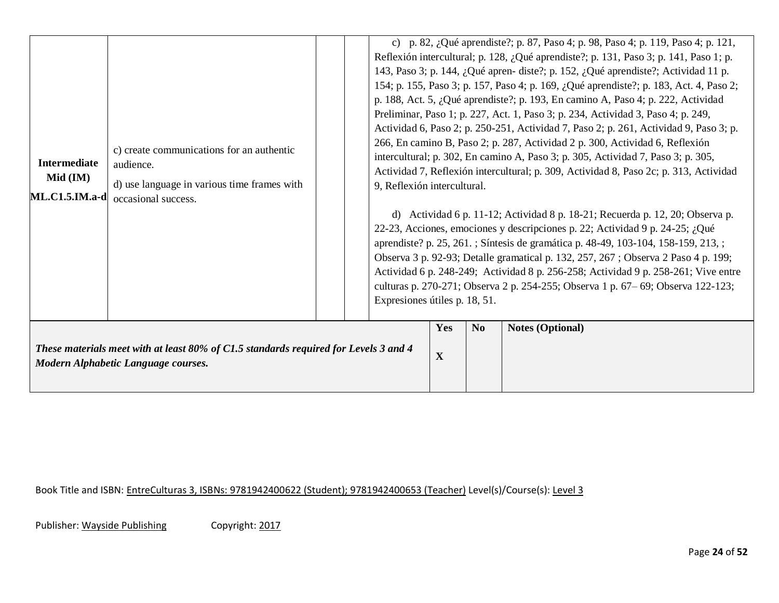| <b>Intermediate</b><br>$Mid$ (IM)<br><b>ML.C1.5.IM.a-d</b> | c) create communications for an authentic<br>audience.<br>d) use language in various time frames with<br>occasional success. | 9, Reflexión intercultural.<br>Expresiones útiles p. 18, 51. |          |                | c) p. 82, ¿Qué aprendiste?; p. 87, Paso 4; p. 98, Paso 4; p. 119, Paso 4; p. 121,<br>Reflexión intercultural; p. 128, ¿Qué aprendiste?; p. 131, Paso 3; p. 141, Paso 1; p.<br>143, Paso 3; p. 144, ¿Qué apren- diste?; p. 152, ¿Qué aprendiste?; Actividad 11 p.<br>154; p. 155, Paso 3; p. 157, Paso 4; p. 169, ¿Qué aprendiste?; p. 183, Act. 4, Paso 2;<br>p. 188, Act. 5, ¿Qué aprendiste?; p. 193, En camino A, Paso 4; p. 222, Actividad<br>Preliminar, Paso 1; p. 227, Act. 1, Paso 3; p. 234, Actividad 3, Paso 4; p. 249,<br>Actividad 6, Paso 2; p. 250-251, Actividad 7, Paso 2; p. 261, Actividad 9, Paso 3; p.<br>266, En camino B, Paso 2; p. 287, Actividad 2 p. 300, Actividad 6, Reflexión<br>intercultural; p. 302, En camino A, Paso 3; p. 305, Actividad 7, Paso 3; p. 305,<br>Actividad 7, Reflexión intercultural; p. 309, Actividad 8, Paso 2c; p. 313, Actividad<br>d) Actividad 6 p. 11-12; Actividad 8 p. 18-21; Recuerda p. 12, 20; Observa p.<br>22-23, Acciones, emociones y descripciones p. 22; Actividad 9 p. 24-25; ¿Qué<br>aprendiste? p. 25, 261.; Síntesis de gramática p. 48-49, 103-104, 158-159, 213,;<br>Observa 3 p. 92-93; Detalle gramatical p. 132, 257, 267; Observa 2 Paso 4 p. 199;<br>Actividad 6 p. 248-249; Actividad 8 p. 256-258; Actividad 9 p. 258-261; Vive entre<br>culturas p. 270-271; Observa 2 p. 254-255; Observa 1 p. 67–69; Observa 122-123; |
|------------------------------------------------------------|------------------------------------------------------------------------------------------------------------------------------|--------------------------------------------------------------|----------|----------------|-------------------------------------------------------------------------------------------------------------------------------------------------------------------------------------------------------------------------------------------------------------------------------------------------------------------------------------------------------------------------------------------------------------------------------------------------------------------------------------------------------------------------------------------------------------------------------------------------------------------------------------------------------------------------------------------------------------------------------------------------------------------------------------------------------------------------------------------------------------------------------------------------------------------------------------------------------------------------------------------------------------------------------------------------------------------------------------------------------------------------------------------------------------------------------------------------------------------------------------------------------------------------------------------------------------------------------------------------------------------------------------------------------------|
|                                                            | These materials meet with at least 80% of C1.5 standards required for Levels 3 and 4<br>Modern Alphabetic Language courses.  |                                                              | Yes<br>X | N <sub>o</sub> | <b>Notes (Optional)</b>                                                                                                                                                                                                                                                                                                                                                                                                                                                                                                                                                                                                                                                                                                                                                                                                                                                                                                                                                                                                                                                                                                                                                                                                                                                                                                                                                                                     |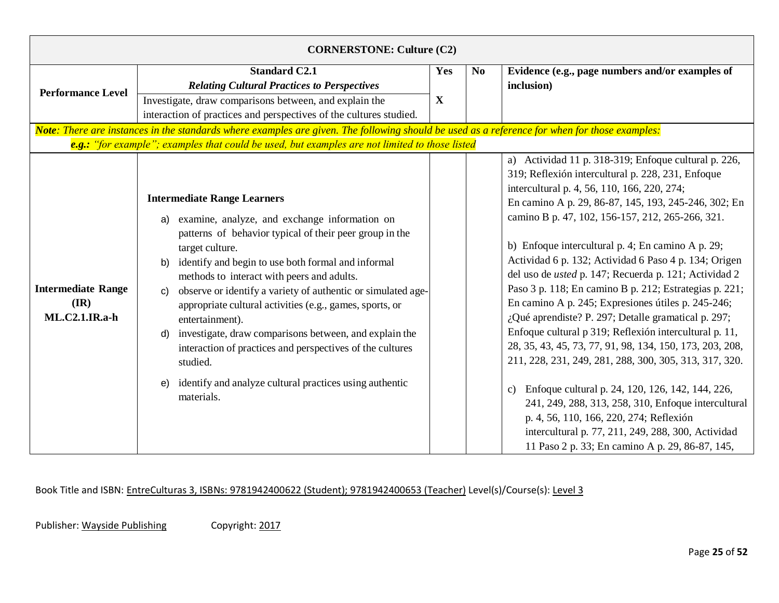| <b>CORNERSTONE: Culture (C2)</b>                                                                                                                                                                                                                |                                                                                                                                                                                                                                                                                                                                                                                                                                                                                                                                                                                                                                                                          |             |                |                                                                                                                                                                                                                                                                                                                                                                                                                                                                                                                                                                                                                                                                                                                                                                                                                                                                                                                                                                                                                                                                                           |  |
|-------------------------------------------------------------------------------------------------------------------------------------------------------------------------------------------------------------------------------------------------|--------------------------------------------------------------------------------------------------------------------------------------------------------------------------------------------------------------------------------------------------------------------------------------------------------------------------------------------------------------------------------------------------------------------------------------------------------------------------------------------------------------------------------------------------------------------------------------------------------------------------------------------------------------------------|-------------|----------------|-------------------------------------------------------------------------------------------------------------------------------------------------------------------------------------------------------------------------------------------------------------------------------------------------------------------------------------------------------------------------------------------------------------------------------------------------------------------------------------------------------------------------------------------------------------------------------------------------------------------------------------------------------------------------------------------------------------------------------------------------------------------------------------------------------------------------------------------------------------------------------------------------------------------------------------------------------------------------------------------------------------------------------------------------------------------------------------------|--|
|                                                                                                                                                                                                                                                 | <b>Standard C2.1</b><br><b>Relating Cultural Practices to Perspectives</b>                                                                                                                                                                                                                                                                                                                                                                                                                                                                                                                                                                                               | Yes         | N <sub>0</sub> | Evidence (e.g., page numbers and/or examples of<br>inclusion)                                                                                                                                                                                                                                                                                                                                                                                                                                                                                                                                                                                                                                                                                                                                                                                                                                                                                                                                                                                                                             |  |
| <b>Performance Level</b>                                                                                                                                                                                                                        | Investigate, draw comparisons between, and explain the<br>interaction of practices and perspectives of the cultures studied.                                                                                                                                                                                                                                                                                                                                                                                                                                                                                                                                             | $\mathbf X$ |                |                                                                                                                                                                                                                                                                                                                                                                                                                                                                                                                                                                                                                                                                                                                                                                                                                                                                                                                                                                                                                                                                                           |  |
| Note: There are instances in the standards where examples are given. The following should be used as a reference for when for those examples:<br>e.g.: "for example"; examples that could be used, but examples are not limited to those listed |                                                                                                                                                                                                                                                                                                                                                                                                                                                                                                                                                                                                                                                                          |             |                |                                                                                                                                                                                                                                                                                                                                                                                                                                                                                                                                                                                                                                                                                                                                                                                                                                                                                                                                                                                                                                                                                           |  |
| <b>Intermediate Range</b><br>$(\mathbf{IR})$<br><b>ML.C2.1.IR.a-h</b>                                                                                                                                                                           | <b>Intermediate Range Learners</b><br>examine, analyze, and exchange information on<br>a)<br>patterns of behavior typical of their peer group in the<br>target culture.<br>identify and begin to use both formal and informal<br>b)<br>methods to interact with peers and adults.<br>observe or identify a variety of authentic or simulated age-<br>C)<br>appropriate cultural activities (e.g., games, sports, or<br>entertainment).<br>investigate, draw comparisons between, and explain the<br>$\mathsf{d}$<br>interaction of practices and perspectives of the cultures<br>studied.<br>identify and analyze cultural practices using authentic<br>e)<br>materials. |             |                | a) Actividad 11 p. 318-319; Enfoque cultural p. 226,<br>319; Reflexión intercultural p. 228, 231, Enfoque<br>intercultural p. 4, 56, 110, 166, 220, 274;<br>En camino A p. 29, 86-87, 145, 193, 245-246, 302; En<br>camino B p. 47, 102, 156-157, 212, 265-266, 321.<br>b) Enfoque intercultural p. 4; En camino A p. 29;<br>Actividad 6 p. 132; Actividad 6 Paso 4 p. 134; Origen<br>del uso de <i>usted</i> p. 147; Recuerda p. 121; Actividad 2<br>Paso 3 p. 118; En camino B p. 212; Estrategias p. 221;<br>En camino A p. 245; Expresiones útiles p. 245-246;<br>¿Qué aprendiste? P. 297; Detalle gramatical p. 297;<br>Enfoque cultural p 319; Reflexión intercultural p. 11,<br>28, 35, 43, 45, 73, 77, 91, 98, 134, 150, 173, 203, 208,<br>211, 228, 231, 249, 281, 288, 300, 305, 313, 317, 320.<br>Enfoque cultural p. 24, 120, 126, 142, 144, 226,<br>$\mathbf{c})$<br>241, 249, 288, 313, 258, 310, Enfoque intercultural<br>p. 4, 56, 110, 166, 220, 274; Reflexión<br>intercultural p. 77, 211, 249, 288, 300, Actividad<br>11 Paso 2 p. 33; En camino A p. 29, 86-87, 145, |  |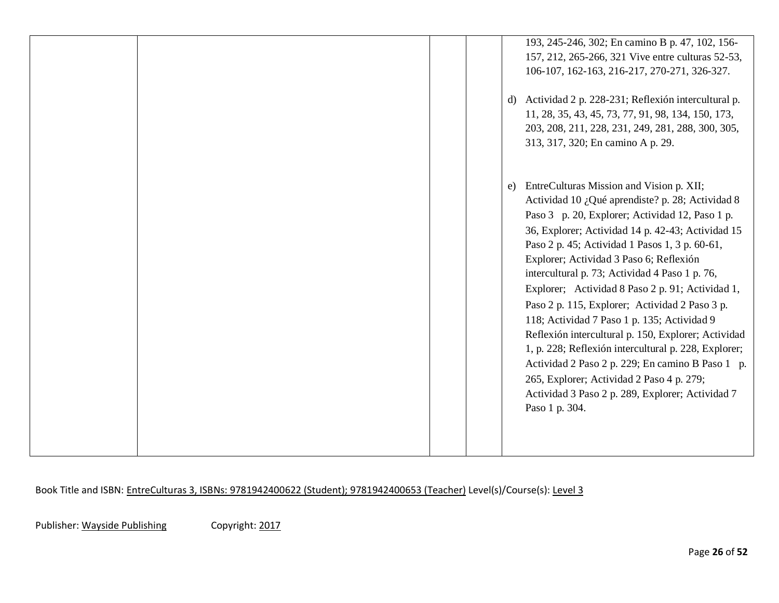|  | 193, 245-246, 302; En camino B p. 47, 102, 156-<br>157, 212, 265-266, 321 Vive entre culturas 52-53,<br>106-107, 162-163, 216-217, 270-271, 326-327.<br>d) Actividad 2 p. 228-231; Reflexión intercultural p.<br>11, 28, 35, 43, 45, 73, 77, 91, 98, 134, 150, 173,<br>203, 208, 211, 228, 231, 249, 281, 288, 300, 305,<br>313, 317, 320; En camino A p. 29.                                                                                                                                                                                                                                                                                                                                                                                                                                        |
|--|------------------------------------------------------------------------------------------------------------------------------------------------------------------------------------------------------------------------------------------------------------------------------------------------------------------------------------------------------------------------------------------------------------------------------------------------------------------------------------------------------------------------------------------------------------------------------------------------------------------------------------------------------------------------------------------------------------------------------------------------------------------------------------------------------|
|  | EntreCulturas Mission and Vision p. XII;<br>e)<br>Actividad 10 ¿Qué aprendiste? p. 28; Actividad 8<br>Paso 3 p. 20, Explorer; Actividad 12, Paso 1 p.<br>36, Explorer; Actividad 14 p. 42-43; Actividad 15<br>Paso 2 p. 45; Actividad 1 Pasos 1, 3 p. 60-61,<br>Explorer; Actividad 3 Paso 6; Reflexión<br>intercultural p. 73; Actividad 4 Paso 1 p. 76,<br>Explorer; Actividad 8 Paso 2 p. 91; Actividad 1,<br>Paso 2 p. 115, Explorer; Actividad 2 Paso 3 p.<br>118; Actividad 7 Paso 1 p. 135; Actividad 9<br>Reflexión intercultural p. 150, Explorer; Actividad<br>1, p. 228; Reflexión intercultural p. 228, Explorer;<br>Actividad 2 Paso 2 p. 229; En camino B Paso 1 p.<br>265, Explorer; Actividad 2 Paso 4 p. 279;<br>Actividad 3 Paso 2 p. 289, Explorer; Actividad 7<br>Paso 1 p. 304. |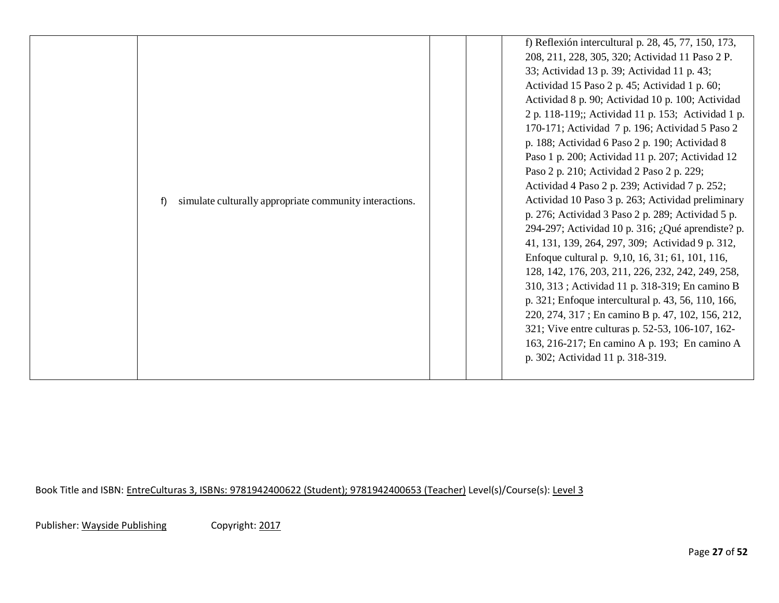|  | simulate culturally appropriate community interactions.<br>f) |  | f) Reflexión intercultural p. 28, 45, 77, 150, 173,<br>208, 211, 228, 305, 320; Actividad 11 Paso 2 P.<br>33; Actividad 13 p. 39; Actividad 11 p. 43;<br>Actividad 15 Paso 2 p. 45; Actividad 1 p. 60;<br>Actividad 8 p. 90; Actividad 10 p. 100; Actividad<br>2 p. 118-119;; Actividad 11 p. 153; Actividad 1 p.<br>170-171; Actividad 7 p. 196; Actividad 5 Paso 2<br>p. 188; Actividad 6 Paso 2 p. 190; Actividad 8<br>Paso 1 p. 200; Actividad 11 p. 207; Actividad 12<br>Paso 2 p. 210; Actividad 2 Paso 2 p. 229;<br>Actividad 4 Paso 2 p. 239; Actividad 7 p. 252;<br>Actividad 10 Paso 3 p. 263; Actividad preliminary<br>p. 276; Actividad 3 Paso 2 p. 289; Actividad 5 p.<br>294-297; Actividad 10 p. 316; ¿Qué aprendiste? p.<br>41, 131, 139, 264, 297, 309; Actividad 9 p. 312,<br>Enfoque cultural p. 9,10, 16, 31; 61, 101, 116,<br>128, 142, 176, 203, 211, 226, 232, 242, 249, 258,<br>310, 313; Actividad 11 p. 318-319; En camino B<br>p. 321; Enfoque intercultural p. 43, 56, 110, 166,<br>220, 274, 317; En camino B p. 47, 102, 156, 212,<br>321; Vive entre culturas p. 52-53, 106-107, 162-<br>163, 216-217; En camino A p. 193; En camino A<br>p. 302; Actividad 11 p. 318-319. |
|--|---------------------------------------------------------------|--|-----------------------------------------------------------------------------------------------------------------------------------------------------------------------------------------------------------------------------------------------------------------------------------------------------------------------------------------------------------------------------------------------------------------------------------------------------------------------------------------------------------------------------------------------------------------------------------------------------------------------------------------------------------------------------------------------------------------------------------------------------------------------------------------------------------------------------------------------------------------------------------------------------------------------------------------------------------------------------------------------------------------------------------------------------------------------------------------------------------------------------------------------------------------------------------------------------------|
|--|---------------------------------------------------------------|--|-----------------------------------------------------------------------------------------------------------------------------------------------------------------------------------------------------------------------------------------------------------------------------------------------------------------------------------------------------------------------------------------------------------------------------------------------------------------------------------------------------------------------------------------------------------------------------------------------------------------------------------------------------------------------------------------------------------------------------------------------------------------------------------------------------------------------------------------------------------------------------------------------------------------------------------------------------------------------------------------------------------------------------------------------------------------------------------------------------------------------------------------------------------------------------------------------------------|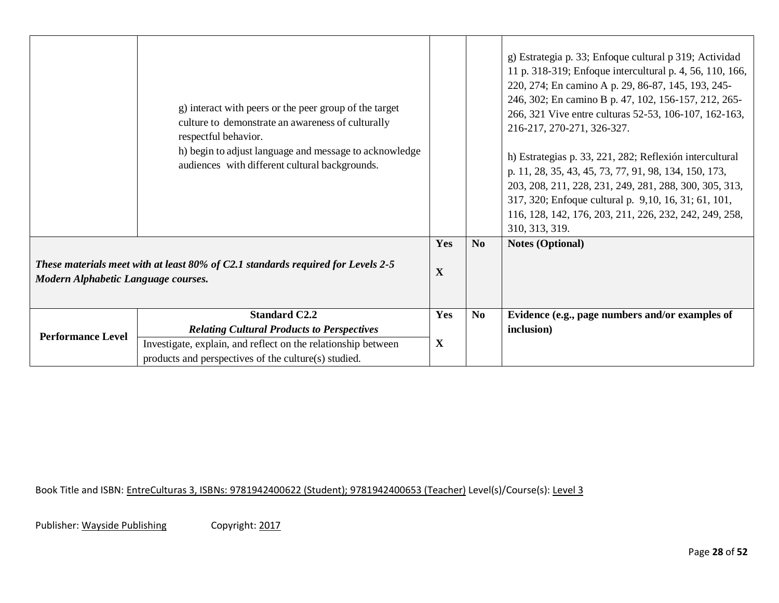|                                                                                                                         | g) interact with peers or the peer group of the target<br>culture to demonstrate an awareness of culturally<br>respectful behavior.<br>h) begin to adjust language and message to acknowledge<br>audiences with different cultural backgrounds. |             |                | g) Estrategia p. 33; Enfoque cultural p 319; Actividad<br>11 p. 318-319; Enfoque intercultural p. 4, 56, 110, 166,<br>220, 274; En camino A p. 29, 86-87, 145, 193, 245-<br>246, 302; En camino B p. 47, 102, 156-157, 212, 265-<br>266, 321 Vive entre culturas 52-53, 106-107, 162-163,<br>216-217, 270-271, 326-327.<br>h) Estrategias p. 33, 221, 282; Reflexión intercultural<br>p. 11, 28, 35, 43, 45, 73, 77, 91, 98, 134, 150, 173,<br>203, 208, 211, 228, 231, 249, 281, 288, 300, 305, 313,<br>317, 320; Enfoque cultural p. 9,10, 16, 31; 61, 101,<br>116, 128, 142, 176, 203, 211, 226, 232, 242, 249, 258,<br>310, 313, 319. |
|-------------------------------------------------------------------------------------------------------------------------|-------------------------------------------------------------------------------------------------------------------------------------------------------------------------------------------------------------------------------------------------|-------------|----------------|-------------------------------------------------------------------------------------------------------------------------------------------------------------------------------------------------------------------------------------------------------------------------------------------------------------------------------------------------------------------------------------------------------------------------------------------------------------------------------------------------------------------------------------------------------------------------------------------------------------------------------------------|
|                                                                                                                         |                                                                                                                                                                                                                                                 | Yes         | N <sub>o</sub> | <b>Notes (Optional)</b>                                                                                                                                                                                                                                                                                                                                                                                                                                                                                                                                                                                                                   |
| These materials meet with at least 80% of C2.1 standards required for Levels 2-5<br>Modern Alphabetic Language courses. |                                                                                                                                                                                                                                                 | $\mathbf X$ |                |                                                                                                                                                                                                                                                                                                                                                                                                                                                                                                                                                                                                                                           |
| <b>Performance Level</b>                                                                                                | <b>Standard C2.2</b>                                                                                                                                                                                                                            | Yes         | N <sub>0</sub> | Evidence (e.g., page numbers and/or examples of                                                                                                                                                                                                                                                                                                                                                                                                                                                                                                                                                                                           |
|                                                                                                                         | <b>Relating Cultural Products to Perspectives</b>                                                                                                                                                                                               |             |                | inclusion)                                                                                                                                                                                                                                                                                                                                                                                                                                                                                                                                                                                                                                |
|                                                                                                                         | Investigate, explain, and reflect on the relationship between<br>products and perspectives of the culture(s) studied.                                                                                                                           | $\mathbf X$ |                |                                                                                                                                                                                                                                                                                                                                                                                                                                                                                                                                                                                                                                           |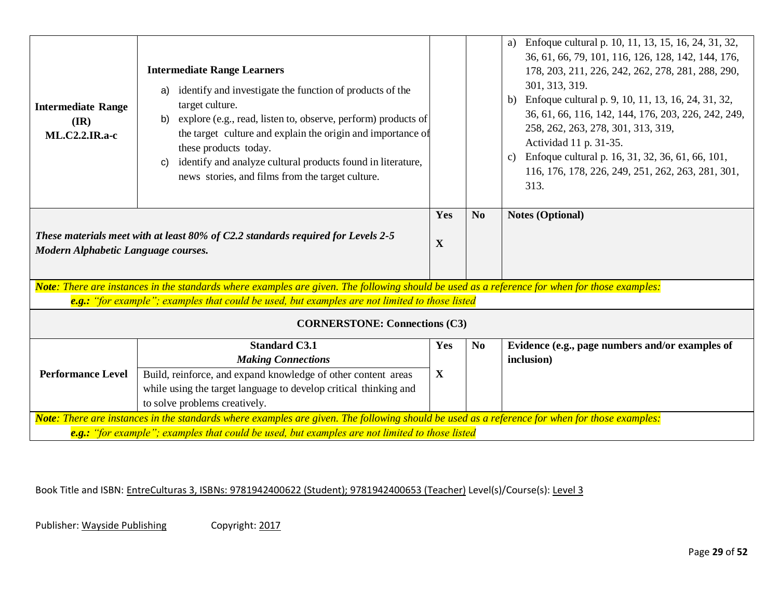| <b>Intermediate Range</b><br>$(\mathbf{IR})$<br>$ML.C2.2.IR.a-c$                                                        | <b>Intermediate Range Learners</b><br>identify and investigate the function of products of the<br>a)<br>target culture.<br>explore (e.g., read, listen to, observe, perform) products of<br>b)<br>the target culture and explain the origin and importance of<br>these products today.<br>identify and analyze cultural products found in literature,<br>C)<br>news stories, and films from the target culture. |                    |                | a) Enfoque cultural p. 10, 11, 13, 15, 16, 24, 31, 32,<br>36, 61, 66, 79, 101, 116, 126, 128, 142, 144, 176,<br>178, 203, 211, 226, 242, 262, 278, 281, 288, 290,<br>301, 313, 319.<br>b) Enfoque cultural p. 9, 10, 11, 13, 16, 24, 31, 32,<br>36, 61, 66, 116, 142, 144, 176, 203, 226, 242, 249,<br>258, 262, 263, 278, 301, 313, 319,<br>Actividad 11 p. 31-35.<br>c) Enfoque cultural p. 16, 31, 32, 36, 61, 66, 101,<br>116, 176, 178, 226, 249, 251, 262, 263, 281, 301,<br>313. |  |
|-------------------------------------------------------------------------------------------------------------------------|-----------------------------------------------------------------------------------------------------------------------------------------------------------------------------------------------------------------------------------------------------------------------------------------------------------------------------------------------------------------------------------------------------------------|--------------------|----------------|-----------------------------------------------------------------------------------------------------------------------------------------------------------------------------------------------------------------------------------------------------------------------------------------------------------------------------------------------------------------------------------------------------------------------------------------------------------------------------------------|--|
| These materials meet with at least 80% of C2.2 standards required for Levels 2-5<br>Modern Alphabetic Language courses. |                                                                                                                                                                                                                                                                                                                                                                                                                 | Yes<br>X           | N <sub>o</sub> | <b>Notes (Optional)</b>                                                                                                                                                                                                                                                                                                                                                                                                                                                                 |  |
|                                                                                                                         | Note: There are instances in the standards where examples are given. The following should be used as a reference for when for those examples:                                                                                                                                                                                                                                                                   |                    |                |                                                                                                                                                                                                                                                                                                                                                                                                                                                                                         |  |
|                                                                                                                         | e.g.: "for example"; examples that could be used, but examples are not limited to those listed                                                                                                                                                                                                                                                                                                                  |                    |                |                                                                                                                                                                                                                                                                                                                                                                                                                                                                                         |  |
|                                                                                                                         | <b>CORNERSTONE: Connections (C3)</b>                                                                                                                                                                                                                                                                                                                                                                            |                    |                |                                                                                                                                                                                                                                                                                                                                                                                                                                                                                         |  |
| <b>Performance Level</b>                                                                                                | <b>Standard C3.1</b><br><b>Making Connections</b><br>Build, reinforce, and expand knowledge of other content areas                                                                                                                                                                                                                                                                                              | Yes<br>$\mathbf X$ | N <sub>0</sub> | Evidence (e.g., page numbers and/or examples of<br>inclusion)                                                                                                                                                                                                                                                                                                                                                                                                                           |  |
|                                                                                                                         | while using the target language to develop critical thinking and<br>to solve problems creatively.                                                                                                                                                                                                                                                                                                               |                    |                |                                                                                                                                                                                                                                                                                                                                                                                                                                                                                         |  |
|                                                                                                                         | Note: There are instances in the standards where examples are given. The following should be used as a reference for when for those examples:                                                                                                                                                                                                                                                                   |                    |                |                                                                                                                                                                                                                                                                                                                                                                                                                                                                                         |  |
|                                                                                                                         | e.g.: "for example"; examples that could be used, but examples are not limited to those listed                                                                                                                                                                                                                                                                                                                  |                    |                |                                                                                                                                                                                                                                                                                                                                                                                                                                                                                         |  |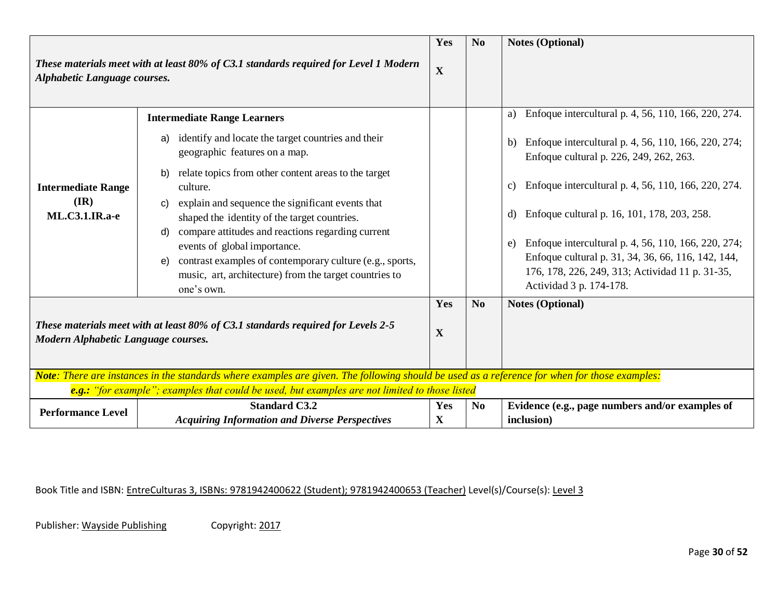|                                                                                                                                               |                                                                                                                                                                                                                                                                                   | Yes                | N <sub>0</sub> | <b>Notes (Optional)</b>                                                                                                                                                                                                                      |
|-----------------------------------------------------------------------------------------------------------------------------------------------|-----------------------------------------------------------------------------------------------------------------------------------------------------------------------------------------------------------------------------------------------------------------------------------|--------------------|----------------|----------------------------------------------------------------------------------------------------------------------------------------------------------------------------------------------------------------------------------------------|
| These materials meet with at least 80% of C3.1 standards required for Level 1 Modern<br>Alphabetic Language courses.                          |                                                                                                                                                                                                                                                                                   | $\mathbf X$        |                |                                                                                                                                                                                                                                              |
|                                                                                                                                               | <b>Intermediate Range Learners</b>                                                                                                                                                                                                                                                |                    |                | Enfoque intercultural p. 4, 56, 110, 166, 220, 274.<br>a)                                                                                                                                                                                    |
| <b>Intermediate Range</b><br>$(\mathbf{IR})$                                                                                                  | identify and locate the target countries and their<br>a)<br>geographic features on a map.<br>relate topics from other content areas to the target<br>b)<br>culture.<br>explain and sequence the significant events that<br>C)                                                     |                    |                | Enfoque intercultural p. 4, 56, 110, 166, 220, 274;<br>b)<br>Enfoque cultural p. 226, 249, 262, 263.<br>Enfoque intercultural p. 4, 56, 110, 166, 220, 274.<br>$\mathbf{c})$<br>$\mathbf{d}$                                                 |
| <b>ML.C3.1.IR.a-e</b>                                                                                                                         | shaped the identity of the target countries.<br>compare attitudes and reactions regarding current<br>d)<br>events of global importance.<br>contrast examples of contemporary culture (e.g., sports,<br>e)<br>music, art, architecture) from the target countries to<br>one's own. |                    |                | Enfoque cultural p. 16, 101, 178, 203, 258.<br>Enfoque intercultural p. 4, 56, 110, 166, 220, 274;<br>e)<br>Enfoque cultural p. 31, 34, 36, 66, 116, 142, 144,<br>176, 178, 226, 249, 313; Actividad 11 p. 31-35,<br>Actividad 3 p. 174-178. |
| These materials meet with at least 80% of C3.1 standards required for Levels 2-5<br>Modern Alphabetic Language courses.                       |                                                                                                                                                                                                                                                                                   | Yes<br>$\mathbf X$ | N <sub>0</sub> | <b>Notes (Optional)</b>                                                                                                                                                                                                                      |
| Note: There are instances in the standards where examples are given. The following should be used as a reference for when for those examples: |                                                                                                                                                                                                                                                                                   |                    |                |                                                                                                                                                                                                                                              |
|                                                                                                                                               | e.g.: "for example"; examples that could be used, but examples are not limited to those listed                                                                                                                                                                                    |                    |                |                                                                                                                                                                                                                                              |
| <b>Performance Level</b>                                                                                                                      | <b>Standard C3.2</b><br><b>Acquiring Information and Diverse Perspectives</b>                                                                                                                                                                                                     | Yes<br>$\mathbf X$ | N <sub>0</sub> | Evidence (e.g., page numbers and/or examples of<br>inclusion)                                                                                                                                                                                |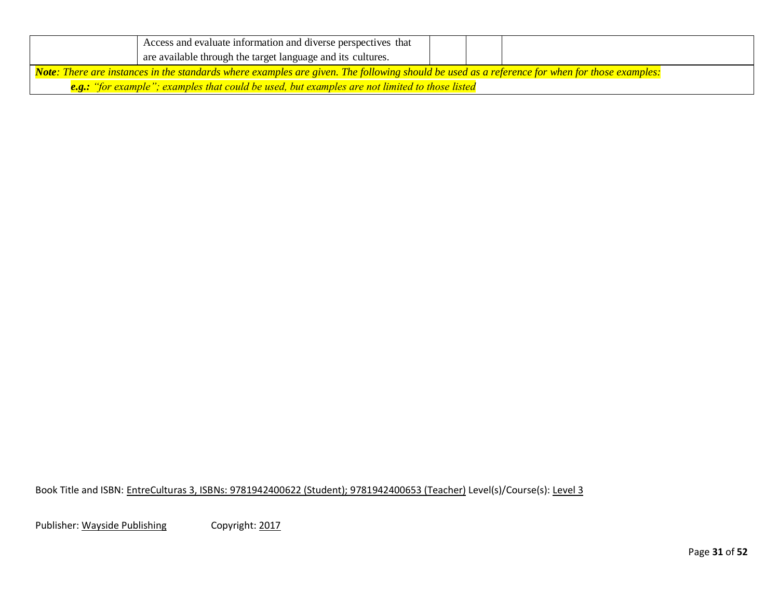|                                                                                                                                               | Access and evaluate information and diverse perspectives that                                  |  |  |  |  |
|-----------------------------------------------------------------------------------------------------------------------------------------------|------------------------------------------------------------------------------------------------|--|--|--|--|
|                                                                                                                                               | are available through the target language and its cultures.                                    |  |  |  |  |
| Note: There are instances in the standards where examples are given. The following should be used as a reference for when for those examples: |                                                                                                |  |  |  |  |
|                                                                                                                                               | e.g.: "for example"; examples that could be used, but examples are not limited to those listed |  |  |  |  |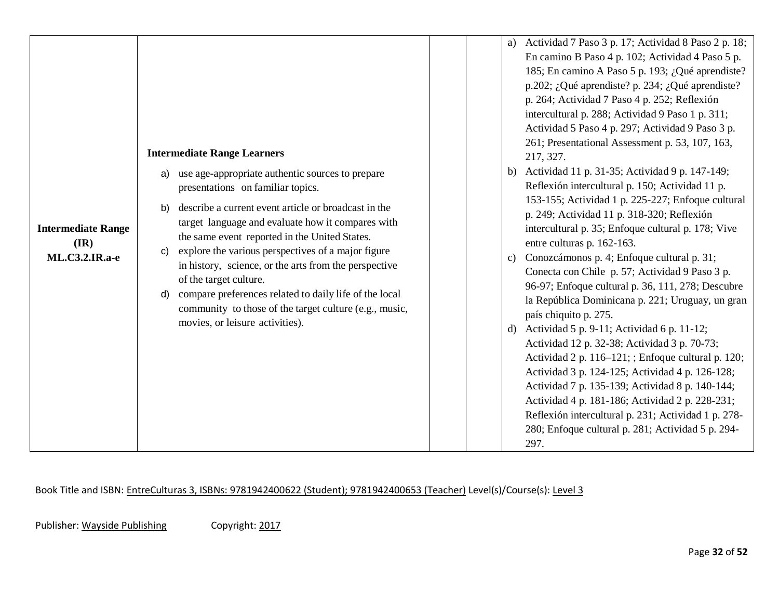| <b>Intermediate Range</b><br>$(\mathbf{IR})$<br><b>ML.C3.2.IR.a-e</b> | <b>Intermediate Range Learners</b><br>use age-appropriate authentic sources to prepare<br>a)<br>presentations on familiar topics.<br>describe a current event article or broadcast in the<br>b)<br>target language and evaluate how it compares with<br>the same event reported in the United States.<br>explore the various perspectives of a major figure<br>C)<br>in history, science, or the arts from the perspective<br>of the target culture.<br>compare preferences related to daily life of the local<br>d)<br>community to those of the target culture (e.g., music,<br>movies, or leisure activities). | a) Actividad 7 Paso 3 p. 17; Actividad 8 Paso 2 p. 18;<br>En camino B Paso 4 p. 102; Actividad 4 Paso 5 p.<br>185; En camino A Paso 5 p. 193; ¿Qué aprendiste?<br>p.202; ¿Qué aprendiste? p. 234; ¿Qué aprendiste?<br>p. 264; Actividad 7 Paso 4 p. 252; Reflexión<br>intercultural p. 288; Actividad 9 Paso 1 p. 311;<br>Actividad 5 Paso 4 p. 297; Actividad 9 Paso 3 p.<br>261; Presentational Assessment p. 53, 107, 163,<br>217, 327.<br>b) Actividad 11 p. 31-35; Actividad 9 p. 147-149;<br>Reflexión intercultural p. 150; Actividad 11 p.<br>153-155; Actividad 1 p. 225-227; Enfoque cultural<br>p. 249; Actividad 11 p. 318-320; Reflexión<br>intercultural p. 35; Enfoque cultural p. 178; Vive<br>entre culturas p. 162-163.<br>c) Conozcámonos p. 4; Enfoque cultural p. 31;<br>Conecta con Chile p. 57; Actividad 9 Paso 3 p.<br>96-97; Enfoque cultural p. 36, 111, 278; Descubre<br>la República Dominicana p. 221; Uruguay, un gran<br>país chiquito p. 275.<br>d) Actividad 5 p. 9-11; Actividad 6 p. 11-12;<br>Actividad 12 p. 32-38; Actividad 3 p. 70-73;<br>Actividad 2 p. 116–121; ; Enfoque cultural p. 120;<br>Actividad 3 p. 124-125; Actividad 4 p. 126-128;<br>Actividad 7 p. 135-139; Actividad 8 p. 140-144; |
|-----------------------------------------------------------------------|-------------------------------------------------------------------------------------------------------------------------------------------------------------------------------------------------------------------------------------------------------------------------------------------------------------------------------------------------------------------------------------------------------------------------------------------------------------------------------------------------------------------------------------------------------------------------------------------------------------------|---------------------------------------------------------------------------------------------------------------------------------------------------------------------------------------------------------------------------------------------------------------------------------------------------------------------------------------------------------------------------------------------------------------------------------------------------------------------------------------------------------------------------------------------------------------------------------------------------------------------------------------------------------------------------------------------------------------------------------------------------------------------------------------------------------------------------------------------------------------------------------------------------------------------------------------------------------------------------------------------------------------------------------------------------------------------------------------------------------------------------------------------------------------------------------------------------------------------------------------------|
|                                                                       |                                                                                                                                                                                                                                                                                                                                                                                                                                                                                                                                                                                                                   | Actividad 4 p. 181-186; Actividad 2 p. 228-231;<br>Reflexión intercultural p. 231; Actividad 1 p. 278-<br>280; Enfoque cultural p. 281; Actividad 5 p. 294-<br>297.                                                                                                                                                                                                                                                                                                                                                                                                                                                                                                                                                                                                                                                                                                                                                                                                                                                                                                                                                                                                                                                                         |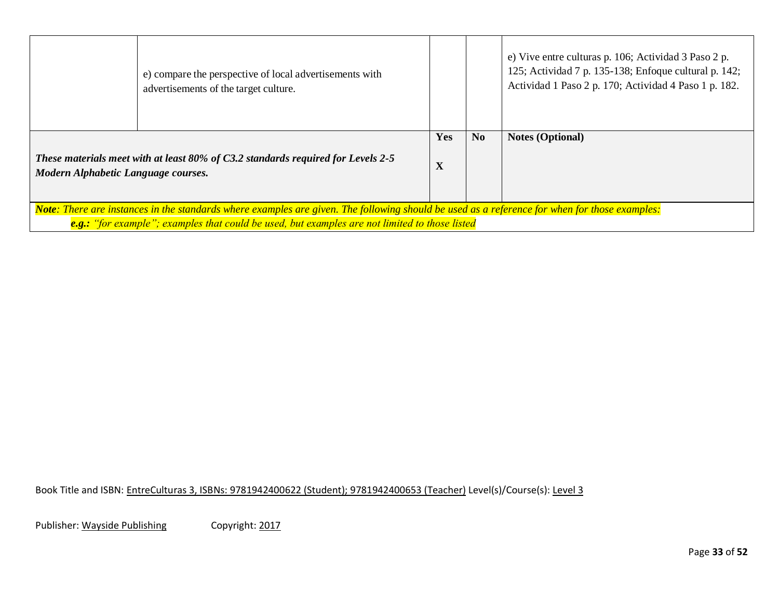|                                                                                                                                               | e) compare the perspective of local advertisements with<br>advertisements of the target culture. |                 |                | e) Vive entre culturas p. 106; Actividad 3 Paso 2 p.<br>125; Actividad 7 p. 135-138; Enfoque cultural p. 142;<br>Actividad 1 Paso 2 p. 170; Actividad 4 Paso 1 p. 182. |  |
|-----------------------------------------------------------------------------------------------------------------------------------------------|--------------------------------------------------------------------------------------------------|-----------------|----------------|------------------------------------------------------------------------------------------------------------------------------------------------------------------------|--|
| These materials meet with at least 80% of C3.2 standards required for Levels 2-5<br>Modern Alphabetic Language courses.                       |                                                                                                  | <b>Yes</b><br>X | N <sub>0</sub> | <b>Notes (Optional)</b>                                                                                                                                                |  |
|                                                                                                                                               |                                                                                                  |                 |                |                                                                                                                                                                        |  |
| Note: There are instances in the standards where examples are given. The following should be used as a reference for when for those examples: |                                                                                                  |                 |                |                                                                                                                                                                        |  |
| e.g.: "for example"; examples that could be used, but examples are not limited to those listed                                                |                                                                                                  |                 |                |                                                                                                                                                                        |  |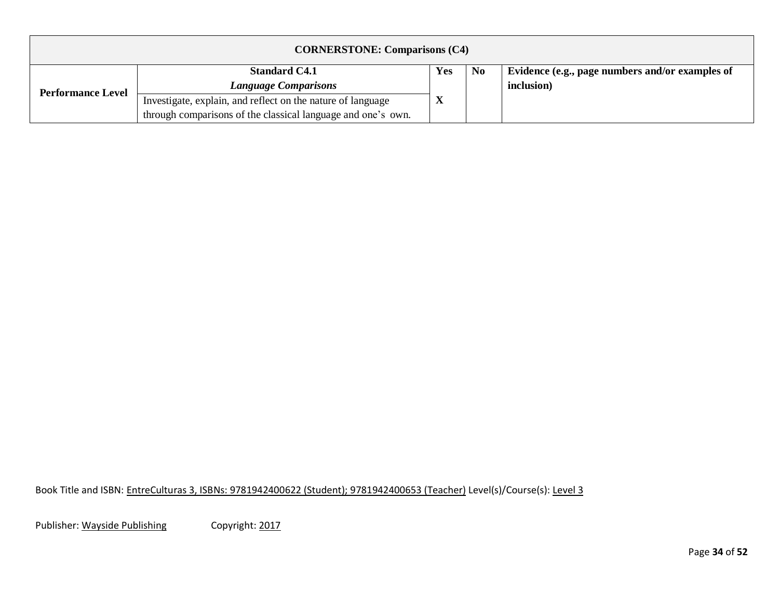| <b>CORNERSTONE: Comparisons (C4)</b> |                                                              |     |                |                                                 |  |  |
|--------------------------------------|--------------------------------------------------------------|-----|----------------|-------------------------------------------------|--|--|
|                                      | <b>Standard C4.1</b>                                         | Yes | N <sub>0</sub> | Evidence (e.g., page numbers and/or examples of |  |  |
| <b>Performance Level</b>             | <b>Language Comparisons</b>                                  |     |                | inclusion)                                      |  |  |
|                                      | Investigate, explain, and reflect on the nature of language  |     |                |                                                 |  |  |
|                                      | through comparisons of the classical language and one's own. |     |                |                                                 |  |  |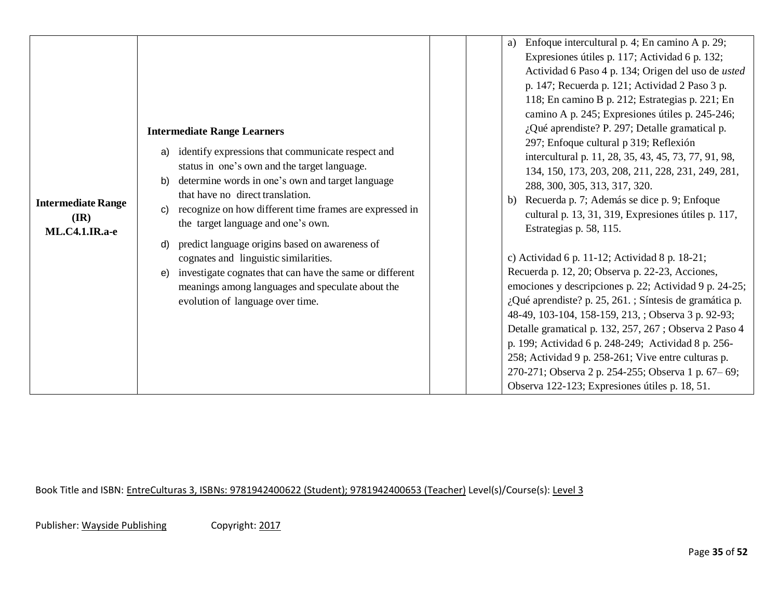| <b>Intermediate Range</b><br>$(\mathbf{IR})$<br><b>ML.C4.1.IR.a-e</b> | <b>Intermediate Range Learners</b><br>identify expressions that communicate respect and<br>a)<br>status in one's own and the target language.<br>determine words in one's own and target language<br>b)<br>that have no direct translation.<br>recognize on how different time frames are expressed in<br>C)<br>the target language and one's own.<br>predict language origins based on awareness of<br>d)<br>cognates and linguistic similarities.<br>investigate cognates that can have the same or different<br>e)<br>meanings among languages and speculate about the<br>evolution of language over time. | Enfoque intercultural p. 4; En camino A p. 29;<br>a)<br>Expresiones útiles p. 117; Actividad 6 p. 132;<br>Actividad 6 Paso 4 p. 134; Origen del uso de usted<br>p. 147; Recuerda p. 121; Actividad 2 Paso 3 p.<br>118; En camino B p. 212; Estrategias p. 221; En<br>camino A p. 245; Expresiones útiles p. 245-246;<br>¿Qué aprendiste? P. 297; Detalle gramatical p.<br>297; Enfoque cultural p 319; Reflexión<br>intercultural p. 11, 28, 35, 43, 45, 73, 77, 91, 98,<br>134, 150, 173, 203, 208, 211, 228, 231, 249, 281,<br>288, 300, 305, 313, 317, 320.<br>b) Recuerda p. 7; Además se dice p. 9; Enfoque<br>cultural p. 13, 31, 319, Expresiones útiles p. 117,<br>Estrategias p. 58, 115.<br>c) Actividad 6 p. 11-12; Actividad 8 p. 18-21;<br>Recuerda p. 12, 20; Observa p. 22-23, Acciones,<br>emociones y descripciones p. 22; Actividad 9 p. 24-25;<br>¿Qué aprendiste? p. 25, 261. ; Síntesis de gramática p. |
|-----------------------------------------------------------------------|---------------------------------------------------------------------------------------------------------------------------------------------------------------------------------------------------------------------------------------------------------------------------------------------------------------------------------------------------------------------------------------------------------------------------------------------------------------------------------------------------------------------------------------------------------------------------------------------------------------|------------------------------------------------------------------------------------------------------------------------------------------------------------------------------------------------------------------------------------------------------------------------------------------------------------------------------------------------------------------------------------------------------------------------------------------------------------------------------------------------------------------------------------------------------------------------------------------------------------------------------------------------------------------------------------------------------------------------------------------------------------------------------------------------------------------------------------------------------------------------------------------------------------------------------|
|                                                                       |                                                                                                                                                                                                                                                                                                                                                                                                                                                                                                                                                                                                               | 48-49, 103-104, 158-159, 213, ; Observa 3 p. 92-93;<br>Detalle gramatical p. 132, 257, 267; Observa 2 Paso 4<br>p. 199; Actividad 6 p. 248-249; Actividad 8 p. 256-<br>258; Actividad 9 p. 258-261; Vive entre culturas p.<br>270-271; Observa 2 p. 254-255; Observa 1 p. 67–69;                                                                                                                                                                                                                                                                                                                                                                                                                                                                                                                                                                                                                                             |
|                                                                       |                                                                                                                                                                                                                                                                                                                                                                                                                                                                                                                                                                                                               | Observa 122-123; Expresiones útiles p. 18, 51.                                                                                                                                                                                                                                                                                                                                                                                                                                                                                                                                                                                                                                                                                                                                                                                                                                                                               |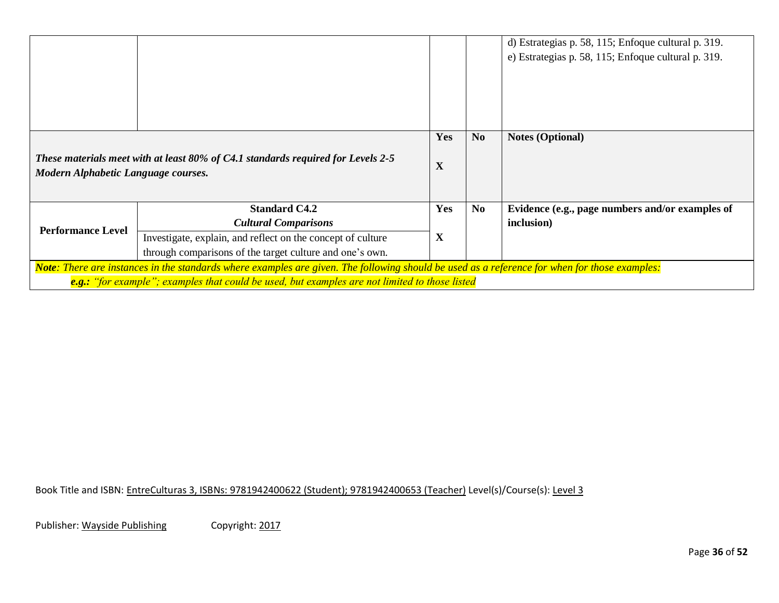|                                                                                                                                                                                                                                                 |  |                    |                | d) Estrategias p. 58, 115; Enfoque cultural p. 319.<br>e) Estrategias p. 58, 115; Enfoque cultural p. 319. |
|-------------------------------------------------------------------------------------------------------------------------------------------------------------------------------------------------------------------------------------------------|--|--------------------|----------------|------------------------------------------------------------------------------------------------------------|
| These materials meet with at least 80% of C4.1 standards required for Levels 2-5<br>Modern Alphabetic Language courses.                                                                                                                         |  | Yes<br>$\mathbf X$ | N <sub>o</sub> | <b>Notes (Optional)</b>                                                                                    |
| <b>Standard C4.2</b><br><b>Cultural Comparisons</b><br><b>Performance Level</b><br>Investigate, explain, and reflect on the concept of culture<br>through comparisons of the target culture and one's own.                                      |  | Yes<br>X           | N <sub>0</sub> | Evidence (e.g., page numbers and/or examples of<br>inclusion)                                              |
| Note: There are instances in the standards where examples are given. The following should be used as a reference for when for those examples:<br>e.g.: "for example"; examples that could be used, but examples are not limited to those listed |  |                    |                |                                                                                                            |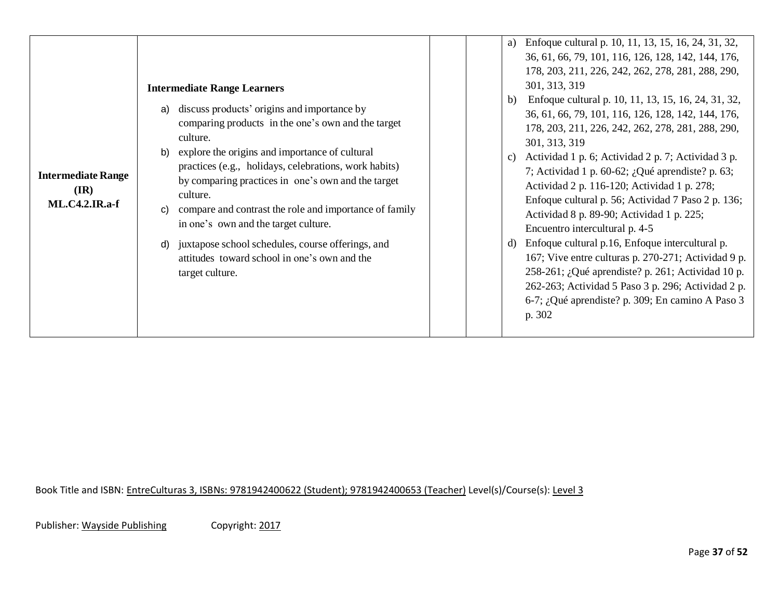| <b>Intermediate Range</b><br>$(\mathbf{IR})$<br><b>ML.C4.2.IR.a-f</b> | <b>Intermediate Range Learners</b><br>discuss products' origins and importance by<br>a)<br>comparing products in the one's own and the target<br>culture.<br>explore the origins and importance of cultural<br>b)<br>practices (e.g., holidays, celebrations, work habits)<br>by comparing practices in one's own and the target<br>culture.<br>compare and contrast the role and importance of family<br>C)<br>in one's own and the target culture.<br>juxtapose school schedules, course offerings, and<br>d)<br>attitudes toward school in one's own and the<br>target culture. | Enfoque cultural p. 10, 11, 13, 15, 16, 24, 31, 32,<br>a)<br>36, 61, 66, 79, 101, 116, 126, 128, 142, 144, 176,<br>178, 203, 211, 226, 242, 262, 278, 281, 288, 290,<br>301, 313, 319<br>Enfoque cultural p. 10, 11, 13, 15, 16, 24, 31, 32,<br>b)<br>36, 61, 66, 79, 101, 116, 126, 128, 142, 144, 176,<br>178, 203, 211, 226, 242, 262, 278, 281, 288, 290,<br>301, 313, 319<br>Actividad 1 p. 6; Actividad 2 p. 7; Actividad 3 p.<br>$\mathbf{c}$<br>7; Actividad 1 p. 60-62; ¿Qué aprendiste? p. 63;<br>Actividad 2 p. 116-120; Actividad 1 p. 278;<br>Enfoque cultural p. 56; Actividad 7 Paso 2 p. 136;<br>Actividad 8 p. 89-90; Actividad 1 p. 225;<br>Encuentro intercultural p. 4-5<br>Enfoque cultural p.16, Enfoque intercultural p.<br>d)<br>167; Vive entre culturas p. 270-271; Actividad 9 p.<br>258-261; ¿Qué aprendiste? p. 261; Actividad 10 p.<br>262-263; Actividad 5 Paso 3 p. 296; Actividad 2 p.<br>6-7; ¿Qué aprendiste? p. 309; En camino A Paso 3<br>p. 302 |
|-----------------------------------------------------------------------|------------------------------------------------------------------------------------------------------------------------------------------------------------------------------------------------------------------------------------------------------------------------------------------------------------------------------------------------------------------------------------------------------------------------------------------------------------------------------------------------------------------------------------------------------------------------------------|---------------------------------------------------------------------------------------------------------------------------------------------------------------------------------------------------------------------------------------------------------------------------------------------------------------------------------------------------------------------------------------------------------------------------------------------------------------------------------------------------------------------------------------------------------------------------------------------------------------------------------------------------------------------------------------------------------------------------------------------------------------------------------------------------------------------------------------------------------------------------------------------------------------------------------------------------------------------------------------|
|-----------------------------------------------------------------------|------------------------------------------------------------------------------------------------------------------------------------------------------------------------------------------------------------------------------------------------------------------------------------------------------------------------------------------------------------------------------------------------------------------------------------------------------------------------------------------------------------------------------------------------------------------------------------|---------------------------------------------------------------------------------------------------------------------------------------------------------------------------------------------------------------------------------------------------------------------------------------------------------------------------------------------------------------------------------------------------------------------------------------------------------------------------------------------------------------------------------------------------------------------------------------------------------------------------------------------------------------------------------------------------------------------------------------------------------------------------------------------------------------------------------------------------------------------------------------------------------------------------------------------------------------------------------------|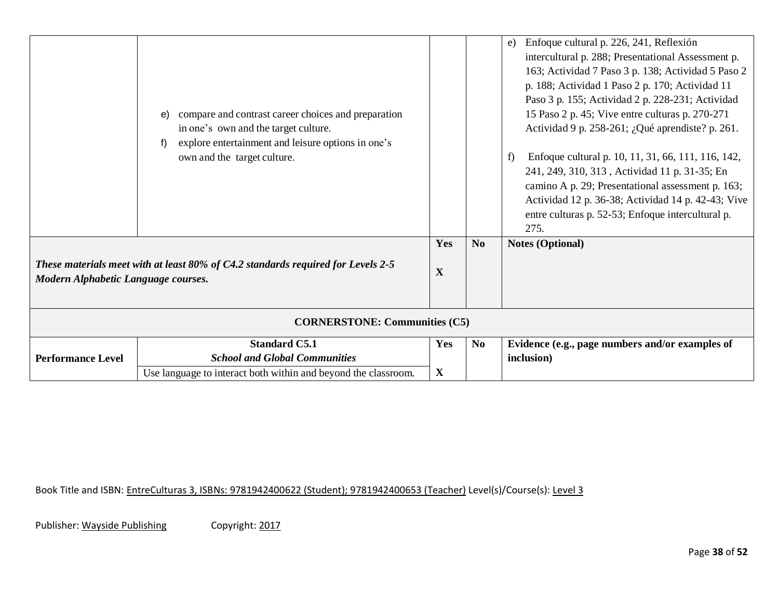|                                      | compare and contrast career choices and preparation<br>e)<br>in one's own and the target culture.<br>explore entertainment and leisure options in one's<br>f)<br>own and the target culture. |                    |                | Enfoque cultural p. 226, 241, Reflexión<br>e)<br>intercultural p. 288; Presentational Assessment p.<br>163; Actividad 7 Paso 3 p. 138; Actividad 5 Paso 2<br>p. 188; Actividad 1 Paso 2 p. 170; Actividad 11<br>Paso 3 p. 155; Actividad 2 p. 228-231; Actividad<br>15 Paso 2 p. 45; Vive entre culturas p. 270-271<br>Actividad 9 p. 258-261; ¿Qué aprendiste? p. 261.<br>Enfoque cultural p. 10, 11, 31, 66, 111, 116, 142,<br>f)<br>241, 249, 310, 313, Actividad 11 p. 31-35; En<br>camino A p. 29; Presentational assessment p. 163;<br>Actividad 12 p. 36-38; Actividad 14 p. 42-43; Vive<br>entre culturas p. 52-53; Enfoque intercultural p.<br>275. |  |  |
|--------------------------------------|----------------------------------------------------------------------------------------------------------------------------------------------------------------------------------------------|--------------------|----------------|--------------------------------------------------------------------------------------------------------------------------------------------------------------------------------------------------------------------------------------------------------------------------------------------------------------------------------------------------------------------------------------------------------------------------------------------------------------------------------------------------------------------------------------------------------------------------------------------------------------------------------------------------------------|--|--|
| Modern Alphabetic Language courses.  | These materials meet with at least 80% of C4.2 standards required for Levels 2-5                                                                                                             | Yes<br>$\mathbf X$ | N <sub>0</sub> | <b>Notes (Optional)</b>                                                                                                                                                                                                                                                                                                                                                                                                                                                                                                                                                                                                                                      |  |  |
| <b>CORNERSTONE: Communities (C5)</b> |                                                                                                                                                                                              |                    |                |                                                                                                                                                                                                                                                                                                                                                                                                                                                                                                                                                                                                                                                              |  |  |
| <b>Performance Level</b>             | <b>Standard C5.1</b><br><b>School and Global Communities</b><br>Use language to interact both within and beyond the classroom.                                                               | Yes<br>$\mathbf X$ | N <sub>0</sub> | Evidence (e.g., page numbers and/or examples of<br>inclusion)                                                                                                                                                                                                                                                                                                                                                                                                                                                                                                                                                                                                |  |  |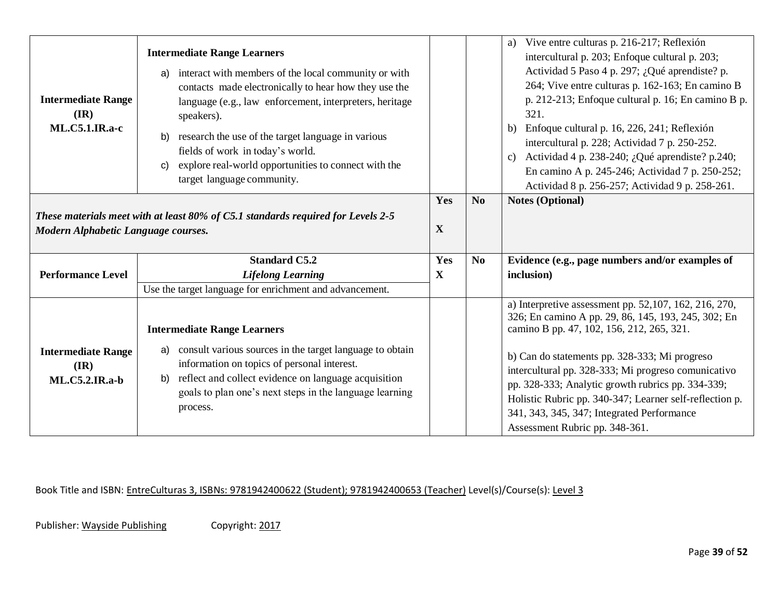| <b>Intermediate Range</b><br>$(\mathbf{IR})$<br><b>ML.C5.1.IR.a-c</b>                                                   | <b>Intermediate Range Learners</b><br>interact with members of the local community or with<br>a)<br>contacts made electronically to hear how they use the<br>language (e.g., law enforcement, interpreters, heritage<br>speakers).<br>research the use of the target language in various<br>b)<br>fields of work in today's world.<br>explore real-world opportunities to connect with the<br>$\mathsf{C}$<br>target language community. |                    |                | a) Vive entre culturas p. 216-217; Reflexión<br>intercultural p. 203; Enfoque cultural p. 203;<br>Actividad 5 Paso 4 p. 297; ¿Qué aprendiste? p.<br>264; Vive entre culturas p. 162-163; En camino B<br>p. 212-213; Enfoque cultural p. 16; En camino B p.<br>321.<br>b) Enfoque cultural p. 16, 226, 241; Reflexión<br>intercultural p. 228; Actividad 7 p. 250-252.<br>Actividad 4 p. 238-240; ¿Qué aprendiste? p.240;<br>$\mathbf{c}$<br>En camino A p. 245-246; Actividad 7 p. 250-252;<br>Actividad 8 p. 256-257; Actividad 9 p. 258-261. |
|-------------------------------------------------------------------------------------------------------------------------|------------------------------------------------------------------------------------------------------------------------------------------------------------------------------------------------------------------------------------------------------------------------------------------------------------------------------------------------------------------------------------------------------------------------------------------|--------------------|----------------|------------------------------------------------------------------------------------------------------------------------------------------------------------------------------------------------------------------------------------------------------------------------------------------------------------------------------------------------------------------------------------------------------------------------------------------------------------------------------------------------------------------------------------------------|
| These materials meet with at least 80% of C5.1 standards required for Levels 2-5<br>Modern Alphabetic Language courses. |                                                                                                                                                                                                                                                                                                                                                                                                                                          | Yes<br>$\mathbf X$ | No             | <b>Notes (Optional)</b>                                                                                                                                                                                                                                                                                                                                                                                                                                                                                                                        |
|                                                                                                                         | <b>Standard C5.2</b>                                                                                                                                                                                                                                                                                                                                                                                                                     | Yes                | N <sub>0</sub> | Evidence (e.g., page numbers and/or examples of                                                                                                                                                                                                                                                                                                                                                                                                                                                                                                |
| <b>Performance Level</b>                                                                                                | <b>Lifelong Learning</b>                                                                                                                                                                                                                                                                                                                                                                                                                 | $\mathbf X$        |                | inclusion)                                                                                                                                                                                                                                                                                                                                                                                                                                                                                                                                     |
|                                                                                                                         | Use the target language for enrichment and advancement.                                                                                                                                                                                                                                                                                                                                                                                  |                    |                |                                                                                                                                                                                                                                                                                                                                                                                                                                                                                                                                                |
| <b>Intermediate Range</b><br>$(\mathbf{IR})$<br><b>ML.C5.2.IR.a-b</b>                                                   | <b>Intermediate Range Learners</b><br>consult various sources in the target language to obtain<br>a)<br>information on topics of personal interest.<br>reflect and collect evidence on language acquisition<br>b)<br>goals to plan one's next steps in the language learning<br>process.                                                                                                                                                 |                    |                | a) Interpretive assessment pp. 52,107, 162, 216, 270,<br>326; En camino A pp. 29, 86, 145, 193, 245, 302; En<br>camino B pp. 47, 102, 156, 212, 265, 321.<br>b) Can do statements pp. 328-333; Mi progreso<br>intercultural pp. 328-333; Mi progreso comunicativo<br>pp. 328-333; Analytic growth rubrics pp. 334-339;<br>Holistic Rubric pp. 340-347; Learner self-reflection p.                                                                                                                                                              |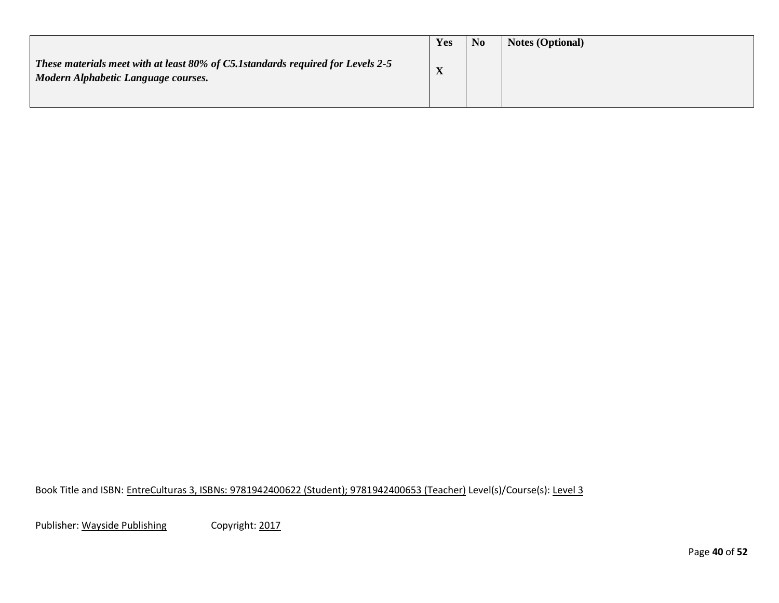|                                                                                                                        | Yes                    | <b>No</b> | <b>Notes (Optional)</b> |
|------------------------------------------------------------------------------------------------------------------------|------------------------|-----------|-------------------------|
| These materials meet with at least 80% of C5.1standards required for Levels 2-5<br>Modern Alphabetic Language courses. | $\boldsymbol{\Lambda}$ |           |                         |
|                                                                                                                        |                        |           |                         |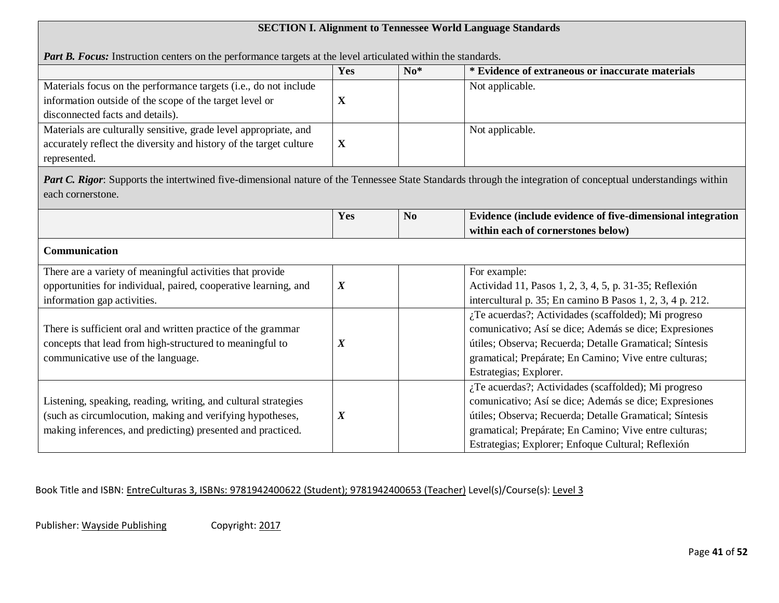# **SECTION I. Alignment to Tennessee World Language Standards**

|                                                                                                                                                                 | Yes              | $\mathbf{N} \mathbf{0}^*$ | * Evidence of extraneous or inaccurate materials                                                                                                                          |
|-----------------------------------------------------------------------------------------------------------------------------------------------------------------|------------------|---------------------------|---------------------------------------------------------------------------------------------------------------------------------------------------------------------------|
| Materials focus on the performance targets (i.e., do not include<br>information outside of the scope of the target level or<br>disconnected facts and details). | $\mathbf X$      |                           | Not applicable.                                                                                                                                                           |
| Materials are culturally sensitive, grade level appropriate, and<br>accurately reflect the diversity and history of the target culture<br>represented.          | $\mathbf X$      |                           | Not applicable.                                                                                                                                                           |
| each cornerstone.                                                                                                                                               |                  |                           | <b>Part C. Rigor:</b> Supports the intertwined five-dimensional nature of the Tennessee State Standards through the integration of conceptual understandings within       |
|                                                                                                                                                                 | Yes              | N <sub>0</sub>            | Evidence (include evidence of five-dimensional integration                                                                                                                |
|                                                                                                                                                                 |                  |                           | within each of cornerstones below)                                                                                                                                        |
| Communication                                                                                                                                                   |                  |                           |                                                                                                                                                                           |
| There are a variety of meaningful activities that provide                                                                                                       |                  |                           | For example:                                                                                                                                                              |
| opportunities for individual, paired, cooperative learning, and                                                                                                 | $\boldsymbol{X}$ |                           | Actividad 11, Pasos 1, 2, 3, 4, 5, p. 31-35; Reflexión                                                                                                                    |
| information gap activities.                                                                                                                                     |                  |                           | intercultural p. 35; En camino B Pasos 1, 2, 3, 4 p. 212.                                                                                                                 |
| There is sufficient oral and written practice of the grammar                                                                                                    | $\boldsymbol{X}$ |                           | ¿Te acuerdas?; Actividades (scaffolded); Mi progreso<br>comunicativo; Así se dice; Además se dice; Expresiones<br>útiles; Observa; Recuerda; Detalle Gramatical; Síntesis |
| concepts that lead from high-structured to meaningful to<br>communicative use of the language.                                                                  |                  |                           | gramatical; Prepárate; En Camino; Vive entre culturas;<br>Estrategias; Explorer.                                                                                          |

Book Title and ISBN: EntreCulturas 3, ISBNs: 9781942400622 (Student); 9781942400653 (Teacher) Level(s)/Course(s): Level 3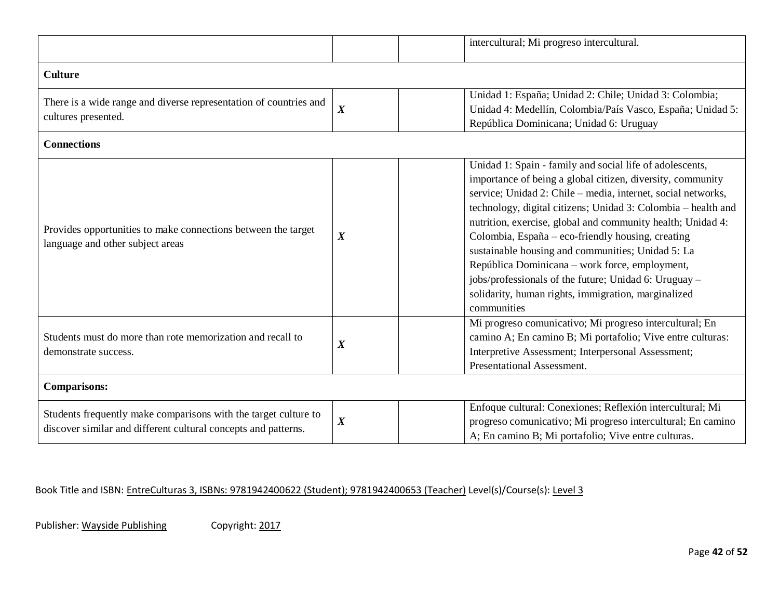|                                                                                                                                   |                  | intercultural; Mi progreso intercultural.                                                                                                                                                                                                                                                                                                                                                                                                                                                                                                                                                                                                                                                      |  |
|-----------------------------------------------------------------------------------------------------------------------------------|------------------|------------------------------------------------------------------------------------------------------------------------------------------------------------------------------------------------------------------------------------------------------------------------------------------------------------------------------------------------------------------------------------------------------------------------------------------------------------------------------------------------------------------------------------------------------------------------------------------------------------------------------------------------------------------------------------------------|--|
| <b>Culture</b>                                                                                                                    |                  |                                                                                                                                                                                                                                                                                                                                                                                                                                                                                                                                                                                                                                                                                                |  |
| There is a wide range and diverse representation of countries and<br>cultures presented.                                          |                  | Unidad 1: España; Unidad 2: Chile; Unidad 3: Colombia;                                                                                                                                                                                                                                                                                                                                                                                                                                                                                                                                                                                                                                         |  |
|                                                                                                                                   | $\boldsymbol{X}$ | Unidad 4: Medellín, Colombia/País Vasco, España; Unidad 5:<br>República Dominicana; Unidad 6: Uruguay<br>Unidad 1: Spain - family and social life of adolescents,<br>service; Unidad 2: Chile – media, internet, social networks,<br>technology, digital citizens; Unidad 3: Colombia - health and<br>nutrition, exercise, global and community health; Unidad 4:                                                                                                                                                                                                                                                                                                                              |  |
|                                                                                                                                   |                  | importance of being a global citizen, diversity, community<br>Colombia, España – eco-friendly housing, creating<br>sustainable housing and communities; Unidad 5: La<br>República Dominicana – work force, employment,<br>jobs/professionals of the future; Unidad 6: Uruguay -<br>solidarity, human rights, immigration, marginalized<br>communities<br>Mi progreso comunicativo; Mi progreso intercultural; En<br>camino A; En camino B; Mi portafolio; Vive entre culturas:<br>Interpretive Assessment; Interpersonal Assessment;<br>Presentational Assessment.<br>Enfoque cultural: Conexiones; Reflexión intercultural; Mi<br>progreso comunicativo; Mi progreso intercultural; En camino |  |
| <b>Connections</b>                                                                                                                |                  |                                                                                                                                                                                                                                                                                                                                                                                                                                                                                                                                                                                                                                                                                                |  |
| Provides opportunities to make connections between the target<br>language and other subject areas                                 | $\boldsymbol{X}$ |                                                                                                                                                                                                                                                                                                                                                                                                                                                                                                                                                                                                                                                                                                |  |
| Students must do more than rote memorization and recall to<br>demonstrate success.                                                | $\boldsymbol{X}$ |                                                                                                                                                                                                                                                                                                                                                                                                                                                                                                                                                                                                                                                                                                |  |
| <b>Comparisons:</b>                                                                                                               |                  |                                                                                                                                                                                                                                                                                                                                                                                                                                                                                                                                                                                                                                                                                                |  |
| Students frequently make comparisons with the target culture to<br>discover similar and different cultural concepts and patterns. | $\boldsymbol{X}$ | A; En camino B; Mi portafolio; Vive entre culturas.                                                                                                                                                                                                                                                                                                                                                                                                                                                                                                                                                                                                                                            |  |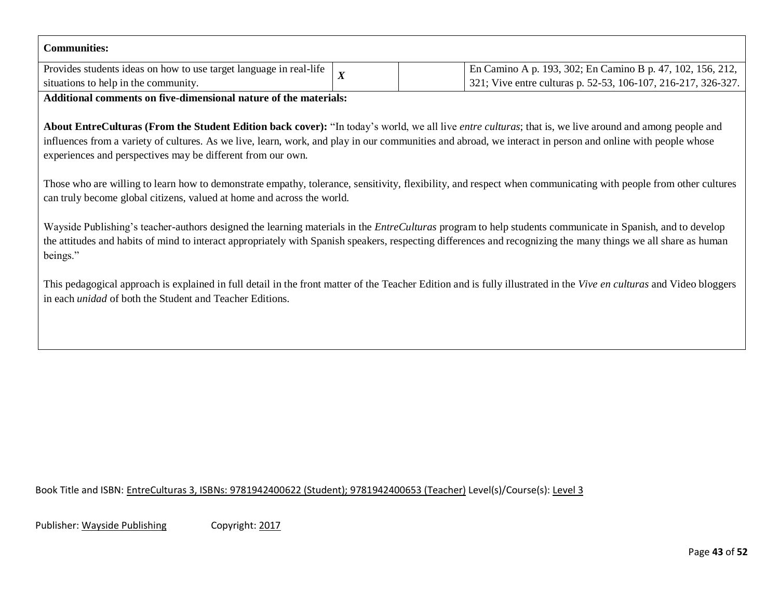| <b>Communities:</b>                                                |  |                                                               |  |  |
|--------------------------------------------------------------------|--|---------------------------------------------------------------|--|--|
| Provides students ideas on how to use target language in real-life |  | En Camino A p. 193, 302; En Camino B p. 47, 102, 156, 212,    |  |  |
| situations to help in the community.                               |  | 321; Vive entre culturas p. 52-53, 106-107, 216-217, 326-327. |  |  |
| $-$                                                                |  |                                                               |  |  |

**Additional comments on five-dimensional nature of the materials:**

**About EntreCulturas (From the Student Edition back cover):** "In today's world, we all live *entre culturas*; that is, we live around and among people and influences from a variety of cultures. As we live, learn, work, and play in our communities and abroad, we interact in person and online with people whose experiences and perspectives may be different from our own.

Those who are willing to learn how to demonstrate empathy, tolerance, sensitivity, flexibility, and respect when communicating with people from other cultures can truly become global citizens, valued at home and across the world.

Wayside Publishing's teacher-authors designed the learning materials in the *EntreCulturas* program to help students communicate in Spanish, and to develop the attitudes and habits of mind to interact appropriately with Spanish speakers, respecting differences and recognizing the many things we all share as human beings."

This pedagogical approach is explained in full detail in the front matter of the Teacher Edition and is fully illustrated in the *Vive en culturas* and Video bloggers in each *unidad* of both the Student and Teacher Editions.

Book Title and ISBN: EntreCulturas 3, ISBNs: 9781942400622 (Student); 9781942400653 (Teacher) Level(s)/Course(s): Level 3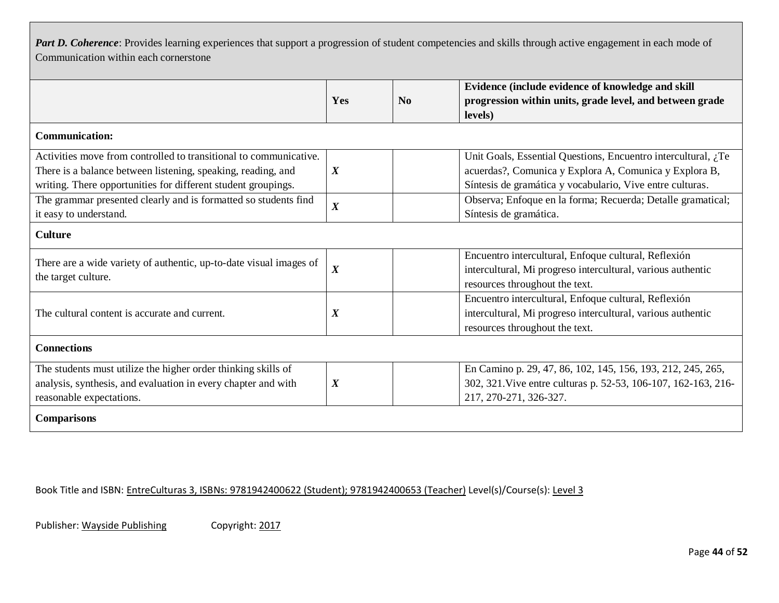Part D. Coherence: Provides learning experiences that support a progression of student competencies and skills through active engagement in each mode of Communication within each cornerstone

|                                                                    |                  |          | Evidence (include evidence of knowledge and skill                                                                                                                                                                                                                                   |  |  |
|--------------------------------------------------------------------|------------------|----------|-------------------------------------------------------------------------------------------------------------------------------------------------------------------------------------------------------------------------------------------------------------------------------------|--|--|
|                                                                    | Yes              | $\bf No$ | progression within units, grade level, and between grade                                                                                                                                                                                                                            |  |  |
|                                                                    |                  |          | levels)                                                                                                                                                                                                                                                                             |  |  |
| <b>Communication:</b>                                              |                  |          |                                                                                                                                                                                                                                                                                     |  |  |
| Activities move from controlled to transitional to communicative.  |                  |          | Unit Goals, Essential Questions, Encuentro intercultural, ¿Te                                                                                                                                                                                                                       |  |  |
| There is a balance between listening, speaking, reading, and       | $\boldsymbol{X}$ |          | acuerdas?, Comunica y Explora A, Comunica y Explora B,                                                                                                                                                                                                                              |  |  |
| writing. There opportunities for different student groupings.      |                  |          | Síntesis de gramática y vocabulario, Vive entre culturas.                                                                                                                                                                                                                           |  |  |
| The grammar presented clearly and is formatted so students find    | $\boldsymbol{X}$ |          | Observa; Enfoque en la forma; Recuerda; Detalle gramatical;                                                                                                                                                                                                                         |  |  |
| it easy to understand.                                             |                  |          | Síntesis de gramática.                                                                                                                                                                                                                                                              |  |  |
| <b>Culture</b>                                                     |                  |          |                                                                                                                                                                                                                                                                                     |  |  |
| There are a wide variety of authentic, up-to-date visual images of |                  |          | Encuentro intercultural, Enfoque cultural, Reflexión                                                                                                                                                                                                                                |  |  |
| the target culture.                                                | $\boldsymbol{X}$ |          | intercultural, Mi progreso intercultural, various authentic<br>Encuentro intercultural, Enfoque cultural, Reflexión<br>intercultural, Mi progreso intercultural, various authentic<br>resources throughout the text.<br>En Camino p. 29, 47, 86, 102, 145, 156, 193, 212, 245, 265, |  |  |
|                                                                    |                  |          | resources throughout the text.                                                                                                                                                                                                                                                      |  |  |
|                                                                    |                  |          | 302, 321. Vive entre culturas p. 52-53, 106-107, 162-163, 216-<br>217, 270-271, 326-327.                                                                                                                                                                                            |  |  |
| The cultural content is accurate and current.                      | $\boldsymbol{X}$ |          |                                                                                                                                                                                                                                                                                     |  |  |
|                                                                    |                  |          |                                                                                                                                                                                                                                                                                     |  |  |
| <b>Connections</b>                                                 |                  |          |                                                                                                                                                                                                                                                                                     |  |  |
| The students must utilize the higher order thinking skills of      |                  |          |                                                                                                                                                                                                                                                                                     |  |  |
| analysis, synthesis, and evaluation in every chapter and with      | $\boldsymbol{X}$ |          |                                                                                                                                                                                                                                                                                     |  |  |
| reasonable expectations.                                           |                  |          |                                                                                                                                                                                                                                                                                     |  |  |
| <b>Comparisons</b>                                                 |                  |          |                                                                                                                                                                                                                                                                                     |  |  |

Book Title and ISBN: EntreCulturas 3, ISBNs: 9781942400622 (Student); 9781942400653 (Teacher) Level(s)/Course(s): Level 3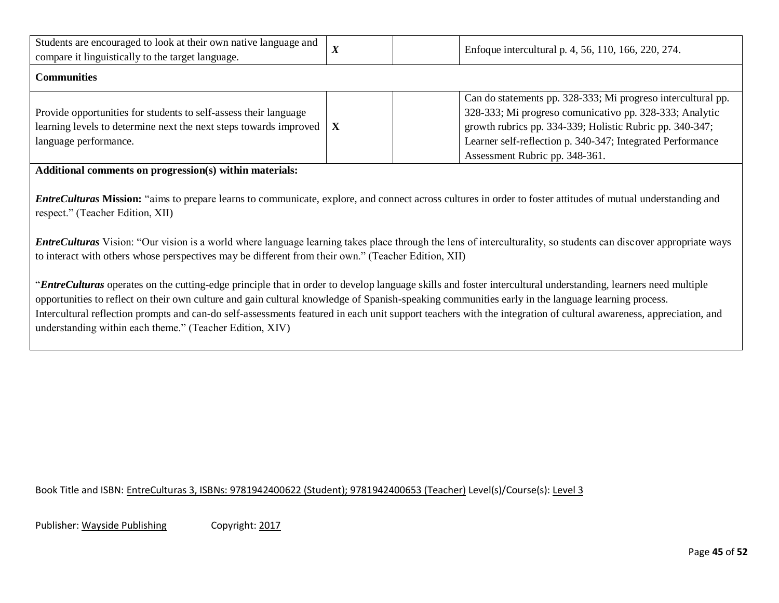| Students are encouraged to look at their own native language and<br>compare it linguistically to the target language.                                                      | $\boldsymbol{X}$ | Enfoque intercultural p. 4, 56, 110, 166, 220, 274.                                                                                                                                                                                                                                 |
|----------------------------------------------------------------------------------------------------------------------------------------------------------------------------|------------------|-------------------------------------------------------------------------------------------------------------------------------------------------------------------------------------------------------------------------------------------------------------------------------------|
| Communities                                                                                                                                                                |                  |                                                                                                                                                                                                                                                                                     |
| Provide opportunities for students to self-assess their language<br>learning levels to determine next the next steps towards improved $\mathbf X$<br>language performance. |                  | Can do statements pp. 328-333; Mi progreso intercultural pp.<br>328-333; Mi progreso comunicativo pp. 328-333; Analytic<br>growth rubrics pp. 334-339; Holistic Rubric pp. 340-347;<br>Learner self-reflection p. 340-347; Integrated Performance<br>Assessment Rubric pp. 348-361. |

**Additional comments on progression(s) within materials:** 

*EntreCulturas* **Mission:** "aims to prepare learns to communicate, explore, and connect across cultures in order to foster attitudes of mutual understanding and respect." (Teacher Edition, XII)

*EntreCulturas* Vision: "Our vision is a world where language learning takes place through the lens of interculturality, so students can discover appropriate ways to interact with others whose perspectives may be different from their own." (Teacher Edition, XII)

"*EntreCulturas* operates on the cutting-edge principle that in order to develop language skills and foster intercultural understanding, learners need multiple opportunities to reflect on their own culture and gain cultural knowledge of Spanish-speaking communities early in the language learning process. Intercultural reflection prompts and can-do self-assessments featured in each unit support teachers with the integration of cultural awareness, appreciation, and understanding within each theme." (Teacher Edition, XIV)

Book Title and ISBN: EntreCulturas 3, ISBNs: 9781942400622 (Student); 9781942400653 (Teacher) Level(s)/Course(s): Level 3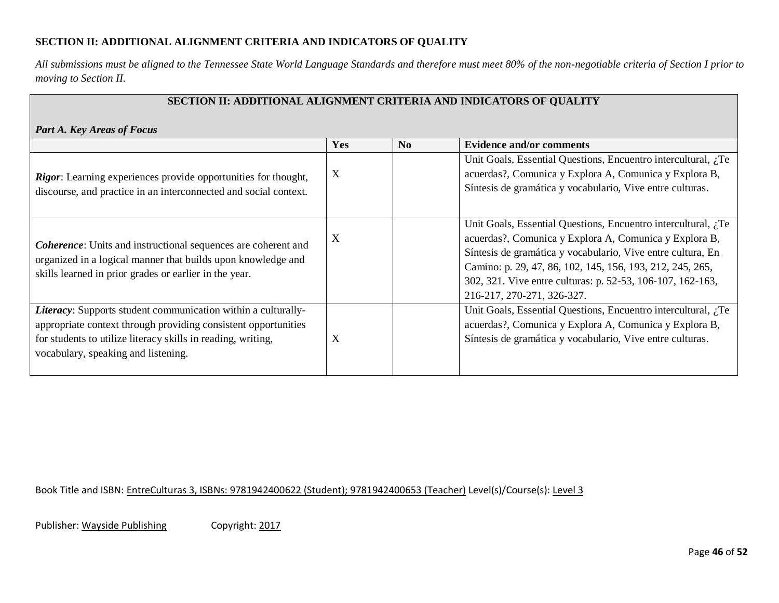### **SECTION II: ADDITIONAL ALIGNMENT CRITERIA AND INDICATORS OF QUALITY**

*All submissions must be aligned to the Tennessee State World Language Standards and therefore must meet 80% of the non-negotiable criteria of Section I prior to moving to Section II.*

|                                                                                                                                                                                                                                        |     |                | SECTION II: ADDITIONAL ALIGNMENT CRITERIA AND INDICATORS OF QUALITY                                                                                                                                                                                                                                                                             |  |
|----------------------------------------------------------------------------------------------------------------------------------------------------------------------------------------------------------------------------------------|-----|----------------|-------------------------------------------------------------------------------------------------------------------------------------------------------------------------------------------------------------------------------------------------------------------------------------------------------------------------------------------------|--|
| <b>Part A. Key Areas of Focus</b>                                                                                                                                                                                                      |     |                |                                                                                                                                                                                                                                                                                                                                                 |  |
|                                                                                                                                                                                                                                        | Yes | N <sub>0</sub> | <b>Evidence and/or comments</b>                                                                                                                                                                                                                                                                                                                 |  |
| Rigor: Learning experiences provide opportunities for thought,<br>discourse, and practice in an interconnected and social context.                                                                                                     | X   |                | Unit Goals, Essential Questions, Encuentro intercultural, ¿Te<br>acuerdas?, Comunica y Explora A, Comunica y Explora B,<br>Síntesis de gramática y vocabulario, Vive entre culturas.                                                                                                                                                            |  |
| <b>Coherence:</b> Units and instructional sequences are coherent and<br>organized in a logical manner that builds upon knowledge and<br>skills learned in prior grades or earlier in the year.                                         | X   |                | Unit Goals, Essential Questions, Encuentro intercultural, ¿Te<br>acuerdas?, Comunica y Explora A, Comunica y Explora B,<br>Síntesis de gramática y vocabulario, Vive entre cultura, En<br>Camino: p. 29, 47, 86, 102, 145, 156, 193, 212, 245, 265,<br>302, 321. Vive entre culturas: p. 52-53, 106-107, 162-163,<br>216-217, 270-271, 326-327. |  |
| Literacy: Supports student communication within a culturally-<br>appropriate context through providing consistent opportunities<br>for students to utilize literacy skills in reading, writing,<br>vocabulary, speaking and listening. | X   |                | Unit Goals, Essential Questions, Encuentro intercultural, ¿Te<br>acuerdas?, Comunica y Explora A, Comunica y Explora B,<br>Síntesis de gramática y vocabulario, Vive entre culturas.                                                                                                                                                            |  |

Book Title and ISBN: EntreCulturas 3, ISBNs: 9781942400622 (Student); 9781942400653 (Teacher) Level(s)/Course(s): Level 3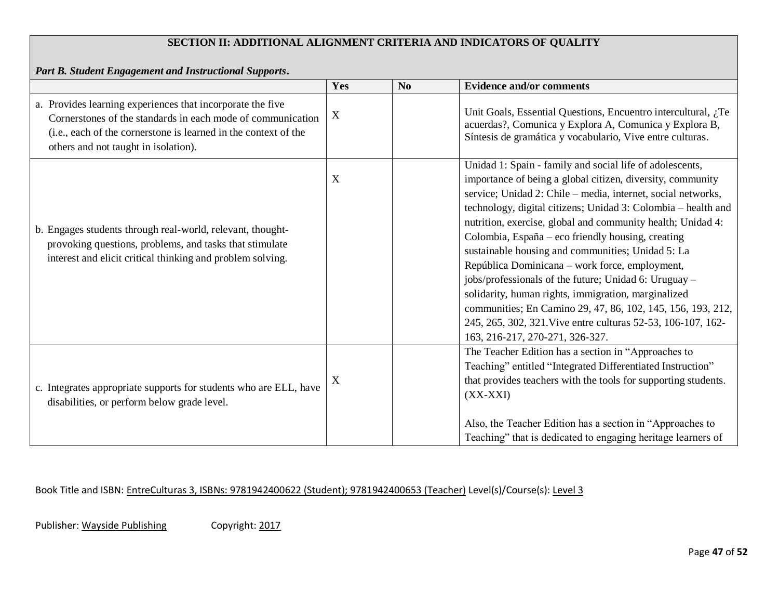## **SECTION II: ADDITIONAL ALIGNMENT CRITERIA AND INDICATORS OF QUALITY**

*Part B. Student Engagement and Instructional Supports***.** 

|                                                                                                                                                                                                                                      | Yes | No | <b>Evidence and/or comments</b>                                                                                                                                                                                                                                                                                                                                                                                                                                                                                                                                                                                                                                                                                                                                      |
|--------------------------------------------------------------------------------------------------------------------------------------------------------------------------------------------------------------------------------------|-----|----|----------------------------------------------------------------------------------------------------------------------------------------------------------------------------------------------------------------------------------------------------------------------------------------------------------------------------------------------------------------------------------------------------------------------------------------------------------------------------------------------------------------------------------------------------------------------------------------------------------------------------------------------------------------------------------------------------------------------------------------------------------------------|
| a. Provides learning experiences that incorporate the five<br>Cornerstones of the standards in each mode of communication<br>(i.e., each of the cornerstone is learned in the context of the<br>others and not taught in isolation). | X   |    | Unit Goals, Essential Questions, Encuentro intercultural, ¿Te<br>acuerdas?, Comunica y Explora A, Comunica y Explora B,<br>Síntesis de gramática y vocabulario, Vive entre culturas.                                                                                                                                                                                                                                                                                                                                                                                                                                                                                                                                                                                 |
| b. Engages students through real-world, relevant, thought-<br>provoking questions, problems, and tasks that stimulate<br>interest and elicit critical thinking and problem solving.                                                  | X   |    | Unidad 1: Spain - family and social life of adolescents,<br>importance of being a global citizen, diversity, community<br>service; Unidad 2: Chile – media, internet, social networks,<br>technology, digital citizens; Unidad 3: Colombia - health and<br>nutrition, exercise, global and community health; Unidad 4:<br>Colombia, España – eco friendly housing, creating<br>sustainable housing and communities; Unidad 5: La<br>República Dominicana - work force, employment,<br>jobs/professionals of the future; Unidad 6: Uruguay –<br>solidarity, human rights, immigration, marginalized<br>communities; En Camino 29, 47, 86, 102, 145, 156, 193, 212,<br>245, 265, 302, 321. Vive entre culturas 52-53, 106-107, 162-<br>163, 216-217, 270-271, 326-327. |
| c. Integrates appropriate supports for students who are ELL, have<br>disabilities, or perform below grade level.                                                                                                                     | X   |    | The Teacher Edition has a section in "Approaches to<br>Teaching" entitled "Integrated Differentiated Instruction"<br>that provides teachers with the tools for supporting students.<br>$(XX-XXI)$<br>Also, the Teacher Edition has a section in "Approaches to<br>Teaching" that is dedicated to engaging heritage learners of                                                                                                                                                                                                                                                                                                                                                                                                                                       |

Book Title and ISBN: EntreCulturas 3, ISBNs: 9781942400622 (Student); 9781942400653 (Teacher) Level(s)/Course(s): Level 3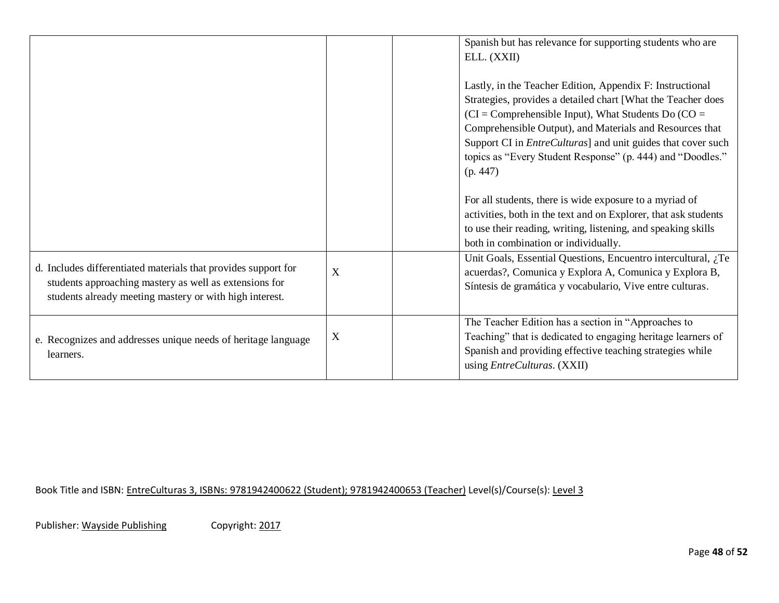|                                                                                                                                                                                     |   | Spanish but has relevance for supporting students who are<br>ELL. (XXII)<br>Lastly, in the Teacher Edition, Appendix F: Instructional<br>Strategies, provides a detailed chart [What the Teacher does<br>$\overline{CI}$ = Comprehensible Input), What Students Do $\overline{CO}$ = |
|-------------------------------------------------------------------------------------------------------------------------------------------------------------------------------------|---|--------------------------------------------------------------------------------------------------------------------------------------------------------------------------------------------------------------------------------------------------------------------------------------|
|                                                                                                                                                                                     |   | Comprehensible Output), and Materials and Resources that<br>Support CI in <i>EntreCulturas</i> ] and unit guides that cover such<br>topics as "Every Student Response" (p. 444) and "Doodles."<br>(p. 447)                                                                           |
|                                                                                                                                                                                     |   | For all students, there is wide exposure to a myriad of<br>activities, both in the text and on Explorer, that ask students<br>to use their reading, writing, listening, and speaking skills<br>both in combination or individually.                                                  |
| d. Includes differentiated materials that provides support for<br>students approaching mastery as well as extensions for<br>students already meeting mastery or with high interest. | X | Unit Goals, Essential Questions, Encuentro intercultural, $i$ , Te<br>acuerdas?, Comunica y Explora A, Comunica y Explora B,<br>Síntesis de gramática y vocabulario, Vive entre culturas.                                                                                            |
| e. Recognizes and addresses unique needs of heritage language<br>learners.                                                                                                          | X | The Teacher Edition has a section in "Approaches to<br>Teaching" that is dedicated to engaging heritage learners of<br>Spanish and providing effective teaching strategies while<br>using EntreCulturas. (XXII)                                                                      |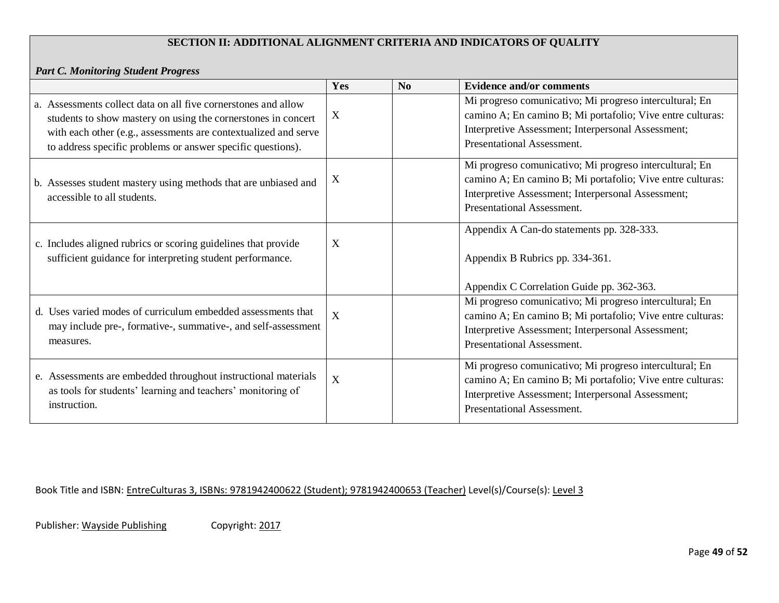## **SECTION II: ADDITIONAL ALIGNMENT CRITERIA AND INDICATORS OF QUALITY**

### *Part C. Monitoring Student Progress*

|                                                                                                                                                                                                                                                                   | Yes         | N <sub>o</sub> | <b>Evidence and/or comments</b>                                                                                                                                                                           |
|-------------------------------------------------------------------------------------------------------------------------------------------------------------------------------------------------------------------------------------------------------------------|-------------|----------------|-----------------------------------------------------------------------------------------------------------------------------------------------------------------------------------------------------------|
| a. Assessments collect data on all five cornerstones and allow<br>students to show mastery on using the cornerstones in concert<br>with each other (e.g., assessments are contextualized and serve<br>to address specific problems or answer specific questions). | X           |                | Mi progreso comunicativo; Mi progreso intercultural; En<br>camino A; En camino B; Mi portafolio; Vive entre culturas:<br>Interpretive Assessment; Interpersonal Assessment;<br>Presentational Assessment. |
| b. Assesses student mastery using methods that are unbiased and<br>accessible to all students.                                                                                                                                                                    | X           |                | Mi progreso comunicativo; Mi progreso intercultural; En<br>camino A; En camino B; Mi portafolio; Vive entre culturas:<br>Interpretive Assessment; Interpersonal Assessment;<br>Presentational Assessment. |
| c. Includes aligned rubrics or scoring guidelines that provide<br>sufficient guidance for interpreting student performance.                                                                                                                                       | X           |                | Appendix A Can-do statements pp. 328-333.<br>Appendix B Rubrics pp. 334-361.<br>Appendix C Correlation Guide pp. 362-363.                                                                                 |
| d. Uses varied modes of curriculum embedded assessments that<br>may include pre-, formative-, summative-, and self-assessment<br>measures.                                                                                                                        | X           |                | Mi progreso comunicativo; Mi progreso intercultural; En<br>camino A; En camino B; Mi portafolio; Vive entre culturas:<br>Interpretive Assessment; Interpersonal Assessment;<br>Presentational Assessment. |
| e. Assessments are embedded throughout instructional materials<br>as tools for students' learning and teachers' monitoring of<br>instruction.                                                                                                                     | $\mathbf X$ |                | Mi progreso comunicativo; Mi progreso intercultural; En<br>camino A; En camino B; Mi portafolio; Vive entre culturas:<br>Interpretive Assessment; Interpersonal Assessment;<br>Presentational Assessment. |

Book Title and ISBN: EntreCulturas 3, ISBNs: 9781942400622 (Student); 9781942400653 (Teacher) Level(s)/Course(s): Level 3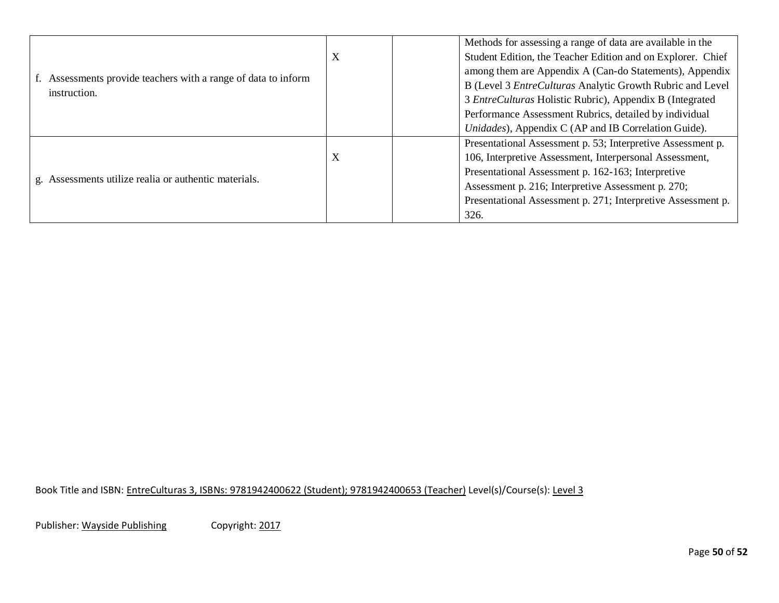|                                                                                |   | Methods for assessing a range of data are available in the   |
|--------------------------------------------------------------------------------|---|--------------------------------------------------------------|
|                                                                                | X | Student Edition, the Teacher Edition and on Explorer. Chief  |
|                                                                                |   | among them are Appendix A (Can-do Statements), Appendix      |
| f. Assessments provide teachers with a range of data to inform<br>instruction. |   | B (Level 3 EntreCulturas Analytic Growth Rubric and Level    |
|                                                                                |   | 3 EntreCulturas Holistic Rubric), Appendix B (Integrated     |
|                                                                                |   | Performance Assessment Rubrics, detailed by individual       |
|                                                                                |   | Unidades), Appendix C (AP and IB Correlation Guide).         |
|                                                                                |   | Presentational Assessment p. 53; Interpretive Assessment p.  |
|                                                                                | X | 106, Interpretive Assessment, Interpersonal Assessment,      |
|                                                                                |   | Presentational Assessment p. 162-163; Interpretive           |
| g. Assessments utilize realia or authentic materials.                          |   | Assessment p. 216; Interpretive Assessment p. 270;           |
|                                                                                |   | Presentational Assessment p. 271; Interpretive Assessment p. |
|                                                                                |   | 326.                                                         |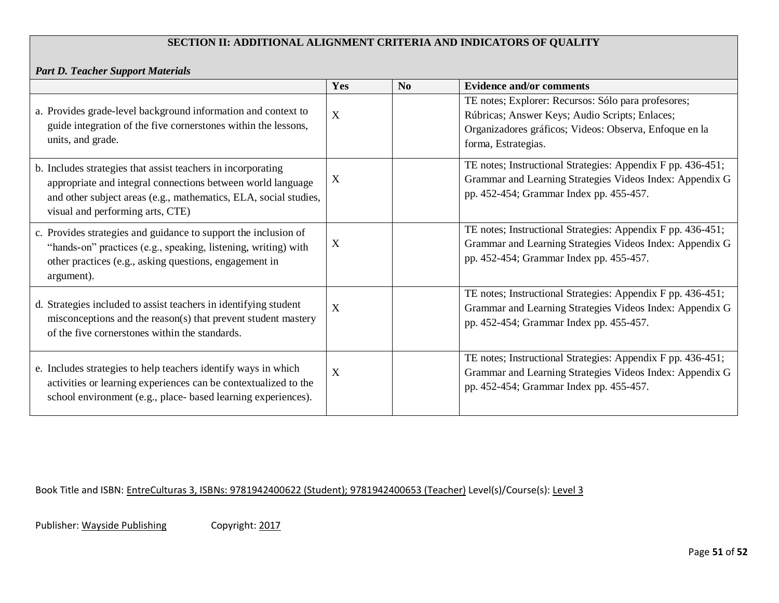## **SECTION II: ADDITIONAL ALIGNMENT CRITERIA AND INDICATORS OF QUALITY**

*Part D. Teacher Support Materials*

|                                                                                                                                                                                                                                     | Yes | $\mathbf{N}\mathbf{0}$ | <b>Evidence and/or comments</b>                                                                                                                                                        |
|-------------------------------------------------------------------------------------------------------------------------------------------------------------------------------------------------------------------------------------|-----|------------------------|----------------------------------------------------------------------------------------------------------------------------------------------------------------------------------------|
| a. Provides grade-level background information and context to<br>guide integration of the five cornerstones within the lessons,<br>units, and grade.                                                                                | X   |                        | TE notes; Explorer: Recursos: Sólo para profesores;<br>Rúbricas; Answer Keys; Audio Scripts; Enlaces;<br>Organizadores gráficos; Videos: Observa, Enfoque en la<br>forma, Estrategias. |
| b. Includes strategies that assist teachers in incorporating<br>appropriate and integral connections between world language<br>and other subject areas (e.g., mathematics, ELA, social studies,<br>visual and performing arts, CTE) | X   |                        | TE notes; Instructional Strategies: Appendix F pp. 436-451;<br>Grammar and Learning Strategies Videos Index: Appendix G<br>pp. 452-454; Grammar Index pp. 455-457.                     |
| c. Provides strategies and guidance to support the inclusion of<br>"hands-on" practices (e.g., speaking, listening, writing) with<br>other practices (e.g., asking questions, engagement in<br>argument).                           | X   |                        | TE notes; Instructional Strategies: Appendix F pp. 436-451;<br>Grammar and Learning Strategies Videos Index: Appendix G<br>pp. 452-454; Grammar Index pp. 455-457.                     |
| d. Strategies included to assist teachers in identifying student<br>misconceptions and the reason(s) that prevent student mastery<br>of the five cornerstones within the standards.                                                 | X   |                        | TE notes; Instructional Strategies: Appendix F pp. 436-451;<br>Grammar and Learning Strategies Videos Index: Appendix G<br>pp. 452-454; Grammar Index pp. 455-457.                     |
| e. Includes strategies to help teachers identify ways in which<br>activities or learning experiences can be contextualized to the<br>school environment (e.g., place- based learning experiences).                                  | X   |                        | TE notes; Instructional Strategies: Appendix F pp. 436-451;<br>Grammar and Learning Strategies Videos Index: Appendix G<br>pp. 452-454; Grammar Index pp. 455-457.                     |

Book Title and ISBN: EntreCulturas 3, ISBNs: 9781942400622 (Student); 9781942400653 (Teacher) Level(s)/Course(s): Level 3